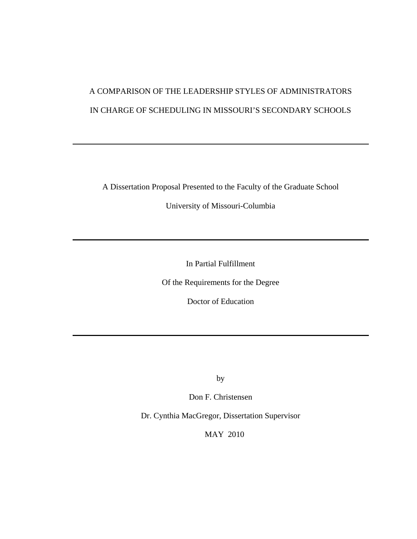## A COMPARISON OF THE LEADERSHIP STYLES OF ADMINISTRATORS IN CHARGE OF SCHEDULING IN MISSOURI'S SECONDARY SCHOOLS

A Dissertation Proposal Presented to the Faculty of the Graduate School

University of Missouri-Columbia

In Partial Fulfillment

Of the Requirements for the Degree

Doctor of Education

by

Don F. Christensen

Dr. Cynthia MacGregor, Dissertation Supervisor

MAY 2010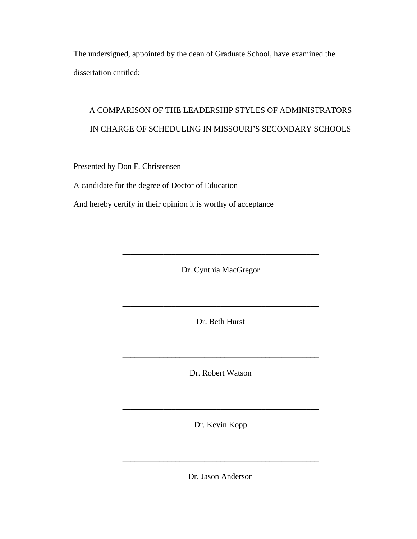The undersigned, appointed by the dean of Graduate School, have examined the dissertation entitled:

## A COMPARISON OF THE LEADERSHIP STYLES OF ADMINISTRATORS IN CHARGE OF SCHEDULING IN MISSOURI'S SECONDARY SCHOOLS

Presented by Don F. Christensen

A candidate for the degree of Doctor of Education

And hereby certify in their opinion it is worthy of acceptance

Dr. Cynthia MacGregor

Dr. Beth Hurst

**\_\_\_\_\_\_\_\_\_\_\_\_\_\_\_\_\_\_\_\_\_\_\_\_\_\_\_\_\_\_\_\_\_\_\_\_\_\_\_\_\_\_\_\_\_\_\_\_**

Dr. Robert Watson

**\_\_\_\_\_\_\_\_\_\_\_\_\_\_\_\_\_\_\_\_\_\_\_\_\_\_\_\_\_\_\_\_\_\_\_\_\_\_\_\_\_\_\_\_\_\_\_\_**

Dr. Kevin Kopp

**\_\_\_\_\_\_\_\_\_\_\_\_\_\_\_\_\_\_\_\_\_\_\_\_\_\_\_\_\_\_\_\_\_\_\_\_\_\_\_\_\_\_\_\_\_\_\_\_**

Dr. Jason Anderson

**\_\_\_\_\_\_\_\_\_\_\_\_\_\_\_\_\_\_\_\_\_\_\_\_\_\_\_\_\_\_\_\_\_\_\_\_\_\_\_\_\_\_\_\_\_\_\_\_**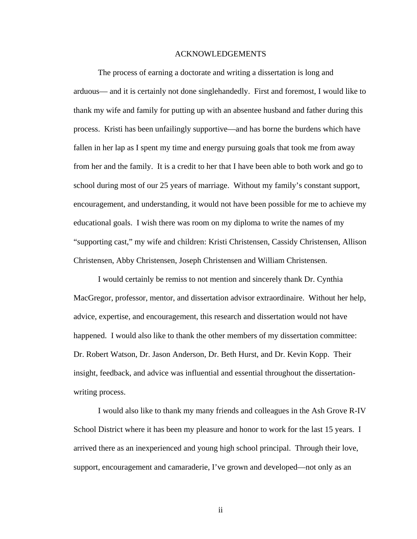#### ACKNOWLEDGEMENTS

The process of earning a doctorate and writing a dissertation is long and arduous— and it is certainly not done singlehandedly. First and foremost, I would like to thank my wife and family for putting up with an absentee husband and father during this process. Kristi has been unfailingly supportive—and has borne the burdens which have fallen in her lap as I spent my time and energy pursuing goals that took me from away from her and the family. It is a credit to her that I have been able to both work and go to school during most of our 25 years of marriage. Without my family's constant support, encouragement, and understanding, it would not have been possible for me to achieve my educational goals. I wish there was room on my diploma to write the names of my "supporting cast," my wife and children: Kristi Christensen, Cassidy Christensen, Allison Christensen, Abby Christensen, Joseph Christensen and William Christensen.

I would certainly be remiss to not mention and sincerely thank Dr. Cynthia MacGregor, professor, mentor, and dissertation advisor extraordinaire. Without her help, advice, expertise, and encouragement, this research and dissertation would not have happened. I would also like to thank the other members of my dissertation committee: Dr. Robert Watson, Dr. Jason Anderson, Dr. Beth Hurst, and Dr. Kevin Kopp. Their insight, feedback, and advice was influential and essential throughout the dissertationwriting process.

I would also like to thank my many friends and colleagues in the Ash Grove R-IV School District where it has been my pleasure and honor to work for the last 15 years. I arrived there as an inexperienced and young high school principal. Through their love, support, encouragement and camaraderie, I've grown and developed—not only as an

ii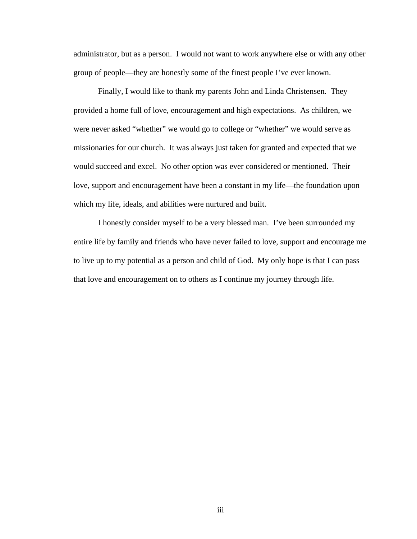administrator, but as a person. I would not want to work anywhere else or with any other group of people—they are honestly some of the finest people I've ever known.

Finally, I would like to thank my parents John and Linda Christensen. They provided a home full of love, encouragement and high expectations. As children, we were never asked "whether" we would go to college or "whether" we would serve as missionaries for our church. It was always just taken for granted and expected that we would succeed and excel. No other option was ever considered or mentioned. Their love, support and encouragement have been a constant in my life—the foundation upon which my life, ideals, and abilities were nurtured and built.

I honestly consider myself to be a very blessed man. I've been surrounded my entire life by family and friends who have never failed to love, support and encourage me to live up to my potential as a person and child of God. My only hope is that I can pass that love and encouragement on to others as I continue my journey through life.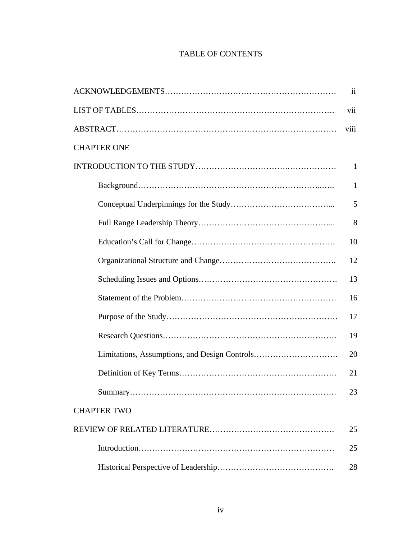## TABLE OF CONTENTS

|                    | $\overline{11}$ |
|--------------------|-----------------|
|                    |                 |
|                    | viii            |
| <b>CHAPTER ONE</b> |                 |
|                    | $\mathbf{1}$    |
|                    | 1               |
|                    | 5               |
|                    | 8               |
|                    | 10              |
|                    | 12              |
|                    | 13              |
|                    | 16              |
|                    | 17              |
|                    | 19              |
|                    | 20              |
|                    | 21              |
|                    | 23              |
| <b>CHAPTER TWO</b> |                 |
|                    | 25              |
|                    | 25              |
|                    | 28              |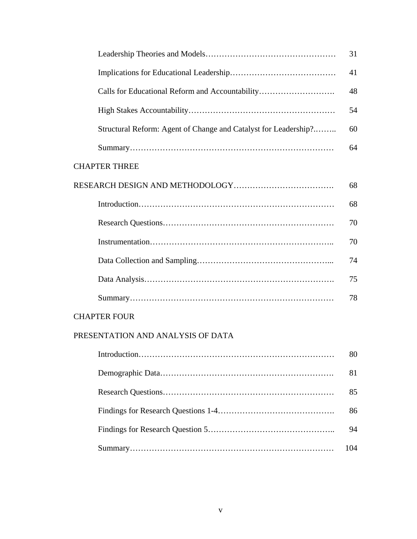|                                                                 | 31  |  |  |  |
|-----------------------------------------------------------------|-----|--|--|--|
|                                                                 | 41  |  |  |  |
| Calls for Educational Reform and Accountability                 | 48  |  |  |  |
|                                                                 | 54  |  |  |  |
| Structural Reform: Agent of Change and Catalyst for Leadership? | 60  |  |  |  |
|                                                                 | 64  |  |  |  |
| <b>CHAPTER THREE</b>                                            |     |  |  |  |
|                                                                 | 68  |  |  |  |
|                                                                 | 68  |  |  |  |
|                                                                 | 70  |  |  |  |
|                                                                 | 70  |  |  |  |
|                                                                 | 74  |  |  |  |
|                                                                 | 75  |  |  |  |
|                                                                 | 78  |  |  |  |
| <b>CHAPTER FOUR</b>                                             |     |  |  |  |
| PRESENTATION AND ANALYSIS OF DATA                               |     |  |  |  |
|                                                                 | 80  |  |  |  |
|                                                                 | 81  |  |  |  |
|                                                                 | 85  |  |  |  |
|                                                                 | 86  |  |  |  |
|                                                                 | 94  |  |  |  |
|                                                                 | 104 |  |  |  |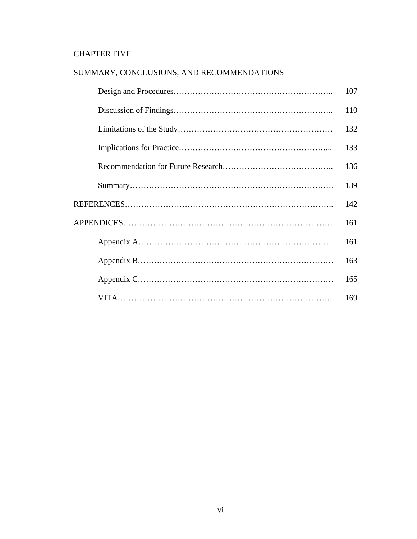### CHAPTER FIVE

## SUMMARY, CONCLUSIONS, AND RECOMMENDATIONS

| 107 |
|-----|
| 110 |
| 132 |
| 133 |
| 136 |
| 139 |
| 142 |
| 161 |
| 161 |
| 163 |
| 165 |
| 169 |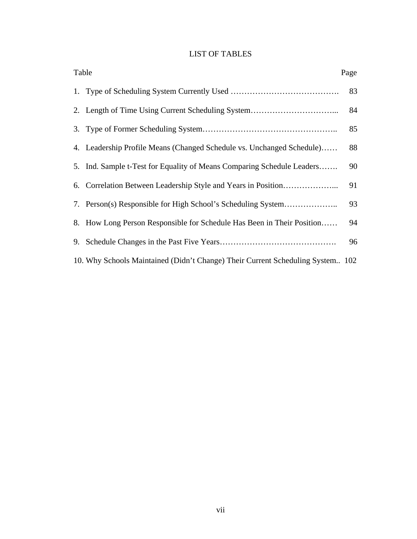### LIST OF TABLES

| Table |                                                                                | Page |
|-------|--------------------------------------------------------------------------------|------|
|       |                                                                                | 83   |
|       |                                                                                | 84   |
|       |                                                                                | 85   |
|       | 4. Leadership Profile Means (Changed Schedule vs. Unchanged Schedule)          | 88   |
|       | 5. Ind. Sample t-Test for Equality of Means Comparing Schedule Leaders         | 90   |
|       | 6. Correlation Between Leadership Style and Years in Position                  | 91   |
|       | 7. Person(s) Responsible for High School's Scheduling System                   | 93   |
|       | 8. How Long Person Responsible for Schedule Has Been in Their Position         | 94   |
|       |                                                                                | 96   |
|       | 10. Why Schools Maintained (Didn't Change) Their Current Scheduling System 102 |      |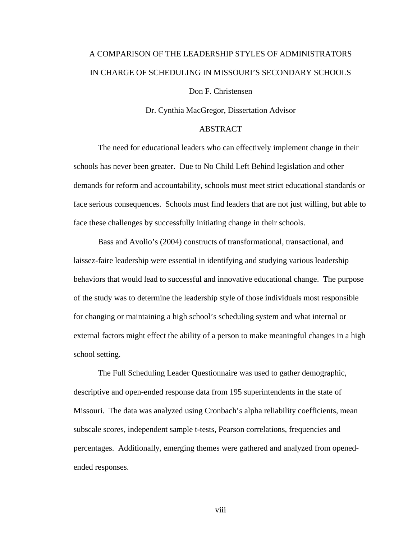# A COMPARISON OF THE LEADERSHIP STYLES OF ADMINISTRATORS IN CHARGE OF SCHEDULING IN MISSOURI'S SECONDARY SCHOOLS

#### Don F. Christensen

Dr. Cynthia MacGregor, Dissertation Advisor

#### ABSTRACT

The need for educational leaders who can effectively implement change in their schools has never been greater. Due to No Child Left Behind legislation and other demands for reform and accountability, schools must meet strict educational standards or face serious consequences. Schools must find leaders that are not just willing, but able to face these challenges by successfully initiating change in their schools.

Bass and Avolio's (2004) constructs of transformational, transactional, and laissez-faire leadership were essential in identifying and studying various leadership behaviors that would lead to successful and innovative educational change. The purpose of the study was to determine the leadership style of those individuals most responsible for changing or maintaining a high school's scheduling system and what internal or external factors might effect the ability of a person to make meaningful changes in a high school setting.

The Full Scheduling Leader Questionnaire was used to gather demographic, descriptive and open-ended response data from 195 superintendents in the state of Missouri. The data was analyzed using Cronbach's alpha reliability coefficients, mean subscale scores, independent sample t-tests, Pearson correlations, frequencies and percentages. Additionally, emerging themes were gathered and analyzed from openedended responses.

viii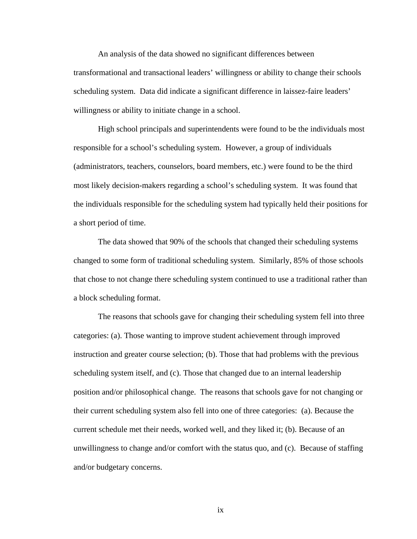An analysis of the data showed no significant differences between transformational and transactional leaders' willingness or ability to change their schools scheduling system. Data did indicate a significant difference in laissez-faire leaders' willingness or ability to initiate change in a school.

High school principals and superintendents were found to be the individuals most responsible for a school's scheduling system. However, a group of individuals (administrators, teachers, counselors, board members, etc.) were found to be the third most likely decision-makers regarding a school's scheduling system. It was found that the individuals responsible for the scheduling system had typically held their positions for a short period of time.

The data showed that 90% of the schools that changed their scheduling systems changed to some form of traditional scheduling system. Similarly, 85% of those schools that chose to not change there scheduling system continued to use a traditional rather than a block scheduling format.

The reasons that schools gave for changing their scheduling system fell into three categories: (a). Those wanting to improve student achievement through improved instruction and greater course selection; (b). Those that had problems with the previous scheduling system itself, and (c). Those that changed due to an internal leadership position and/or philosophical change. The reasons that schools gave for not changing or their current scheduling system also fell into one of three categories: (a). Because the current schedule met their needs, worked well, and they liked it; (b). Because of an unwillingness to change and/or comfort with the status quo, and (c). Because of staffing and/or budgetary concerns.

ix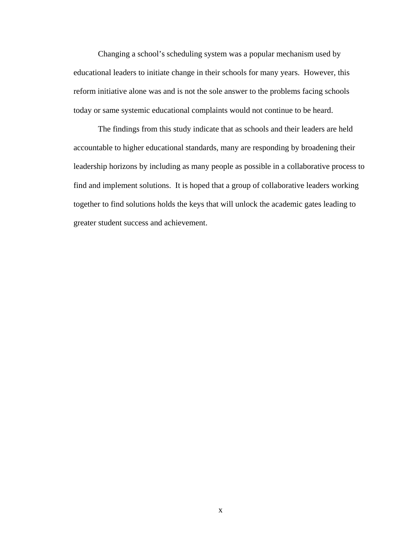Changing a school's scheduling system was a popular mechanism used by educational leaders to initiate change in their schools for many years. However, this reform initiative alone was and is not the sole answer to the problems facing schools today or same systemic educational complaints would not continue to be heard.

The findings from this study indicate that as schools and their leaders are held accountable to higher educational standards, many are responding by broadening their leadership horizons by including as many people as possible in a collaborative process to find and implement solutions. It is hoped that a group of collaborative leaders working together to find solutions holds the keys that will unlock the academic gates leading to greater student success and achievement.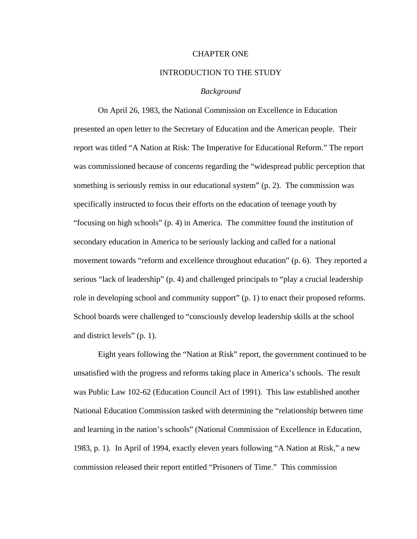#### CHAPTER ONE

#### INTRODUCTION TO THE STUDY

#### *Background*

On April 26, 1983, the National Commission on Excellence in Education presented an open letter to the Secretary of Education and the American people. Their report was titled "A Nation at Risk: The Imperative for Educational Reform." The report was commissioned because of concerns regarding the "widespread public perception that something is seriously remiss in our educational system" (p. 2). The commission was specifically instructed to focus their efforts on the education of teenage youth by "focusing on high schools" (p. 4) in America. The committee found the institution of secondary education in America to be seriously lacking and called for a national movement towards "reform and excellence throughout education" (p. 6). They reported a serious "lack of leadership" (p. 4) and challenged principals to "play a crucial leadership role in developing school and community support" (p. 1) to enact their proposed reforms. School boards were challenged to "consciously develop leadership skills at the school and district levels" (p. 1).

Eight years following the "Nation at Risk" report, the government continued to be unsatisfied with the progress and reforms taking place in America's schools. The result was Public Law 102-62 (Education Council Act of 1991). This law established another National Education Commission tasked with determining the "relationship between time and learning in the nation's schools" (National Commission of Excellence in Education, 1983, p. 1). In April of 1994, exactly eleven years following "A Nation at Risk," a new commission released their report entitled "Prisoners of Time." This commission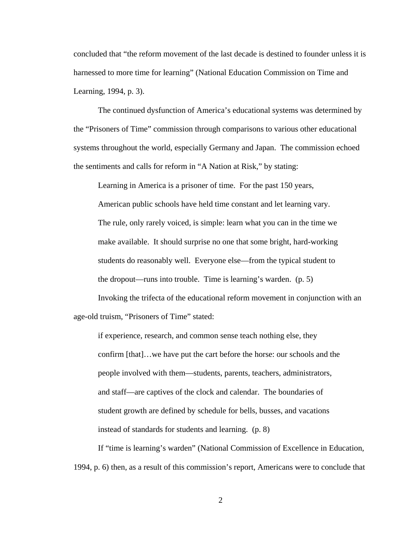concluded that "the reform movement of the last decade is destined to founder unless it is harnessed to more time for learning" (National Education Commission on Time and Learning, 1994, p. 3).

The continued dysfunction of America's educational systems was determined by the "Prisoners of Time" commission through comparisons to various other educational systems throughout the world, especially Germany and Japan. The commission echoed the sentiments and calls for reform in "A Nation at Risk," by stating:

Learning in America is a prisoner of time. For the past 150 years, American public schools have held time constant and let learning vary. The rule, only rarely voiced, is simple: learn what you can in the time we make available. It should surprise no one that some bright, hard-working students do reasonably well. Everyone else—from the typical student to the dropout—runs into trouble. Time is learning's warden. (p. 5)

Invoking the trifecta of the educational reform movement in conjunction with an age-old truism, "Prisoners of Time" stated:

if experience, research, and common sense teach nothing else, they confirm [that]…we have put the cart before the horse: our schools and the people involved with them—students, parents, teachers, administrators, and staff—are captives of the clock and calendar. The boundaries of student growth are defined by schedule for bells, busses, and vacations instead of standards for students and learning. (p. 8)

If "time is learning's warden" (National Commission of Excellence in Education, 1994, p. 6) then, as a result of this commission's report, Americans were to conclude that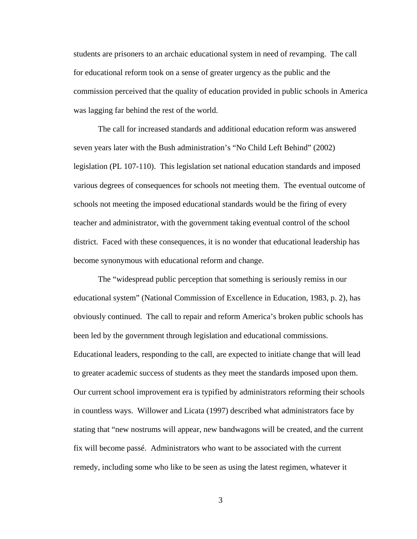students are prisoners to an archaic educational system in need of revamping. The call for educational reform took on a sense of greater urgency as the public and the commission perceived that the quality of education provided in public schools in America was lagging far behind the rest of the world.

The call for increased standards and additional education reform was answered seven years later with the Bush administration's "No Child Left Behind" (2002) legislation (PL 107-110). This legislation set national education standards and imposed various degrees of consequences for schools not meeting them. The eventual outcome of schools not meeting the imposed educational standards would be the firing of every teacher and administrator, with the government taking eventual control of the school district. Faced with these consequences, it is no wonder that educational leadership has become synonymous with educational reform and change.

The "widespread public perception that something is seriously remiss in our educational system" (National Commission of Excellence in Education, 1983, p. 2), has obviously continued. The call to repair and reform America's broken public schools has been led by the government through legislation and educational commissions. Educational leaders, responding to the call, are expected to initiate change that will lead to greater academic success of students as they meet the standards imposed upon them. Our current school improvement era is typified by administrators reforming their schools in countless ways. Willower and Licata (1997) described what administrators face by stating that "new nostrums will appear, new bandwagons will be created, and the current fix will become passé. Administrators who want to be associated with the current remedy, including some who like to be seen as using the latest regimen, whatever it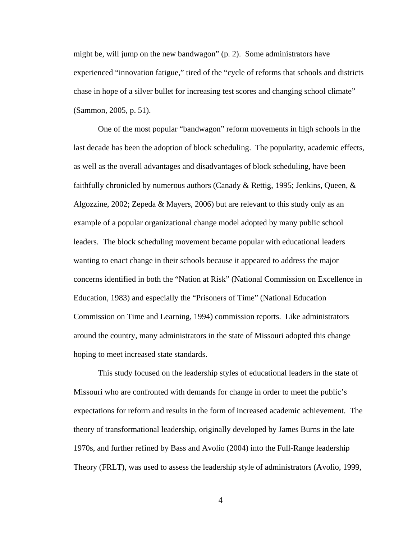might be, will jump on the new bandwagon" (p. 2). Some administrators have experienced "innovation fatigue," tired of the "cycle of reforms that schools and districts chase in hope of a silver bullet for increasing test scores and changing school climate" (Sammon, 2005, p. 51).

One of the most popular "bandwagon" reform movements in high schools in the last decade has been the adoption of block scheduling. The popularity, academic effects, as well as the overall advantages and disadvantages of block scheduling, have been faithfully chronicled by numerous authors (Canady & Rettig, 1995; Jenkins, Queen,  $\&$ Algozzine, 2002; Zepeda & Mayers, 2006) but are relevant to this study only as an example of a popular organizational change model adopted by many public school leaders. The block scheduling movement became popular with educational leaders wanting to enact change in their schools because it appeared to address the major concerns identified in both the "Nation at Risk" (National Commission on Excellence in Education, 1983) and especially the "Prisoners of Time" (National Education Commission on Time and Learning, 1994) commission reports. Like administrators around the country, many administrators in the state of Missouri adopted this change hoping to meet increased state standards.

This study focused on the leadership styles of educational leaders in the state of Missouri who are confronted with demands for change in order to meet the public's expectations for reform and results in the form of increased academic achievement. The theory of transformational leadership, originally developed by James Burns in the late 1970s, and further refined by Bass and Avolio (2004) into the Full-Range leadership Theory (FRLT), was used to assess the leadership style of administrators (Avolio, 1999,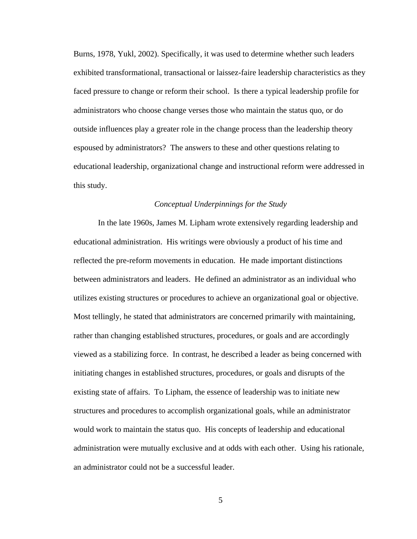Burns, 1978, Yukl, 2002). Specifically, it was used to determine whether such leaders exhibited transformational, transactional or laissez-faire leadership characteristics as they faced pressure to change or reform their school. Is there a typical leadership profile for administrators who choose change verses those who maintain the status quo, or do outside influences play a greater role in the change process than the leadership theory espoused by administrators? The answers to these and other questions relating to educational leadership, organizational change and instructional reform were addressed in this study.

#### *Conceptual Underpinnings for the Study*

In the late 1960s, James M. Lipham wrote extensively regarding leadership and educational administration. His writings were obviously a product of his time and reflected the pre-reform movements in education. He made important distinctions between administrators and leaders. He defined an administrator as an individual who utilizes existing structures or procedures to achieve an organizational goal or objective. Most tellingly, he stated that administrators are concerned primarily with maintaining, rather than changing established structures, procedures, or goals and are accordingly viewed as a stabilizing force. In contrast, he described a leader as being concerned with initiating changes in established structures, procedures, or goals and disrupts of the existing state of affairs. To Lipham, the essence of leadership was to initiate new structures and procedures to accomplish organizational goals, while an administrator would work to maintain the status quo. His concepts of leadership and educational administration were mutually exclusive and at odds with each other. Using his rationale, an administrator could not be a successful leader.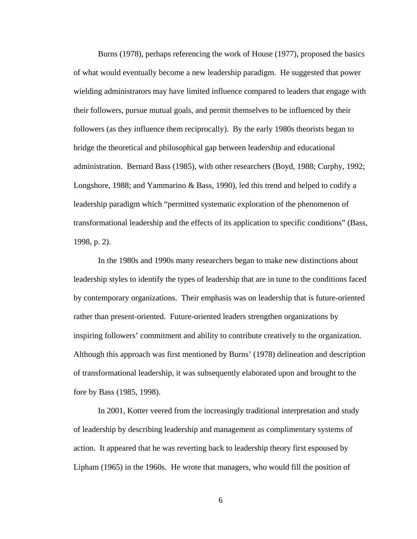Burns (1978), perhaps referencing the work of House (1977), proposed the basics of what would eventually become a new leadership paradigm. He suggested that power wielding administrators may have limited influence compared to leaders that engage with their followers, pursue mutual goals, and permit themselves to be influenced by their followers (as they influence them reciprocally). By the early 1980s theorists began to bridge the theoretical and philosophical gap between leadership and educational administration. Bernard Bass (1985), with other researchers (Boyd, 1988; Curphy, 1992; Longshore, 1988; and Yammarino & Bass, 1990), led this trend and helped to codify a leadership paradigm which "permitted systematic exploration of the phenomenon of transformational leadership and the effects of its application to specific conditions" (Bass, 1998, p. 2).

In the 1980s and 1990s many researchers began to make new distinctions about leadership styles to identify the types of leadership that are in tune to the conditions faced by contemporary organizations. Their emphasis was on leadership that is future-oriented rather than present-oriented. Future-oriented leaders strengthen organizations by inspiring followers' commitment and ability to contribute creatively to the organization. Although this approach was first mentioned by Burns' (1978) delineation and description of transformational leadership, it was subsequently elaborated upon and brought to the fore by Bass (1985, 1998).

In 2001, Kotter veered from the increasingly traditional interpretation and study of leadership by describing leadership and management as complimentary systems of action. It appeared that he was reverting back to leadership theory first espoused by Lipham (1965) in the 1960s. He wrote that managers, who would fill the position of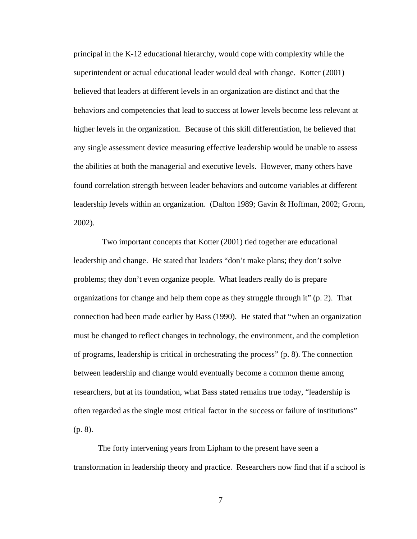principal in the K-12 educational hierarchy, would cope with complexity while the superintendent or actual educational leader would deal with change. Kotter (2001) believed that leaders at different levels in an organization are distinct and that the behaviors and competencies that lead to success at lower levels become less relevant at higher levels in the organization. Because of this skill differentiation, he believed that any single assessment device measuring effective leadership would be unable to assess the abilities at both the managerial and executive levels. However, many others have found correlation strength between leader behaviors and outcome variables at different leadership levels within an organization. (Dalton 1989; Gavin & Hoffman, 2002; Gronn, 2002).

 Two important concepts that Kotter (2001) tied together are educational leadership and change. He stated that leaders "don't make plans; they don't solve problems; they don't even organize people. What leaders really do is prepare organizations for change and help them cope as they struggle through it" (p. 2). That connection had been made earlier by Bass (1990). He stated that "when an organization must be changed to reflect changes in technology, the environment, and the completion of programs, leadership is critical in orchestrating the process" (p. 8). The connection between leadership and change would eventually become a common theme among researchers, but at its foundation, what Bass stated remains true today, "leadership is often regarded as the single most critical factor in the success or failure of institutions" (p. 8).

The forty intervening years from Lipham to the present have seen a transformation in leadership theory and practice. Researchers now find that if a school is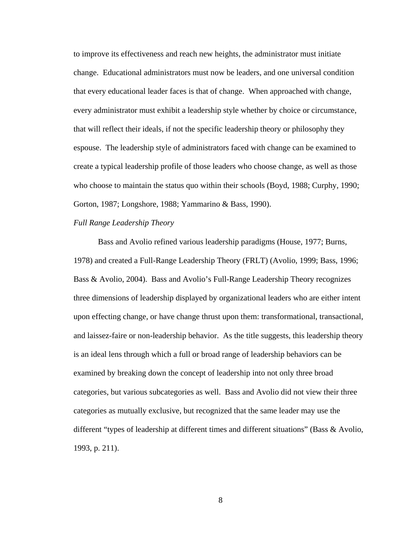to improve its effectiveness and reach new heights, the administrator must initiate change. Educational administrators must now be leaders, and one universal condition that every educational leader faces is that of change. When approached with change, every administrator must exhibit a leadership style whether by choice or circumstance, that will reflect their ideals, if not the specific leadership theory or philosophy they espouse. The leadership style of administrators faced with change can be examined to create a typical leadership profile of those leaders who choose change, as well as those who choose to maintain the status quo within their schools (Boyd, 1988; Curphy, 1990; Gorton, 1987; Longshore, 1988; Yammarino & Bass, 1990).

#### *Full Range Leadership Theory*

Bass and Avolio refined various leadership paradigms (House, 1977; Burns, 1978) and created a Full-Range Leadership Theory (FRLT) (Avolio, 1999; Bass, 1996; Bass & Avolio, 2004). Bass and Avolio's Full-Range Leadership Theory recognizes three dimensions of leadership displayed by organizational leaders who are either intent upon effecting change, or have change thrust upon them: transformational, transactional, and laissez-faire or non-leadership behavior. As the title suggests, this leadership theory is an ideal lens through which a full or broad range of leadership behaviors can be examined by breaking down the concept of leadership into not only three broad categories, but various subcategories as well. Bass and Avolio did not view their three categories as mutually exclusive, but recognized that the same leader may use the different "types of leadership at different times and different situations" (Bass & Avolio, 1993, p. 211).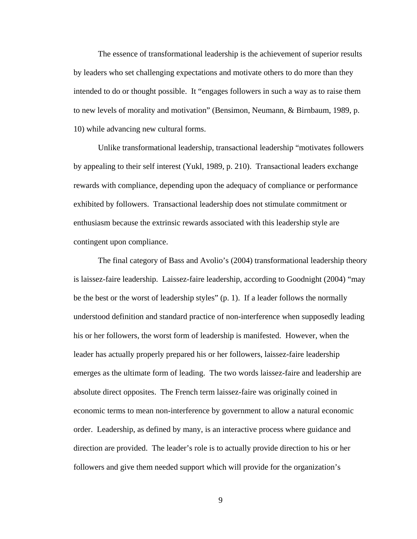The essence of transformational leadership is the achievement of superior results by leaders who set challenging expectations and motivate others to do more than they intended to do or thought possible. It "engages followers in such a way as to raise them to new levels of morality and motivation" (Bensimon, Neumann, & Birnbaum, 1989, p. 10) while advancing new cultural forms.

Unlike transformational leadership, transactional leadership "motivates followers by appealing to their self interest (Yukl, 1989, p. 210). Transactional leaders exchange rewards with compliance, depending upon the adequacy of compliance or performance exhibited by followers. Transactional leadership does not stimulate commitment or enthusiasm because the extrinsic rewards associated with this leadership style are contingent upon compliance.

The final category of Bass and Avolio's (2004) transformational leadership theory is laissez-faire leadership. Laissez-faire leadership, according to Goodnight (2004) "may be the best or the worst of leadership styles" (p. 1). If a leader follows the normally understood definition and standard practice of non-interference when supposedly leading his or her followers, the worst form of leadership is manifested. However, when the leader has actually properly prepared his or her followers, laissez-faire leadership emerges as the ultimate form of leading. The two words laissez-faire and leadership are absolute direct opposites. The French term laissez-faire was originally coined in economic terms to mean non-interference by government to allow a natural economic order. Leadership, as defined by many, is an interactive process where guidance and direction are provided. The leader's role is to actually provide direction to his or her followers and give them needed support which will provide for the organization's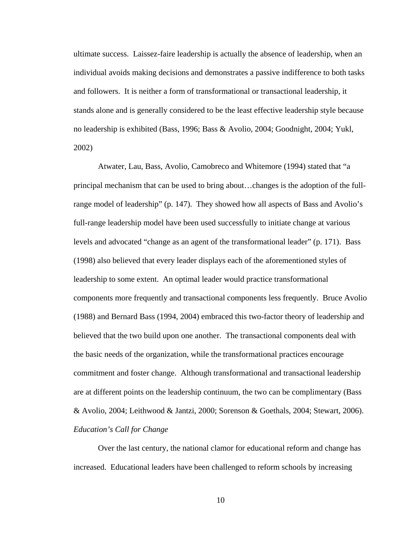ultimate success. Laissez-faire leadership is actually the absence of leadership, when an individual avoids making decisions and demonstrates a passive indifference to both tasks and followers. It is neither a form of transformational or transactional leadership, it stands alone and is generally considered to be the least effective leadership style because no leadership is exhibited (Bass, 1996; Bass & Avolio, 2004; Goodnight, 2004; Yukl, 2002)

Atwater, Lau, Bass, Avolio, Camobreco and Whitemore (1994) stated that "a principal mechanism that can be used to bring about…changes is the adoption of the fullrange model of leadership" (p. 147). They showed how all aspects of Bass and Avolio's full-range leadership model have been used successfully to initiate change at various levels and advocated "change as an agent of the transformational leader" (p. 171). Bass (1998) also believed that every leader displays each of the aforementioned styles of leadership to some extent. An optimal leader would practice transformational components more frequently and transactional components less frequently. Bruce Avolio (1988) and Bernard Bass (1994, 2004) embraced this two-factor theory of leadership and believed that the two build upon one another. The transactional components deal with the basic needs of the organization, while the transformational practices encourage commitment and foster change. Although transformational and transactional leadership are at different points on the leadership continuum, the two can be complimentary (Bass & Avolio, 2004; Leithwood & Jantzi, 2000; Sorenson & Goethals, 2004; Stewart, 2006). *Education's Call for Change*

Over the last century, the national clamor for educational reform and change has increased. Educational leaders have been challenged to reform schools by increasing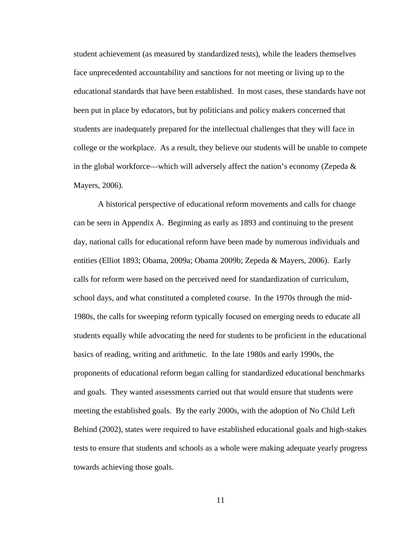student achievement (as measured by standardized tests), while the leaders themselves face unprecedented accountability and sanctions for not meeting or living up to the educational standards that have been established. In most cases, these standards have not been put in place by educators, but by politicians and policy makers concerned that students are inadequately prepared for the intellectual challenges that they will face in college or the workplace. As a result, they believe our students will be unable to compete in the global workforce—which will adversely affect the nation's economy (Zepeda  $\&$ Mayers, 2006).

A historical perspective of educational reform movements and calls for change can be seen in Appendix A. Beginning as early as 1893 and continuing to the present day, national calls for educational reform have been made by numerous individuals and entities (Elliot 1893; Obama, 2009a; Obama 2009b; Zepeda & Mayers, 2006). Early calls for reform were based on the perceived need for standardization of curriculum, school days, and what constituted a completed course. In the 1970s through the mid-1980s, the calls for sweeping reform typically focused on emerging needs to educate all students equally while advocating the need for students to be proficient in the educational basics of reading, writing and arithmetic. In the late 1980s and early 1990s, the proponents of educational reform began calling for standardized educational benchmarks and goals. They wanted assessments carried out that would ensure that students were meeting the established goals. By the early 2000s, with the adoption of No Child Left Behind (2002), states were required to have established educational goals and high-stakes tests to ensure that students and schools as a whole were making adequate yearly progress towards achieving those goals.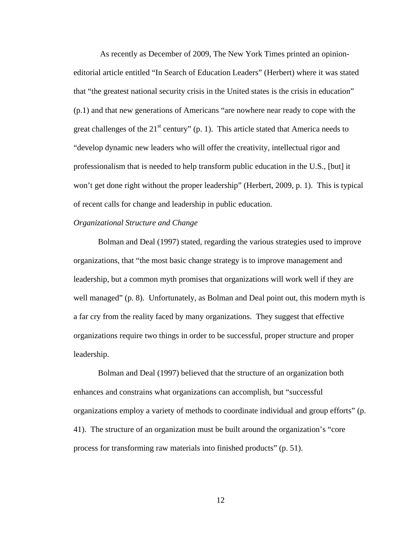As recently as December of 2009, The New York Times printed an opinioneditorial article entitled "In Search of Education Leaders" (Herbert) where it was stated that "the greatest national security crisis in the United states is the crisis in education" (p.1) and that new generations of Americans "are nowhere near ready to cope with the great challenges of the  $21^{st}$  century" (p. 1). This article stated that America needs to "develop dynamic new leaders who will offer the creativity, intellectual rigor and professionalism that is needed to help transform public education in the U.S., [but] it won't get done right without the proper leadership" (Herbert, 2009, p. 1). This is typical of recent calls for change and leadership in public education.

#### *Organizational Structure and Change*

Bolman and Deal (1997) stated, regarding the various strategies used to improve organizations, that "the most basic change strategy is to improve management and leadership, but a common myth promises that organizations will work well if they are well managed" (p. 8). Unfortunately, as Bolman and Deal point out, this modern myth is a far cry from the reality faced by many organizations. They suggest that effective organizations require two things in order to be successful, proper structure and proper leadership.

Bolman and Deal (1997) believed that the structure of an organization both enhances and constrains what organizations can accomplish, but "successful organizations employ a variety of methods to coordinate individual and group efforts" (p. 41). The structure of an organization must be built around the organization's "core process for transforming raw materials into finished products" (p. 51).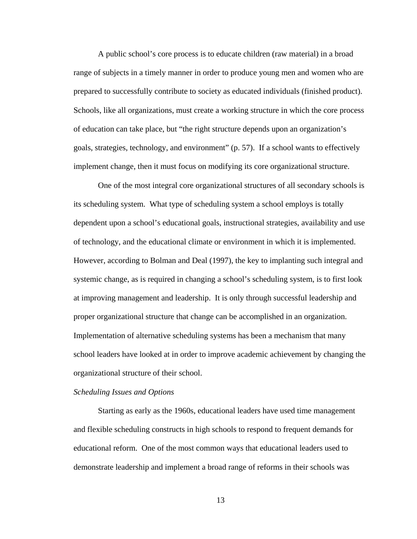A public school's core process is to educate children (raw material) in a broad range of subjects in a timely manner in order to produce young men and women who are prepared to successfully contribute to society as educated individuals (finished product). Schools, like all organizations, must create a working structure in which the core process of education can take place, but "the right structure depends upon an organization's goals, strategies, technology, and environment" (p. 57). If a school wants to effectively implement change, then it must focus on modifying its core organizational structure.

One of the most integral core organizational structures of all secondary schools is its scheduling system. What type of scheduling system a school employs is totally dependent upon a school's educational goals, instructional strategies, availability and use of technology, and the educational climate or environment in which it is implemented. However, according to Bolman and Deal (1997), the key to implanting such integral and systemic change, as is required in changing a school's scheduling system, is to first look at improving management and leadership. It is only through successful leadership and proper organizational structure that change can be accomplished in an organization. Implementation of alternative scheduling systems has been a mechanism that many school leaders have looked at in order to improve academic achievement by changing the organizational structure of their school.

#### *Scheduling Issues and Options*

Starting as early as the 1960s, educational leaders have used time management and flexible scheduling constructs in high schools to respond to frequent demands for educational reform. One of the most common ways that educational leaders used to demonstrate leadership and implement a broad range of reforms in their schools was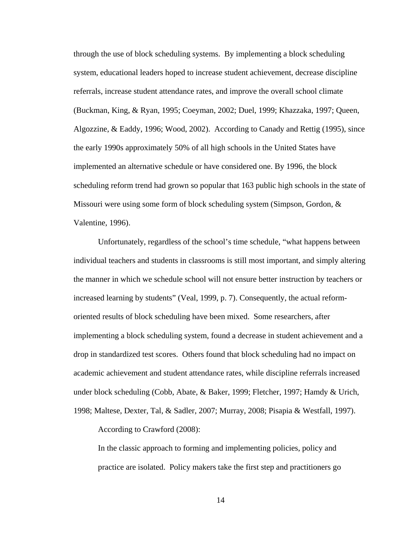through the use of block scheduling systems. By implementing a block scheduling system, educational leaders hoped to increase student achievement, decrease discipline referrals, increase student attendance rates, and improve the overall school climate (Buckman, King, & Ryan, 1995; Coeyman, 2002; Duel, 1999; Khazzaka, 1997; Queen, Algozzine, & Eaddy, 1996; Wood, 2002). According to Canady and Rettig (1995), since the early 1990s approximately 50% of all high schools in the United States have implemented an alternative schedule or have considered one. By 1996, the block scheduling reform trend had grown so popular that 163 public high schools in the state of Missouri were using some form of block scheduling system (Simpson, Gordon, & Valentine, 1996).

Unfortunately, regardless of the school's time schedule, "what happens between individual teachers and students in classrooms is still most important, and simply altering the manner in which we schedule school will not ensure better instruction by teachers or increased learning by students" (Veal, 1999, p. 7). Consequently, the actual reformoriented results of block scheduling have been mixed. Some researchers, after implementing a block scheduling system, found a decrease in student achievement and a drop in standardized test scores. Others found that block scheduling had no impact on academic achievement and student attendance rates, while discipline referrals increased under block scheduling (Cobb, Abate, & Baker, 1999; Fletcher, 1997; Hamdy & Urich, 1998; Maltese, Dexter, Tal, & Sadler, 2007; Murray, 2008; Pisapia & Westfall, 1997).

According to Crawford (2008):

In the classic approach to forming and implementing policies, policy and practice are isolated. Policy makers take the first step and practitioners go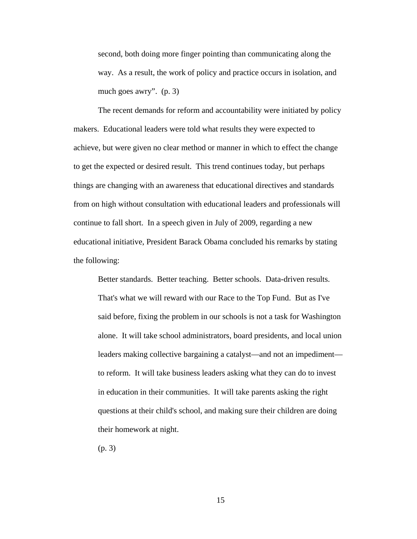second, both doing more finger pointing than communicating along the way. As a result, the work of policy and practice occurs in isolation, and much goes awry". (p. 3)

The recent demands for reform and accountability were initiated by policy makers. Educational leaders were told what results they were expected to achieve, but were given no clear method or manner in which to effect the change to get the expected or desired result. This trend continues today, but perhaps things are changing with an awareness that educational directives and standards from on high without consultation with educational leaders and professionals will continue to fall short. In a speech given in July of 2009, regarding a new educational initiative, President Barack Obama concluded his remarks by stating the following:

Better standards. Better teaching. Better schools. Data-driven results. That's what we will reward with our Race to the Top Fund. But as I've said before, fixing the problem in our schools is not a task for Washington alone. It will take school administrators, board presidents, and local union leaders making collective bargaining a catalyst—and not an impediment to reform. It will take business leaders asking what they can do to invest in education in their communities. It will take parents asking the right questions at their child's school, and making sure their children are doing their homework at night.

(p. 3)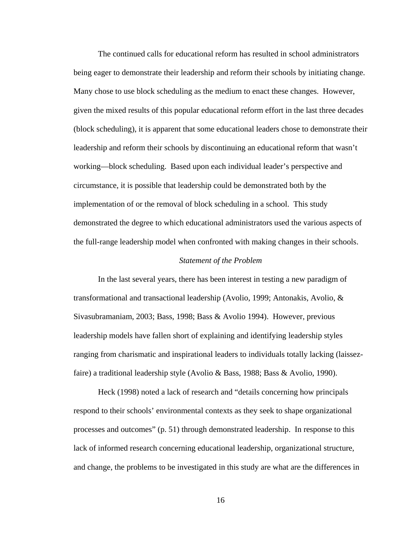The continued calls for educational reform has resulted in school administrators being eager to demonstrate their leadership and reform their schools by initiating change. Many chose to use block scheduling as the medium to enact these changes. However, given the mixed results of this popular educational reform effort in the last three decades (block scheduling), it is apparent that some educational leaders chose to demonstrate their leadership and reform their schools by discontinuing an educational reform that wasn't working—block scheduling. Based upon each individual leader's perspective and circumstance, it is possible that leadership could be demonstrated both by the implementation of or the removal of block scheduling in a school. This study demonstrated the degree to which educational administrators used the various aspects of the full-range leadership model when confronted with making changes in their schools.

#### *Statement of the Problem*

In the last several years, there has been interest in testing a new paradigm of transformational and transactional leadership (Avolio, 1999; Antonakis, Avolio, & Sivasubramaniam, 2003; Bass, 1998; Bass & Avolio 1994). However, previous leadership models have fallen short of explaining and identifying leadership styles ranging from charismatic and inspirational leaders to individuals totally lacking (laissezfaire) a traditional leadership style (Avolio & Bass, 1988; Bass & Avolio, 1990).

Heck (1998) noted a lack of research and "details concerning how principals respond to their schools' environmental contexts as they seek to shape organizational processes and outcomes" (p. 51) through demonstrated leadership. In response to this lack of informed research concerning educational leadership, organizational structure, and change, the problems to be investigated in this study are what are the differences in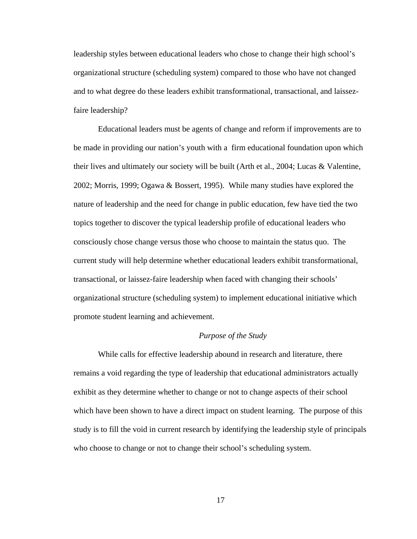leadership styles between educational leaders who chose to change their high school's organizational structure (scheduling system) compared to those who have not changed and to what degree do these leaders exhibit transformational, transactional, and laissezfaire leadership?

Educational leaders must be agents of change and reform if improvements are to be made in providing our nation's youth with a firm educational foundation upon which their lives and ultimately our society will be built (Arth et al., 2004; Lucas & Valentine, 2002; Morris, 1999; Ogawa & Bossert, 1995). While many studies have explored the nature of leadership and the need for change in public education, few have tied the two topics together to discover the typical leadership profile of educational leaders who consciously chose change versus those who choose to maintain the status quo. The current study will help determine whether educational leaders exhibit transformational, transactional, or laissez-faire leadership when faced with changing their schools' organizational structure (scheduling system) to implement educational initiative which promote student learning and achievement.

#### *Purpose of the Study*

While calls for effective leadership abound in research and literature, there remains a void regarding the type of leadership that educational administrators actually exhibit as they determine whether to change or not to change aspects of their school which have been shown to have a direct impact on student learning. The purpose of this study is to fill the void in current research by identifying the leadership style of principals who choose to change or not to change their school's scheduling system.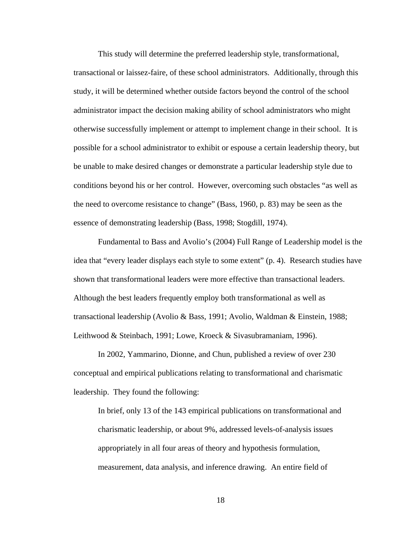This study will determine the preferred leadership style, transformational, transactional or laissez-faire, of these school administrators. Additionally, through this study, it will be determined whether outside factors beyond the control of the school administrator impact the decision making ability of school administrators who might otherwise successfully implement or attempt to implement change in their school. It is possible for a school administrator to exhibit or espouse a certain leadership theory, but be unable to make desired changes or demonstrate a particular leadership style due to conditions beyond his or her control. However, overcoming such obstacles "as well as the need to overcome resistance to change" (Bass, 1960, p. 83) may be seen as the essence of demonstrating leadership (Bass, 1998; Stogdill, 1974).

Fundamental to Bass and Avolio's (2004) Full Range of Leadership model is the idea that "every leader displays each style to some extent" (p. 4). Research studies have shown that transformational leaders were more effective than transactional leaders. Although the best leaders frequently employ both transformational as well as transactional leadership (Avolio & Bass, 1991; Avolio, Waldman & Einstein, 1988; Leithwood & Steinbach, 1991; Lowe, Kroeck & Sivasubramaniam, 1996).

In 2002, Yammarino, Dionne, and Chun, published a review of over 230 conceptual and empirical publications relating to transformational and charismatic leadership. They found the following:

In brief, only 13 of the 143 empirical publications on transformational and charismatic leadership, or about 9%, addressed levels-of-analysis issues appropriately in all four areas of theory and hypothesis formulation, measurement, data analysis, and inference drawing. An entire field of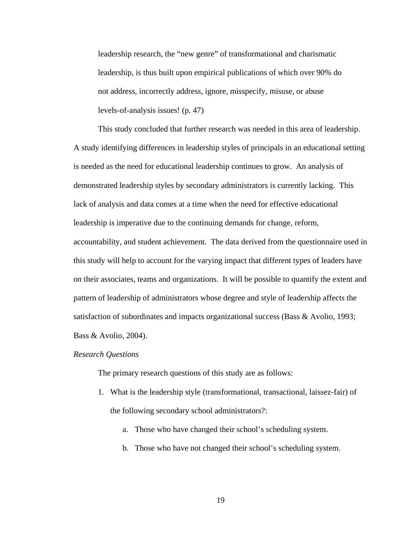leadership research, the "new genre" of transformational and charismatic leadership, is thus built upon empirical publications of which over 90% do not address, incorrectly address, ignore, misspecify, misuse, or abuse levels-of-analysis issues! (p. 47)

This study concluded that further research was needed in this area of leadership. A study identifying differences in leadership styles of principals in an educational setting is needed as the need for educational leadership continues to grow. An analysis of demonstrated leadership styles by secondary administrators is currently lacking. This lack of analysis and data comes at a time when the need for effective educational leadership is imperative due to the continuing demands for change, reform, accountability, and student achievement. The data derived from the questionnaire used in this study will help to account for the varying impact that different types of leaders have on their associates, teams and organizations. It will be possible to quantify the extent and pattern of leadership of administrators whose degree and style of leadership affects the satisfaction of subordinates and impacts organizational success (Bass & Avolio, 1993; Bass & Avolio, 2004).

#### *Research Questions*

The primary research questions of this study are as follows:

- 1. What is the leadership style (transformational, transactional, laissez-fair) of the following secondary school administrators?:
	- a. Those who have changed their school's scheduling system.
	- b. Those who have not changed their school's scheduling system.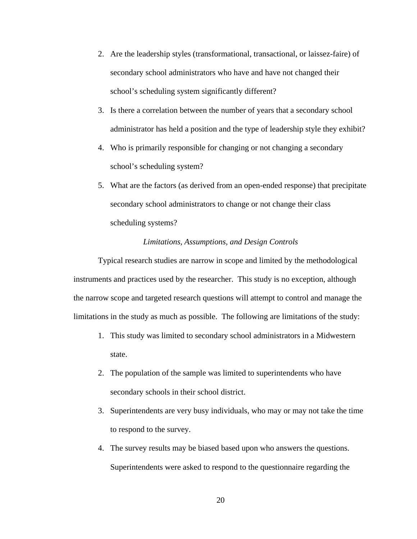- 2. Are the leadership styles (transformational, transactional, or laissez-faire) of secondary school administrators who have and have not changed their school's scheduling system significantly different?
- 3. Is there a correlation between the number of years that a secondary school administrator has held a position and the type of leadership style they exhibit?
- 4. Who is primarily responsible for changing or not changing a secondary school's scheduling system?
- 5. What are the factors (as derived from an open-ended response) that precipitate secondary school administrators to change or not change their class scheduling systems?

#### *Limitations, Assumptions, and Design Controls*

Typical research studies are narrow in scope and limited by the methodological instruments and practices used by the researcher. This study is no exception, although the narrow scope and targeted research questions will attempt to control and manage the limitations in the study as much as possible. The following are limitations of the study:

- 1. This study was limited to secondary school administrators in a Midwestern state.
- 2. The population of the sample was limited to superintendents who have secondary schools in their school district.
- 3. Superintendents are very busy individuals, who may or may not take the time to respond to the survey.
- 4. The survey results may be biased based upon who answers the questions. Superintendents were asked to respond to the questionnaire regarding the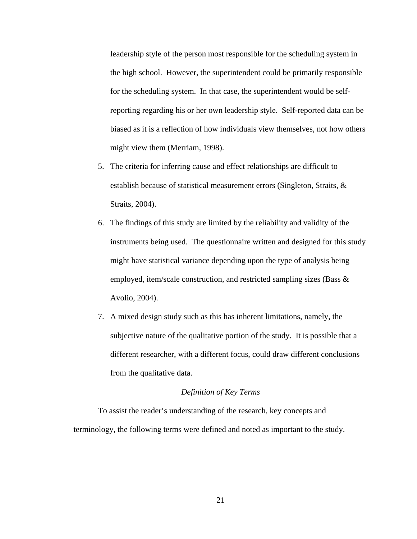leadership style of the person most responsible for the scheduling system in the high school. However, the superintendent could be primarily responsible for the scheduling system. In that case, the superintendent would be selfreporting regarding his or her own leadership style. Self-reported data can be biased as it is a reflection of how individuals view themselves, not how others might view them (Merriam, 1998).

- 5. The criteria for inferring cause and effect relationships are difficult to establish because of statistical measurement errors (Singleton, Straits, & Straits, 2004).
- 6. The findings of this study are limited by the reliability and validity of the instruments being used. The questionnaire written and designed for this study might have statistical variance depending upon the type of analysis being employed, item/scale construction, and restricted sampling sizes (Bass & Avolio, 2004).
- 7. A mixed design study such as this has inherent limitations, namely, the subjective nature of the qualitative portion of the study. It is possible that a different researcher, with a different focus, could draw different conclusions from the qualitative data.

#### *Definition of Key Terms*

To assist the reader's understanding of the research, key concepts and terminology, the following terms were defined and noted as important to the study.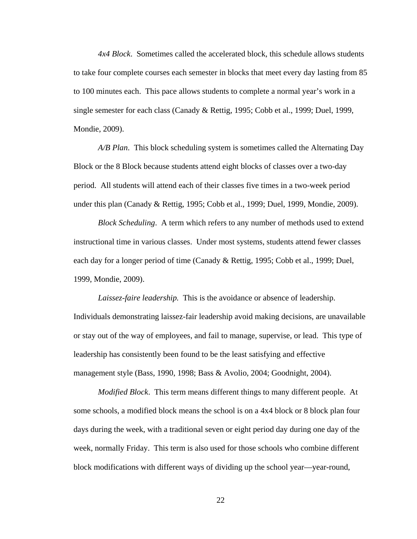*4x4 Block*. Sometimes called the accelerated block, this schedule allows students to take four complete courses each semester in blocks that meet every day lasting from 85 to 100 minutes each. This pace allows students to complete a normal year's work in a single semester for each class (Canady & Rettig, 1995; Cobb et al., 1999; Duel, 1999, Mondie, 2009).

*A/B Plan*. This block scheduling system is sometimes called the Alternating Day Block or the 8 Block because students attend eight blocks of classes over a two-day period. All students will attend each of their classes five times in a two-week period under this plan (Canady & Rettig, 1995; Cobb et al., 1999; Duel, 1999, Mondie, 2009).

*Block Scheduling*. A term which refers to any number of methods used to extend instructional time in various classes. Under most systems, students attend fewer classes each day for a longer period of time (Canady & Rettig, 1995; Cobb et al., 1999; Duel, 1999, Mondie, 2009).

*Laissez-faire leadership.* This is the avoidance or absence of leadership. Individuals demonstrating laissez-fair leadership avoid making decisions, are unavailable or stay out of the way of employees, and fail to manage, supervise, or lead. This type of leadership has consistently been found to be the least satisfying and effective management style (Bass, 1990, 1998; Bass & Avolio, 2004; Goodnight, 2004).

*Modified Block*. This term means different things to many different people. At some schools, a modified block means the school is on a 4x4 block or 8 block plan four days during the week, with a traditional seven or eight period day during one day of the week, normally Friday. This term is also used for those schools who combine different block modifications with different ways of dividing up the school year—year-round,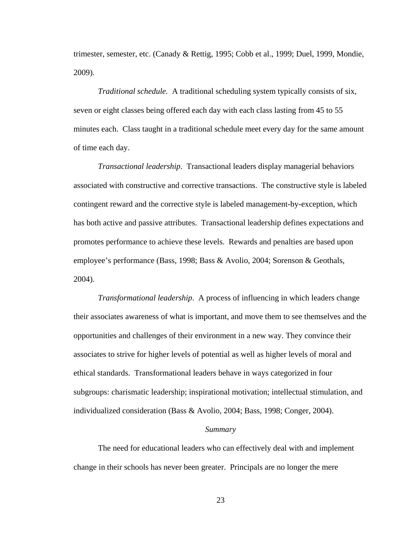trimester, semester, etc. (Canady & Rettig, 1995; Cobb et al., 1999; Duel, 1999, Mondie, 2009).

*Traditional schedule.* A traditional scheduling system typically consists of six, seven or eight classes being offered each day with each class lasting from 45 to 55 minutes each. Class taught in a traditional schedule meet every day for the same amount of time each day.

*Transactional leadership*. Transactional leaders display managerial behaviors associated with constructive and corrective transactions. The constructive style is labeled contingent reward and the corrective style is labeled management-by-exception, which has both active and passive attributes. Transactional leadership defines expectations and promotes performance to achieve these levels. Rewards and penalties are based upon employee's performance (Bass, 1998; Bass & Avolio, 2004; Sorenson & Geothals, 2004).

*Transformational leadership*. A process of influencing in which leaders change their associates awareness of what is important, and move them to see themselves and the opportunities and challenges of their environment in a new way. They convince their associates to strive for higher levels of potential as well as higher levels of moral and ethical standards. Transformational leaders behave in ways categorized in four subgroups: charismatic leadership; inspirational motivation; intellectual stimulation, and individualized consideration (Bass & Avolio, 2004; Bass, 1998; Conger, 2004).

#### *Summary*

The need for educational leaders who can effectively deal with and implement change in their schools has never been greater. Principals are no longer the mere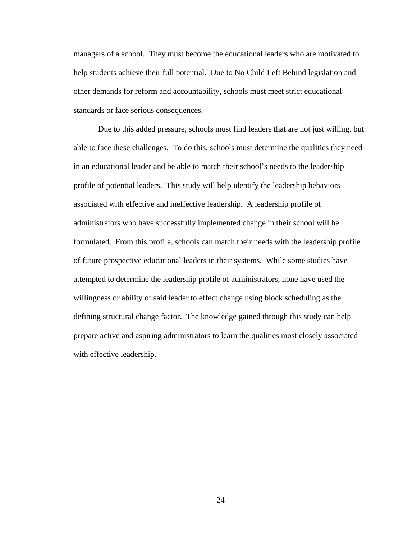managers of a school. They must become the educational leaders who are motivated to help students achieve their full potential. Due to No Child Left Behind legislation and other demands for reform and accountability, schools must meet strict educational standards or face serious consequences.

Due to this added pressure, schools must find leaders that are not just willing, but able to face these challenges. To do this, schools must determine the qualities they need in an educational leader and be able to match their school's needs to the leadership profile of potential leaders. This study will help identify the leadership behaviors associated with effective and ineffective leadership. A leadership profile of administrators who have successfully implemented change in their school will be formulated. From this profile, schools can match their needs with the leadership profile of future prospective educational leaders in their systems. While some studies have attempted to determine the leadership profile of administrators, none have used the willingness or ability of said leader to effect change using block scheduling as the defining structural change factor. The knowledge gained through this study can help prepare active and aspiring administrators to learn the qualities most closely associated with effective leadership.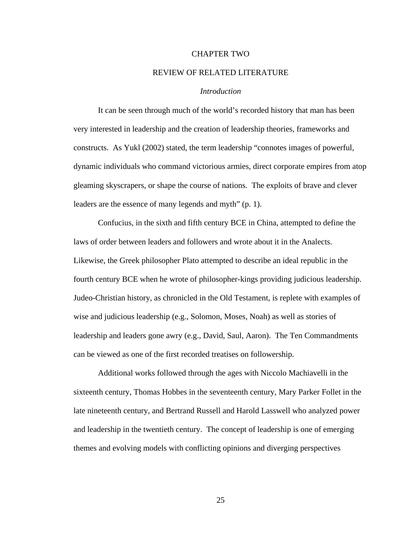#### CHAPTER TWO

#### REVIEW OF RELATED LITERATURE

#### *Introduction*

It can be seen through much of the world's recorded history that man has been very interested in leadership and the creation of leadership theories, frameworks and constructs. As Yukl (2002) stated, the term leadership "connotes images of powerful, dynamic individuals who command victorious armies, direct corporate empires from atop gleaming skyscrapers, or shape the course of nations. The exploits of brave and clever leaders are the essence of many legends and myth" (p. 1).

Confucius, in the sixth and fifth century BCE in China, attempted to define the laws of order between leaders and followers and wrote about it in the Analects. Likewise, the Greek philosopher Plato attempted to describe an ideal republic in the fourth century BCE when he wrote of philosopher-kings providing judicious leadership. Judeo-Christian history, as chronicled in the Old Testament, is replete with examples of wise and judicious leadership (e.g., Solomon, Moses, Noah) as well as stories of leadership and leaders gone awry (e.g., David, Saul, Aaron). The Ten Commandments can be viewed as one of the first recorded treatises on followership.

Additional works followed through the ages with Niccolo Machiavelli in the sixteenth century, Thomas Hobbes in the seventeenth century, Mary Parker Follet in the late nineteenth century, and Bertrand Russell and Harold Lasswell who analyzed power and leadership in the twentieth century. The concept of leadership is one of emerging themes and evolving models with conflicting opinions and diverging perspectives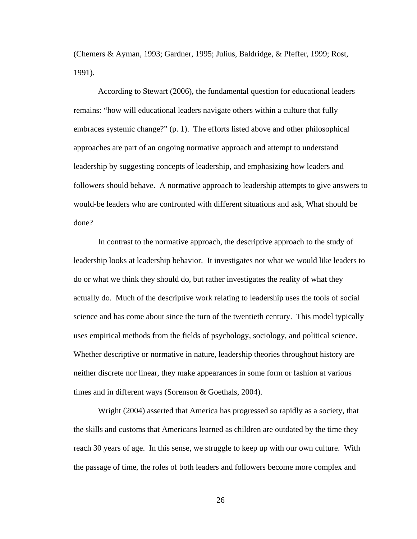(Chemers & Ayman, 1993; Gardner, 1995; Julius, Baldridge, & Pfeffer, 1999; Rost, 1991).

According to Stewart (2006), the fundamental question for educational leaders remains: "how will educational leaders navigate others within a culture that fully embraces systemic change?" (p. 1). The efforts listed above and other philosophical approaches are part of an ongoing normative approach and attempt to understand leadership by suggesting concepts of leadership, and emphasizing how leaders and followers should behave. A normative approach to leadership attempts to give answers to would-be leaders who are confronted with different situations and ask, What should be done?

In contrast to the normative approach, the descriptive approach to the study of leadership looks at leadership behavior. It investigates not what we would like leaders to do or what we think they should do, but rather investigates the reality of what they actually do. Much of the descriptive work relating to leadership uses the tools of social science and has come about since the turn of the twentieth century. This model typically uses empirical methods from the fields of psychology, sociology, and political science. Whether descriptive or normative in nature, leadership theories throughout history are neither discrete nor linear, they make appearances in some form or fashion at various times and in different ways (Sorenson & Goethals, 2004).

Wright (2004) asserted that America has progressed so rapidly as a society, that the skills and customs that Americans learned as children are outdated by the time they reach 30 years of age. In this sense, we struggle to keep up with our own culture. With the passage of time, the roles of both leaders and followers become more complex and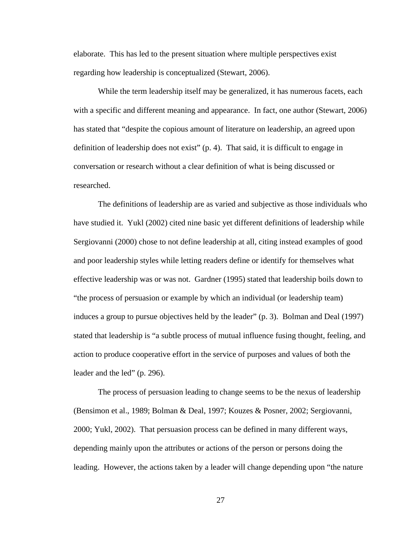elaborate. This has led to the present situation where multiple perspectives exist regarding how leadership is conceptualized (Stewart, 2006).

While the term leadership itself may be generalized, it has numerous facets, each with a specific and different meaning and appearance. In fact, one author (Stewart, 2006) has stated that "despite the copious amount of literature on leadership, an agreed upon definition of leadership does not exist" (p. 4). That said, it is difficult to engage in conversation or research without a clear definition of what is being discussed or researched.

The definitions of leadership are as varied and subjective as those individuals who have studied it. Yukl (2002) cited nine basic yet different definitions of leadership while Sergiovanni (2000) chose to not define leadership at all, citing instead examples of good and poor leadership styles while letting readers define or identify for themselves what effective leadership was or was not. Gardner (1995) stated that leadership boils down to "the process of persuasion or example by which an individual (or leadership team) induces a group to pursue objectives held by the leader" (p. 3). Bolman and Deal (1997) stated that leadership is "a subtle process of mutual influence fusing thought, feeling, and action to produce cooperative effort in the service of purposes and values of both the leader and the led" (p. 296).

The process of persuasion leading to change seems to be the nexus of leadership (Bensimon et al., 1989; Bolman & Deal, 1997; Kouzes & Posner, 2002; Sergiovanni, 2000; Yukl, 2002). That persuasion process can be defined in many different ways, depending mainly upon the attributes or actions of the person or persons doing the leading. However, the actions taken by a leader will change depending upon "the nature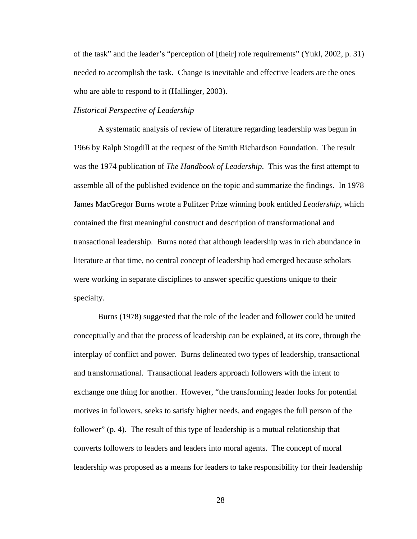of the task" and the leader's "perception of [their] role requirements" (Yukl, 2002, p. 31) needed to accomplish the task. Change is inevitable and effective leaders are the ones who are able to respond to it (Hallinger, 2003).

## *Historical Perspective of Leadership*

A systematic analysis of review of literature regarding leadership was begun in 1966 by Ralph Stogdill at the request of the Smith Richardson Foundation. The result was the 1974 publication of *The Handbook of Leadership*. This was the first attempt to assemble all of the published evidence on the topic and summarize the findings. In 1978 James MacGregor Burns wrote a Pulitzer Prize winning book entitled *Leadership,* which contained the first meaningful construct and description of transformational and transactional leadership. Burns noted that although leadership was in rich abundance in literature at that time, no central concept of leadership had emerged because scholars were working in separate disciplines to answer specific questions unique to their specialty.

Burns (1978) suggested that the role of the leader and follower could be united conceptually and that the process of leadership can be explained, at its core, through the interplay of conflict and power. Burns delineated two types of leadership, transactional and transformational. Transactional leaders approach followers with the intent to exchange one thing for another. However, "the transforming leader looks for potential motives in followers, seeks to satisfy higher needs, and engages the full person of the follower" (p. 4). The result of this type of leadership is a mutual relationship that converts followers to leaders and leaders into moral agents. The concept of moral leadership was proposed as a means for leaders to take responsibility for their leadership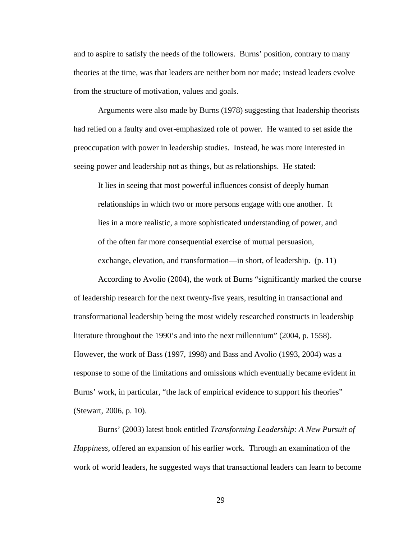and to aspire to satisfy the needs of the followers. Burns' position, contrary to many theories at the time, was that leaders are neither born nor made; instead leaders evolve from the structure of motivation, values and goals.

Arguments were also made by Burns (1978) suggesting that leadership theorists had relied on a faulty and over-emphasized role of power. He wanted to set aside the preoccupation with power in leadership studies. Instead, he was more interested in seeing power and leadership not as things, but as relationships. He stated:

It lies in seeing that most powerful influences consist of deeply human relationships in which two or more persons engage with one another. It lies in a more realistic, a more sophisticated understanding of power, and of the often far more consequential exercise of mutual persuasion, exchange, elevation, and transformation—in short, of leadership. (p. 11)

According to Avolio (2004), the work of Burns "significantly marked the course of leadership research for the next twenty-five years, resulting in transactional and transformational leadership being the most widely researched constructs in leadership literature throughout the 1990's and into the next millennium" (2004, p. 1558). However, the work of Bass (1997, 1998) and Bass and Avolio (1993, 2004) was a response to some of the limitations and omissions which eventually became evident in Burns' work, in particular, "the lack of empirical evidence to support his theories" (Stewart, 2006, p. 10).

Burns' (2003) latest book entitled *Transforming Leadership: A New Pursuit of Happiness*, offered an expansion of his earlier work. Through an examination of the work of world leaders, he suggested ways that transactional leaders can learn to become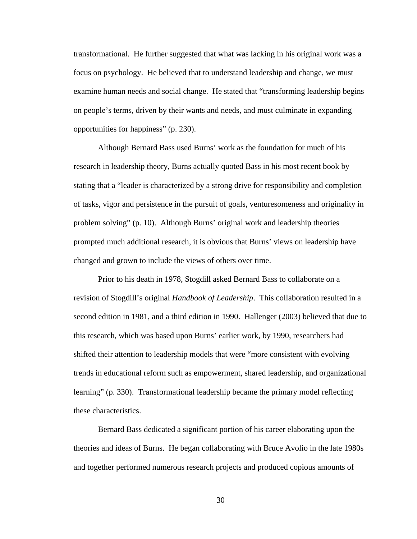transformational. He further suggested that what was lacking in his original work was a focus on psychology. He believed that to understand leadership and change, we must examine human needs and social change. He stated that "transforming leadership begins on people's terms, driven by their wants and needs, and must culminate in expanding opportunities for happiness" (p. 230).

Although Bernard Bass used Burns' work as the foundation for much of his research in leadership theory, Burns actually quoted Bass in his most recent book by stating that a "leader is characterized by a strong drive for responsibility and completion of tasks, vigor and persistence in the pursuit of goals, venturesomeness and originality in problem solving" (p. 10). Although Burns' original work and leadership theories prompted much additional research, it is obvious that Burns' views on leadership have changed and grown to include the views of others over time.

Prior to his death in 1978, Stogdill asked Bernard Bass to collaborate on a revision of Stogdill's original *Handbook of Leadership*. This collaboration resulted in a second edition in 1981, and a third edition in 1990. Hallenger (2003) believed that due to this research, which was based upon Burns' earlier work, by 1990, researchers had shifted their attention to leadership models that were "more consistent with evolving trends in educational reform such as empowerment, shared leadership, and organizational learning" (p. 330). Transformational leadership became the primary model reflecting these characteristics.

Bernard Bass dedicated a significant portion of his career elaborating upon the theories and ideas of Burns. He began collaborating with Bruce Avolio in the late 1980s and together performed numerous research projects and produced copious amounts of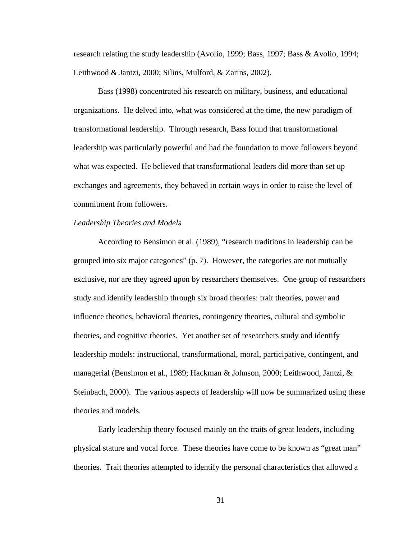research relating the study leadership (Avolio, 1999; Bass, 1997; Bass & Avolio, 1994; Leithwood & Jantzi, 2000; Silins, Mulford, & Zarins, 2002).

Bass (1998) concentrated his research on military, business, and educational organizations. He delved into, what was considered at the time, the new paradigm of transformational leadership. Through research, Bass found that transformational leadership was particularly powerful and had the foundation to move followers beyond what was expected. He believed that transformational leaders did more than set up exchanges and agreements, they behaved in certain ways in order to raise the level of commitment from followers.

## *Leadership Theories and Models*

According to Bensimon et al. (1989), "research traditions in leadership can be grouped into six major categories" (p. 7). However, the categories are not mutually exclusive, nor are they agreed upon by researchers themselves. One group of researchers study and identify leadership through six broad theories: trait theories, power and influence theories, behavioral theories, contingency theories, cultural and symbolic theories, and cognitive theories. Yet another set of researchers study and identify leadership models: instructional, transformational, moral, participative, contingent, and managerial (Bensimon et al., 1989; Hackman & Johnson, 2000; Leithwood, Jantzi, & Steinbach, 2000). The various aspects of leadership will now be summarized using these theories and models.

Early leadership theory focused mainly on the traits of great leaders, including physical stature and vocal force. These theories have come to be known as "great man" theories. Trait theories attempted to identify the personal characteristics that allowed a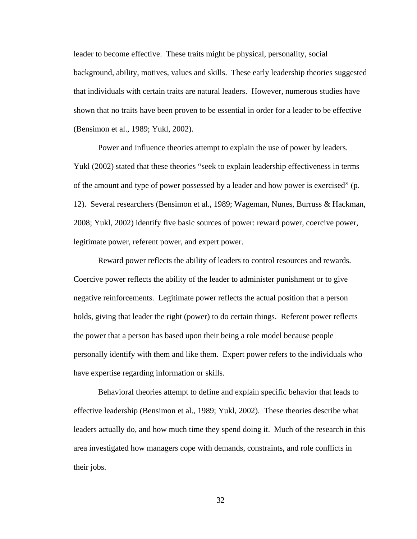leader to become effective. These traits might be physical, personality, social background, ability, motives, values and skills. These early leadership theories suggested that individuals with certain traits are natural leaders. However, numerous studies have shown that no traits have been proven to be essential in order for a leader to be effective (Bensimon et al., 1989; Yukl, 2002).

Power and influence theories attempt to explain the use of power by leaders. Yukl (2002) stated that these theories "seek to explain leadership effectiveness in terms of the amount and type of power possessed by a leader and how power is exercised" (p. 12). Several researchers (Bensimon et al., 1989; Wageman, Nunes, Burruss & Hackman, 2008; Yukl, 2002) identify five basic sources of power: reward power, coercive power, legitimate power, referent power, and expert power.

Reward power reflects the ability of leaders to control resources and rewards. Coercive power reflects the ability of the leader to administer punishment or to give negative reinforcements. Legitimate power reflects the actual position that a person holds, giving that leader the right (power) to do certain things. Referent power reflects the power that a person has based upon their being a role model because people personally identify with them and like them. Expert power refers to the individuals who have expertise regarding information or skills.

Behavioral theories attempt to define and explain specific behavior that leads to effective leadership (Bensimon et al., 1989; Yukl, 2002). These theories describe what leaders actually do, and how much time they spend doing it. Much of the research in this area investigated how managers cope with demands, constraints, and role conflicts in their jobs.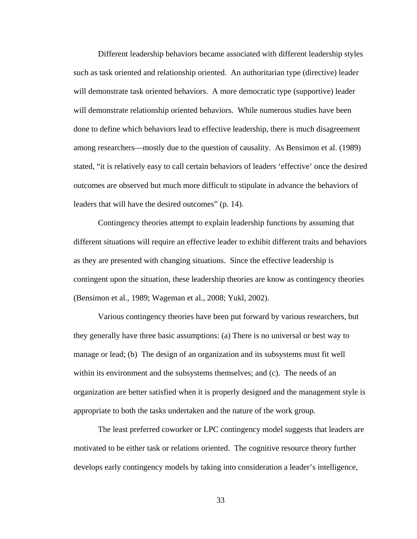Different leadership behaviors became associated with different leadership styles such as task oriented and relationship oriented. An authoritarian type (directive) leader will demonstrate task oriented behaviors. A more democratic type (supportive) leader will demonstrate relationship oriented behaviors. While numerous studies have been done to define which behaviors lead to effective leadership, there is much disagreement among researchers—mostly due to the question of causality. As Bensimon et al. (1989) stated, "it is relatively easy to call certain behaviors of leaders 'effective' once the desired outcomes are observed but much more difficult to stipulate in advance the behaviors of leaders that will have the desired outcomes" (p. 14).

Contingency theories attempt to explain leadership functions by assuming that different situations will require an effective leader to exhibit different traits and behaviors as they are presented with changing situations. Since the effective leadership is contingent upon the situation, these leadership theories are know as contingency theories (Bensimon et al., 1989; Wageman et al., 2008; Yukl, 2002).

Various contingency theories have been put forward by various researchers, but they generally have three basic assumptions: (a) There is no universal or best way to manage or lead; (b) The design of an organization and its subsystems must fit well within its environment and the subsystems themselves; and (c). The needs of an organization are better satisfied when it is properly designed and the management style is appropriate to both the tasks undertaken and the nature of the work group.

The least preferred coworker or LPC contingency model suggests that leaders are motivated to be either task or relations oriented. The cognitive resource theory further develops early contingency models by taking into consideration a leader's intelligence,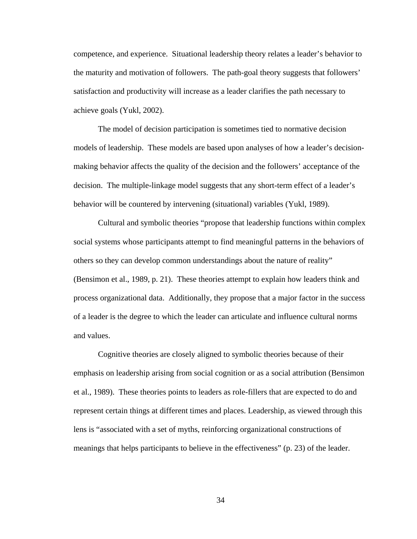competence, and experience. Situational leadership theory relates a leader's behavior to the maturity and motivation of followers. The path-goal theory suggests that followers' satisfaction and productivity will increase as a leader clarifies the path necessary to achieve goals (Yukl, 2002).

The model of decision participation is sometimes tied to normative decision models of leadership. These models are based upon analyses of how a leader's decisionmaking behavior affects the quality of the decision and the followers' acceptance of the decision. The multiple-linkage model suggests that any short-term effect of a leader's behavior will be countered by intervening (situational) variables (Yukl, 1989).

Cultural and symbolic theories "propose that leadership functions within complex social systems whose participants attempt to find meaningful patterns in the behaviors of others so they can develop common understandings about the nature of reality" (Bensimon et al., 1989, p. 21). These theories attempt to explain how leaders think and process organizational data. Additionally, they propose that a major factor in the success of a leader is the degree to which the leader can articulate and influence cultural norms and values.

Cognitive theories are closely aligned to symbolic theories because of their emphasis on leadership arising from social cognition or as a social attribution (Bensimon et al., 1989). These theories points to leaders as role-fillers that are expected to do and represent certain things at different times and places. Leadership, as viewed through this lens is "associated with a set of myths, reinforcing organizational constructions of meanings that helps participants to believe in the effectiveness" (p. 23) of the leader.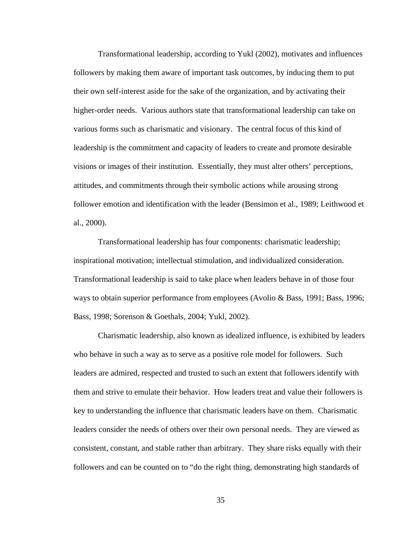Transformational leadership, according to Yukl (2002), motivates and influences followers by making them aware of important task outcomes, by inducing them to put their own self-interest aside for the sake of the organization, and by activating their higher-order needs. Various authors state that transformational leadership can take on various forms such as charismatic and visionary. The central focus of this kind of leadership is the commitment and capacity of leaders to create and promote desirable visions or images of their institution. Essentially, they must alter others' perceptions, attitudes, and commitments through their symbolic actions while arousing strong follower emotion and identification with the leader (Bensimon et al., 1989; Leithwood et al., 2000).

Transformational leadership has four components: charismatic leadership; inspirational motivation; intellectual stimulation, and individualized consideration. Transformational leadership is said to take place when leaders behave in of those four ways to obtain superior performance from employees (Avolio & Bass, 1991; Bass, 1996; Bass, 1998; Sorenson & Goethals, 2004; Yukl, 2002).

Charismatic leadership, also known as idealized influence, is exhibited by leaders who behave in such a way as to serve as a positive role model for followers. Such leaders are admired, respected and trusted to such an extent that followers identify with them and strive to emulate their behavior. How leaders treat and value their followers is key to understanding the influence that charismatic leaders have on them. Charismatic leaders consider the needs of others over their own personal needs. They are viewed as consistent, constant, and stable rather than arbitrary. They share risks equally with their followers and can be counted on to "do the right thing, demonstrating high standards of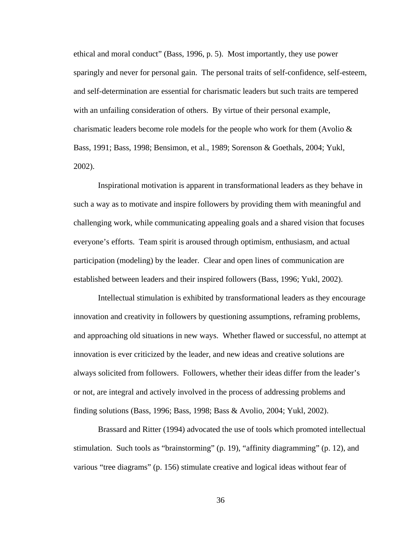ethical and moral conduct" (Bass, 1996, p. 5). Most importantly, they use power sparingly and never for personal gain. The personal traits of self-confidence, self-esteem, and self-determination are essential for charismatic leaders but such traits are tempered with an unfailing consideration of others. By virtue of their personal example, charismatic leaders become role models for the people who work for them (Avolio & Bass, 1991; Bass, 1998; Bensimon, et al., 1989; Sorenson & Goethals, 2004; Yukl, 2002).

Inspirational motivation is apparent in transformational leaders as they behave in such a way as to motivate and inspire followers by providing them with meaningful and challenging work, while communicating appealing goals and a shared vision that focuses everyone's efforts. Team spirit is aroused through optimism, enthusiasm, and actual participation (modeling) by the leader. Clear and open lines of communication are established between leaders and their inspired followers (Bass, 1996; Yukl, 2002).

Intellectual stimulation is exhibited by transformational leaders as they encourage innovation and creativity in followers by questioning assumptions, reframing problems, and approaching old situations in new ways. Whether flawed or successful, no attempt at innovation is ever criticized by the leader, and new ideas and creative solutions are always solicited from followers. Followers, whether their ideas differ from the leader's or not, are integral and actively involved in the process of addressing problems and finding solutions (Bass, 1996; Bass, 1998; Bass & Avolio, 2004; Yukl, 2002).

Brassard and Ritter (1994) advocated the use of tools which promoted intellectual stimulation. Such tools as "brainstorming" (p. 19), "affinity diagramming" (p. 12), and various "tree diagrams" (p. 156) stimulate creative and logical ideas without fear of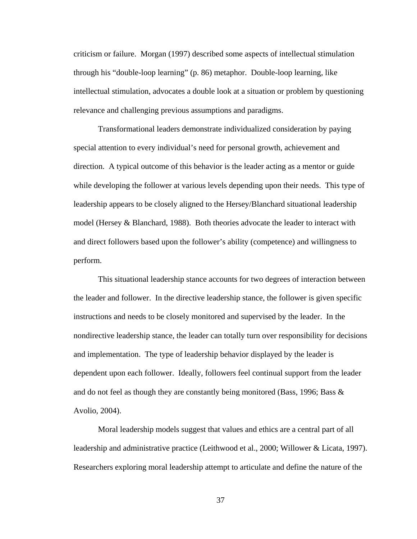criticism or failure. Morgan (1997) described some aspects of intellectual stimulation through his "double-loop learning" (p. 86) metaphor. Double-loop learning, like intellectual stimulation, advocates a double look at a situation or problem by questioning relevance and challenging previous assumptions and paradigms.

Transformational leaders demonstrate individualized consideration by paying special attention to every individual's need for personal growth, achievement and direction. A typical outcome of this behavior is the leader acting as a mentor or guide while developing the follower at various levels depending upon their needs. This type of leadership appears to be closely aligned to the Hersey/Blanchard situational leadership model (Hersey & Blanchard, 1988). Both theories advocate the leader to interact with and direct followers based upon the follower's ability (competence) and willingness to perform.

This situational leadership stance accounts for two degrees of interaction between the leader and follower. In the directive leadership stance, the follower is given specific instructions and needs to be closely monitored and supervised by the leader. In the nondirective leadership stance, the leader can totally turn over responsibility for decisions and implementation. The type of leadership behavior displayed by the leader is dependent upon each follower. Ideally, followers feel continual support from the leader and do not feel as though they are constantly being monitored (Bass, 1996; Bass  $\&$ Avolio, 2004).

Moral leadership models suggest that values and ethics are a central part of all leadership and administrative practice (Leithwood et al., 2000; Willower & Licata, 1997). Researchers exploring moral leadership attempt to articulate and define the nature of the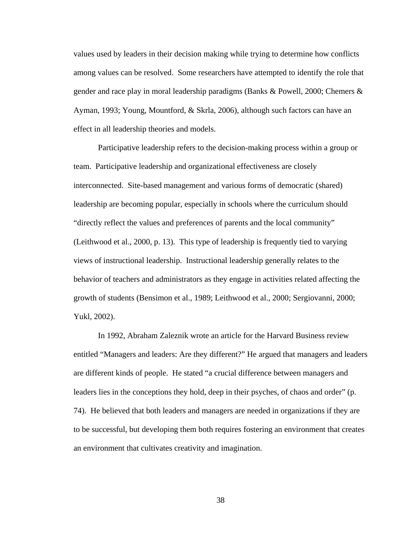values used by leaders in their decision making while trying to determine how conflicts among values can be resolved. Some researchers have attempted to identify the role that gender and race play in moral leadership paradigms (Banks & Powell, 2000; Chemers & Ayman, 1993; Young, Mountford, & Skrla, 2006), although such factors can have an effect in all leadership theories and models.

Participative leadership refers to the decision-making process within a group or team. Participative leadership and organizational effectiveness are closely interconnected. Site-based management and various forms of democratic (shared) leadership are becoming popular, especially in schools where the curriculum should "directly reflect the values and preferences of parents and the local community" (Leithwood et al., 2000, p. 13). This type of leadership is frequently tied to varying views of instructional leadership. Instructional leadership generally relates to the behavior of teachers and administrators as they engage in activities related affecting the growth of students (Bensimon et al., 1989; Leithwood et al., 2000; Sergiovanni, 2000; Yukl, 2002).

In 1992, Abraham Zaleznik wrote an article for the Harvard Business review entitled "Managers and leaders: Are they different?" He argued that managers and leaders are different kinds of people. He stated "a crucial difference between managers and leaders lies in the conceptions they hold, deep in their psyches, of chaos and order" (p. 74). He believed that both leaders and managers are needed in organizations if they are to be successful, but developing them both requires fostering an environment that creates an environment that cultivates creativity and imagination.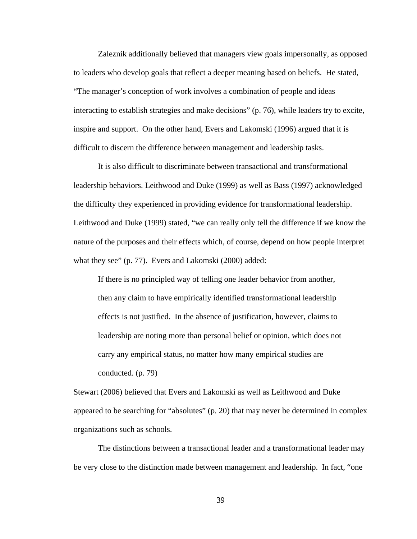Zaleznik additionally believed that managers view goals impersonally, as opposed to leaders who develop goals that reflect a deeper meaning based on beliefs. He stated, "The manager's conception of work involves a combination of people and ideas interacting to establish strategies and make decisions" (p. 76), while leaders try to excite, inspire and support. On the other hand, Evers and Lakomski (1996) argued that it is difficult to discern the difference between management and leadership tasks.

It is also difficult to discriminate between transactional and transformational leadership behaviors. Leithwood and Duke (1999) as well as Bass (1997) acknowledged the difficulty they experienced in providing evidence for transformational leadership. Leithwood and Duke (1999) stated, "we can really only tell the difference if we know the nature of the purposes and their effects which, of course, depend on how people interpret what they see" (p. 77). Evers and Lakomski (2000) added:

If there is no principled way of telling one leader behavior from another, then any claim to have empirically identified transformational leadership effects is not justified. In the absence of justification, however, claims to leadership are noting more than personal belief or opinion, which does not carry any empirical status, no matter how many empirical studies are conducted. (p. 79)

Stewart (2006) believed that Evers and Lakomski as well as Leithwood and Duke appeared to be searching for "absolutes" (p. 20) that may never be determined in complex organizations such as schools.

The distinctions between a transactional leader and a transformational leader may be very close to the distinction made between management and leadership. In fact, "one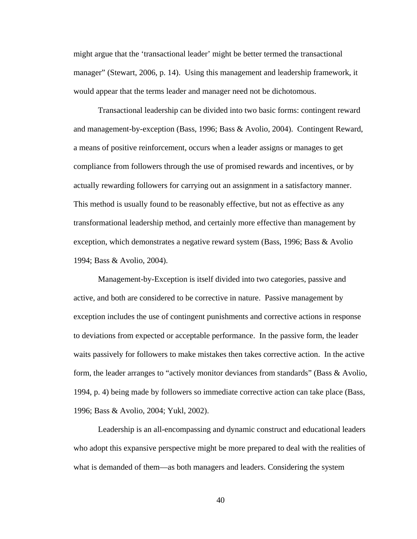might argue that the 'transactional leader' might be better termed the transactional manager" (Stewart, 2006, p. 14). Using this management and leadership framework, it would appear that the terms leader and manager need not be dichotomous.

Transactional leadership can be divided into two basic forms: contingent reward and management-by-exception (Bass, 1996; Bass & Avolio, 2004). Contingent Reward, a means of positive reinforcement, occurs when a leader assigns or manages to get compliance from followers through the use of promised rewards and incentives, or by actually rewarding followers for carrying out an assignment in a satisfactory manner. This method is usually found to be reasonably effective, but not as effective as any transformational leadership method, and certainly more effective than management by exception, which demonstrates a negative reward system (Bass, 1996; Bass  $\&$  Avolio 1994; Bass & Avolio, 2004).

Management-by-Exception is itself divided into two categories, passive and active, and both are considered to be corrective in nature. Passive management by exception includes the use of contingent punishments and corrective actions in response to deviations from expected or acceptable performance. In the passive form, the leader waits passively for followers to make mistakes then takes corrective action. In the active form, the leader arranges to "actively monitor deviances from standards" (Bass & Avolio, 1994, p. 4) being made by followers so immediate corrective action can take place (Bass, 1996; Bass & Avolio, 2004; Yukl, 2002).

Leadership is an all-encompassing and dynamic construct and educational leaders who adopt this expansive perspective might be more prepared to deal with the realities of what is demanded of them—as both managers and leaders. Considering the system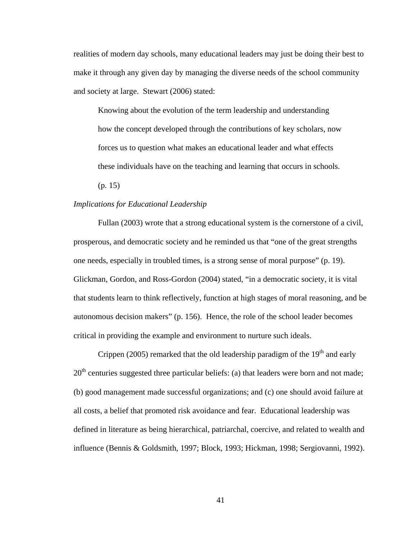realities of modern day schools, many educational leaders may just be doing their best to make it through any given day by managing the diverse needs of the school community and society at large. Stewart (2006) stated:

Knowing about the evolution of the term leadership and understanding how the concept developed through the contributions of key scholars, now forces us to question what makes an educational leader and what effects these individuals have on the teaching and learning that occurs in schools.

(p. 15)

# *Implications for Educational Leadership*

Fullan (2003) wrote that a strong educational system is the cornerstone of a civil, prosperous, and democratic society and he reminded us that "one of the great strengths one needs, especially in troubled times, is a strong sense of moral purpose" (p. 19). Glickman, Gordon, and Ross-Gordon (2004) stated, "in a democratic society, it is vital that students learn to think reflectively, function at high stages of moral reasoning, and be autonomous decision makers" (p. 156). Hence, the role of the school leader becomes critical in providing the example and environment to nurture such ideals.

Crippen (2005) remarked that the old leadership paradigm of the  $19<sup>th</sup>$  and early  $20<sup>th</sup>$  centuries suggested three particular beliefs: (a) that leaders were born and not made; (b) good management made successful organizations; and (c) one should avoid failure at all costs, a belief that promoted risk avoidance and fear. Educational leadership was defined in literature as being hierarchical, patriarchal, coercive, and related to wealth and influence (Bennis & Goldsmith, 1997; Block, 1993; Hickman, 1998; Sergiovanni, 1992).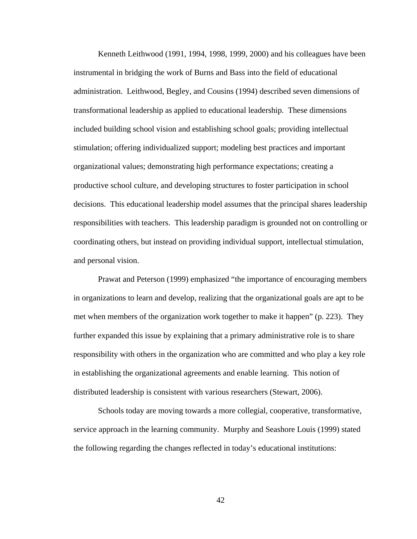Kenneth Leithwood (1991, 1994, 1998, 1999, 2000) and his colleagues have been instrumental in bridging the work of Burns and Bass into the field of educational administration. Leithwood, Begley, and Cousins (1994) described seven dimensions of transformational leadership as applied to educational leadership. These dimensions included building school vision and establishing school goals; providing intellectual stimulation; offering individualized support; modeling best practices and important organizational values; demonstrating high performance expectations; creating a productive school culture, and developing structures to foster participation in school decisions. This educational leadership model assumes that the principal shares leadership responsibilities with teachers. This leadership paradigm is grounded not on controlling or coordinating others, but instead on providing individual support, intellectual stimulation, and personal vision.

Prawat and Peterson (1999) emphasized "the importance of encouraging members in organizations to learn and develop, realizing that the organizational goals are apt to be met when members of the organization work together to make it happen" (p. 223). They further expanded this issue by explaining that a primary administrative role is to share responsibility with others in the organization who are committed and who play a key role in establishing the organizational agreements and enable learning. This notion of distributed leadership is consistent with various researchers (Stewart, 2006).

Schools today are moving towards a more collegial, cooperative, transformative, service approach in the learning community. Murphy and Seashore Louis (1999) stated the following regarding the changes reflected in today's educational institutions: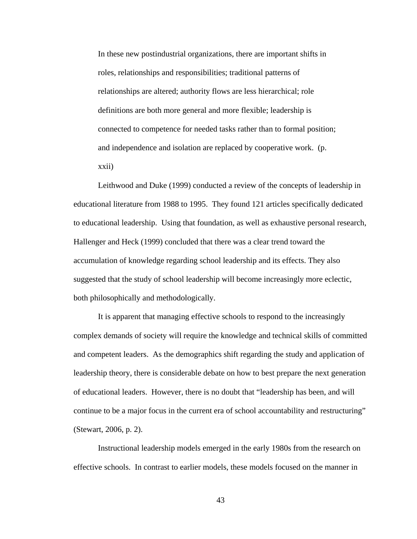In these new postindustrial organizations, there are important shifts in roles, relationships and responsibilities; traditional patterns of relationships are altered; authority flows are less hierarchical; role definitions are both more general and more flexible; leadership is connected to competence for needed tasks rather than to formal position; and independence and isolation are replaced by cooperative work. (p. xxii)

Leithwood and Duke (1999) conducted a review of the concepts of leadership in educational literature from 1988 to 1995. They found 121 articles specifically dedicated to educational leadership. Using that foundation, as well as exhaustive personal research, Hallenger and Heck (1999) concluded that there was a clear trend toward the accumulation of knowledge regarding school leadership and its effects. They also suggested that the study of school leadership will become increasingly more eclectic, both philosophically and methodologically.

It is apparent that managing effective schools to respond to the increasingly complex demands of society will require the knowledge and technical skills of committed and competent leaders. As the demographics shift regarding the study and application of leadership theory, there is considerable debate on how to best prepare the next generation of educational leaders. However, there is no doubt that "leadership has been, and will continue to be a major focus in the current era of school accountability and restructuring" (Stewart, 2006, p. 2).

Instructional leadership models emerged in the early 1980s from the research on effective schools. In contrast to earlier models, these models focused on the manner in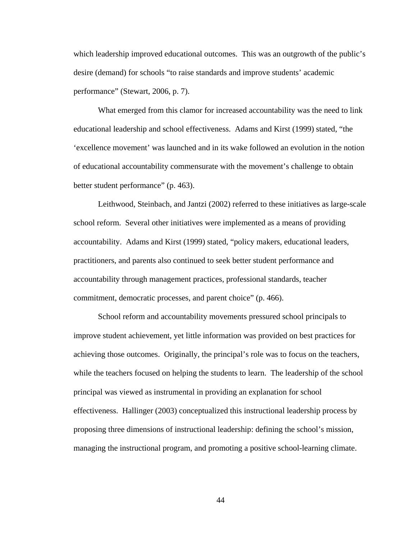which leadership improved educational outcomes. This was an outgrowth of the public's desire (demand) for schools "to raise standards and improve students' academic performance" (Stewart, 2006, p. 7).

What emerged from this clamor for increased accountability was the need to link educational leadership and school effectiveness. Adams and Kirst (1999) stated, "the 'excellence movement' was launched and in its wake followed an evolution in the notion of educational accountability commensurate with the movement's challenge to obtain better student performance" (p. 463).

Leithwood, Steinbach, and Jantzi (2002) referred to these initiatives as large-scale school reform. Several other initiatives were implemented as a means of providing accountability. Adams and Kirst (1999) stated, "policy makers, educational leaders, practitioners, and parents also continued to seek better student performance and accountability through management practices, professional standards, teacher commitment, democratic processes, and parent choice" (p. 466).

School reform and accountability movements pressured school principals to improve student achievement, yet little information was provided on best practices for achieving those outcomes. Originally, the principal's role was to focus on the teachers, while the teachers focused on helping the students to learn. The leadership of the school principal was viewed as instrumental in providing an explanation for school effectiveness. Hallinger (2003) conceptualized this instructional leadership process by proposing three dimensions of instructional leadership: defining the school's mission, managing the instructional program, and promoting a positive school-learning climate.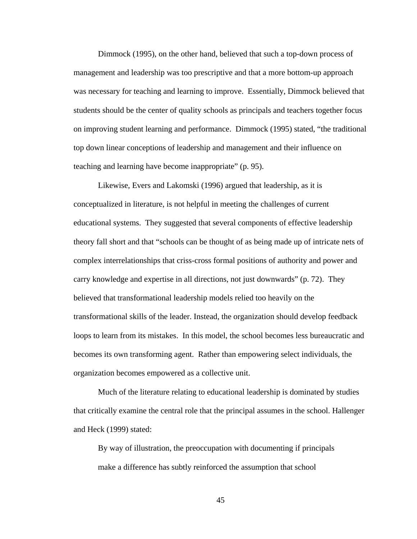Dimmock (1995), on the other hand, believed that such a top-down process of management and leadership was too prescriptive and that a more bottom-up approach was necessary for teaching and learning to improve. Essentially, Dimmock believed that students should be the center of quality schools as principals and teachers together focus on improving student learning and performance. Dimmock (1995) stated, "the traditional top down linear conceptions of leadership and management and their influence on teaching and learning have become inappropriate" (p. 95).

Likewise, Evers and Lakomski (1996) argued that leadership, as it is conceptualized in literature, is not helpful in meeting the challenges of current educational systems. They suggested that several components of effective leadership theory fall short and that "schools can be thought of as being made up of intricate nets of complex interrelationships that criss-cross formal positions of authority and power and carry knowledge and expertise in all directions, not just downwards" (p. 72). They believed that transformational leadership models relied too heavily on the transformational skills of the leader. Instead, the organization should develop feedback loops to learn from its mistakes. In this model, the school becomes less bureaucratic and becomes its own transforming agent. Rather than empowering select individuals, the organization becomes empowered as a collective unit.

Much of the literature relating to educational leadership is dominated by studies that critically examine the central role that the principal assumes in the school. Hallenger and Heck (1999) stated:

By way of illustration, the preoccupation with documenting if principals make a difference has subtly reinforced the assumption that school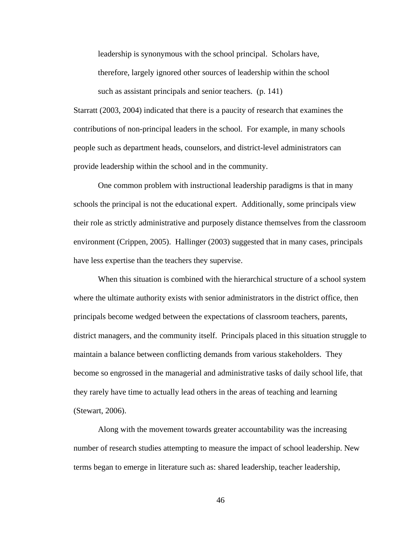leadership is synonymous with the school principal. Scholars have,

therefore, largely ignored other sources of leadership within the school

such as assistant principals and senior teachers. (p. 141)

Starratt (2003, 2004) indicated that there is a paucity of research that examines the contributions of non-principal leaders in the school. For example, in many schools people such as department heads, counselors, and district-level administrators can provide leadership within the school and in the community.

One common problem with instructional leadership paradigms is that in many schools the principal is not the educational expert. Additionally, some principals view their role as strictly administrative and purposely distance themselves from the classroom environment (Crippen, 2005). Hallinger (2003) suggested that in many cases, principals have less expertise than the teachers they supervise.

When this situation is combined with the hierarchical structure of a school system where the ultimate authority exists with senior administrators in the district office, then principals become wedged between the expectations of classroom teachers, parents, district managers, and the community itself. Principals placed in this situation struggle to maintain a balance between conflicting demands from various stakeholders. They become so engrossed in the managerial and administrative tasks of daily school life, that they rarely have time to actually lead others in the areas of teaching and learning (Stewart, 2006).

Along with the movement towards greater accountability was the increasing number of research studies attempting to measure the impact of school leadership. New terms began to emerge in literature such as: shared leadership, teacher leadership,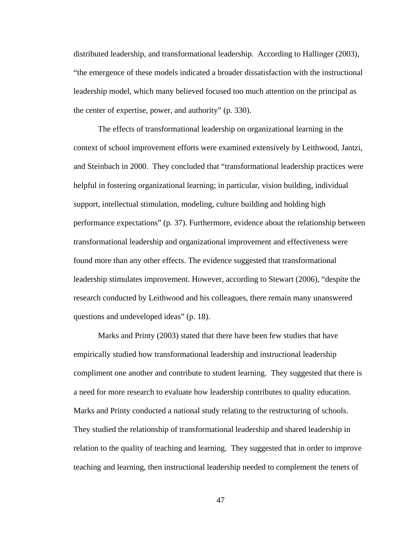distributed leadership, and transformational leadership. According to Hallinger (2003), "the emergence of these models indicated a broader dissatisfaction with the instructional leadership model, which many believed focused too much attention on the principal as the center of expertise, power, and authority" (p. 330).

The effects of transformational leadership on organizational learning in the context of school improvement efforts were examined extensively by Leithwood, Jantzi, and Steinbach in 2000. They concluded that "transformational leadership practices were helpful in fostering organizational learning; in particular, vision building, individual support, intellectual stimulation, modeling, culture building and holding high performance expectations" (p. 37). Furthermore, evidence about the relationship between transformational leadership and organizational improvement and effectiveness were found more than any other effects. The evidence suggested that transformational leadership stimulates improvement. However, according to Stewart (2006), "despite the research conducted by Leithwood and his colleagues, there remain many unanswered questions and undeveloped ideas" (p. 18).

Marks and Printy (2003) stated that there have been few studies that have empirically studied how transformational leadership and instructional leadership compliment one another and contribute to student learning. They suggested that there is a need for more research to evaluate how leadership contributes to quality education. Marks and Printy conducted a national study relating to the restructuring of schools. They studied the relationship of transformational leadership and shared leadership in relation to the quality of teaching and learning. They suggested that in order to improve teaching and learning, then instructional leadership needed to complement the tenets of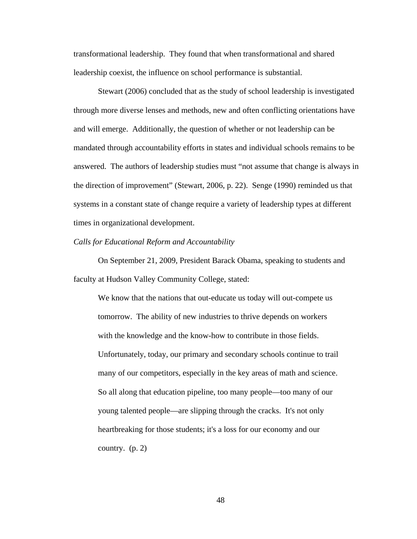transformational leadership. They found that when transformational and shared leadership coexist, the influence on school performance is substantial.

Stewart (2006) concluded that as the study of school leadership is investigated through more diverse lenses and methods, new and often conflicting orientations have and will emerge. Additionally, the question of whether or not leadership can be mandated through accountability efforts in states and individual schools remains to be answered. The authors of leadership studies must "not assume that change is always in the direction of improvement" (Stewart, 2006, p. 22). Senge (1990) reminded us that systems in a constant state of change require a variety of leadership types at different times in organizational development.

#### *Calls for Educational Reform and Accountability*

On September 21, 2009, President Barack Obama, speaking to students and faculty at Hudson Valley Community College, stated:

We know that the nations that out-educate us today will out-compete us tomorrow. The ability of new industries to thrive depends on workers with the knowledge and the know-how to contribute in those fields. Unfortunately, today, our primary and secondary schools continue to trail many of our competitors, especially in the key areas of math and science. So all along that education pipeline, too many people—too many of our young talented people—are slipping through the cracks. It's not only heartbreaking for those students; it's a loss for our economy and our country. (p. 2)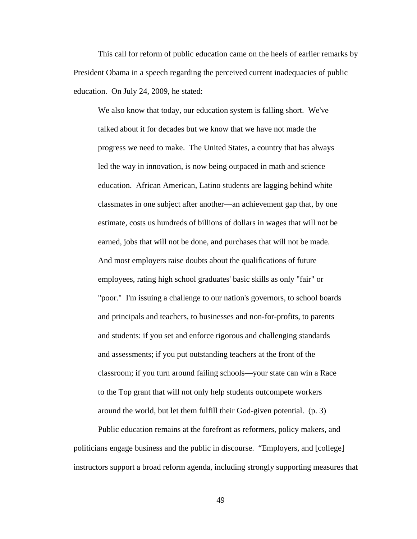This call for reform of public education came on the heels of earlier remarks by President Obama in a speech regarding the perceived current inadequacies of public education. On July 24, 2009, he stated:

We also know that today, our education system is falling short. We've talked about it for decades but we know that we have not made the progress we need to make. The United States, a country that has always led the way in innovation, is now being outpaced in math and science education. African American, Latino students are lagging behind white classmates in one subject after another—an achievement gap that, by one estimate, costs us hundreds of billions of dollars in wages that will not be earned, jobs that will not be done, and purchases that will not be made. And most employers raise doubts about the qualifications of future employees, rating high school graduates' basic skills as only "fair" or "poor." I'm issuing a challenge to our nation's governors, to school boards and principals and teachers, to businesses and non-for-profits, to parents and students: if you set and enforce rigorous and challenging standards and assessments; if you put outstanding teachers at the front of the classroom; if you turn around failing schools—your state can win a Race to the Top grant that will not only help students outcompete workers around the world, but let them fulfill their God-given potential. (p. 3)

Public education remains at the forefront as reformers, policy makers, and politicians engage business and the public in discourse. "Employers, and [college] instructors support a broad reform agenda, including strongly supporting measures that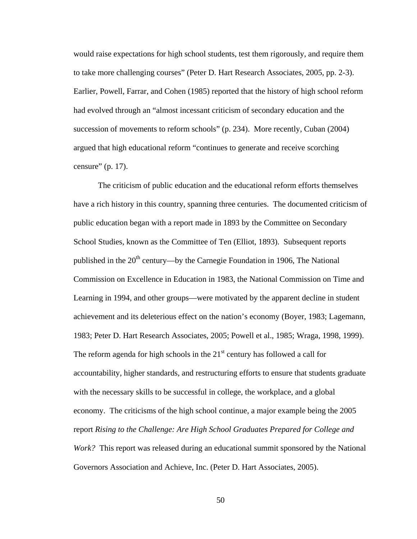would raise expectations for high school students, test them rigorously, and require them to take more challenging courses" (Peter D. Hart Research Associates, 2005, pp. 2-3). Earlier, Powell, Farrar, and Cohen (1985) reported that the history of high school reform had evolved through an "almost incessant criticism of secondary education and the succession of movements to reform schools" (p. 234). More recently, Cuban (2004) argued that high educational reform "continues to generate and receive scorching censure" (p. 17).

The criticism of public education and the educational reform efforts themselves have a rich history in this country, spanning three centuries. The documented criticism of public education began with a report made in 1893 by the Committee on Secondary School Studies, known as the Committee of Ten (Elliot, 1893). Subsequent reports published in the  $20<sup>th</sup>$  century—by the Carnegie Foundation in 1906, The National Commission on Excellence in Education in 1983, the National Commission on Time and Learning in 1994, and other groups—were motivated by the apparent decline in student achievement and its deleterious effect on the nation's economy (Boyer, 1983; Lagemann, 1983; Peter D. Hart Research Associates, 2005; Powell et al., 1985; Wraga, 1998, 1999). The reform agenda for high schools in the  $21<sup>st</sup>$  century has followed a call for accountability, higher standards, and restructuring efforts to ensure that students graduate with the necessary skills to be successful in college, the workplace, and a global economy. The criticisms of the high school continue, a major example being the 2005 report *Rising to the Challenge: Are High School Graduates Prepared for College and Work?* This report was released during an educational summit sponsored by the National Governors Association and Achieve, Inc. (Peter D. Hart Associates, 2005).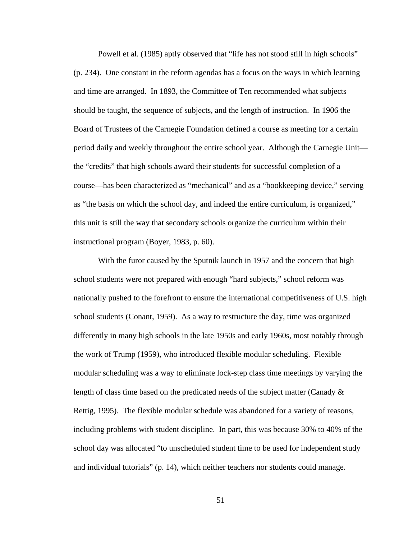Powell et al. (1985) aptly observed that "life has not stood still in high schools" (p. 234). One constant in the reform agendas has a focus on the ways in which learning and time are arranged. In 1893, the Committee of Ten recommended what subjects should be taught, the sequence of subjects, and the length of instruction. In 1906 the Board of Trustees of the Carnegie Foundation defined a course as meeting for a certain period daily and weekly throughout the entire school year. Although the Carnegie Unit the "credits" that high schools award their students for successful completion of a course—has been characterized as "mechanical" and as a "bookkeeping device," serving as "the basis on which the school day, and indeed the entire curriculum, is organized," this unit is still the way that secondary schools organize the curriculum within their instructional program (Boyer, 1983, p. 60).

With the furor caused by the Sputnik launch in 1957 and the concern that high school students were not prepared with enough "hard subjects," school reform was nationally pushed to the forefront to ensure the international competitiveness of U.S. high school students (Conant, 1959). As a way to restructure the day, time was organized differently in many high schools in the late 1950s and early 1960s, most notably through the work of Trump (1959), who introduced flexible modular scheduling. Flexible modular scheduling was a way to eliminate lock-step class time meetings by varying the length of class time based on the predicated needs of the subject matter (Canady & Rettig, 1995). The flexible modular schedule was abandoned for a variety of reasons, including problems with student discipline. In part, this was because 30% to 40% of the school day was allocated "to unscheduled student time to be used for independent study and individual tutorials" (p. 14), which neither teachers nor students could manage.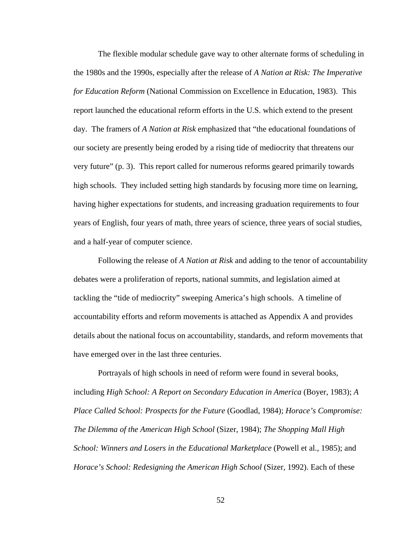The flexible modular schedule gave way to other alternate forms of scheduling in the 1980s and the 1990s, especially after the release of *A Nation at Risk: The Imperative for Education Reform* (National Commission on Excellence in Education, 1983). This report launched the educational reform efforts in the U.S. which extend to the present day. The framers of *A Nation at Risk* emphasized that "the educational foundations of our society are presently being eroded by a rising tide of mediocrity that threatens our very future" (p. 3). This report called for numerous reforms geared primarily towards high schools. They included setting high standards by focusing more time on learning, having higher expectations for students, and increasing graduation requirements to four years of English, four years of math, three years of science, three years of social studies, and a half-year of computer science.

Following the release of *A Nation at Risk* and adding to the tenor of accountability debates were a proliferation of reports, national summits, and legislation aimed at tackling the "tide of mediocrity" sweeping America's high schools. A timeline of accountability efforts and reform movements is attached as Appendix A and provides details about the national focus on accountability, standards, and reform movements that have emerged over in the last three centuries.

Portrayals of high schools in need of reform were found in several books, including *High School: A Report on Secondary Education in America* (Boyer, 1983); *A Place Called School: Prospects for the Future* (Goodlad, 1984); *Horace's Compromise: The Dilemma of the American High School* (Sizer, 1984); *The Shopping Mall High School: Winners and Losers in the Educational Marketplace (Powell et al., 1985); and Horace's School: Redesigning the American High School (Sizer, 1992). Each of these*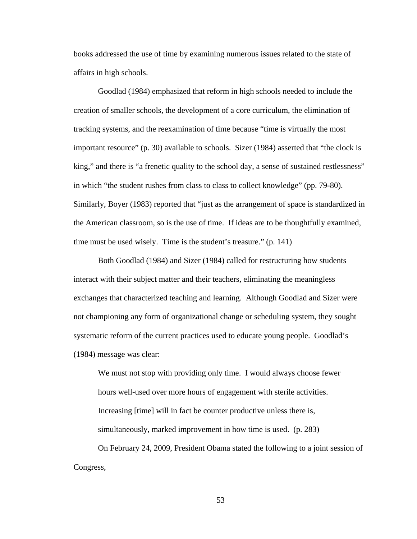books addressed the use of time by examining numerous issues related to the state of affairs in high schools.

Goodlad (1984) emphasized that reform in high schools needed to include the creation of smaller schools, the development of a core curriculum, the elimination of tracking systems, and the reexamination of time because "time is virtually the most important resource" (p. 30) available to schools. Sizer (1984) asserted that "the clock is king," and there is "a frenetic quality to the school day, a sense of sustained restlessness" in which "the student rushes from class to class to collect knowledge" (pp. 79-80). Similarly, Boyer (1983) reported that "just as the arrangement of space is standardized in the American classroom, so is the use of time. If ideas are to be thoughtfully examined, time must be used wisely. Time is the student's treasure." (p. 141)

Both Goodlad (1984) and Sizer (1984) called for restructuring how students interact with their subject matter and their teachers, eliminating the meaningless exchanges that characterized teaching and learning. Although Goodlad and Sizer were not championing any form of organizational change or scheduling system, they sought systematic reform of the current practices used to educate young people. Goodlad's (1984) message was clear:

We must not stop with providing only time. I would always choose fewer hours well-used over more hours of engagement with sterile activities. Increasing [time] will in fact be counter productive unless there is, simultaneously, marked improvement in how time is used. (p. 283)

On February 24, 2009, President Obama stated the following to a joint session of Congress,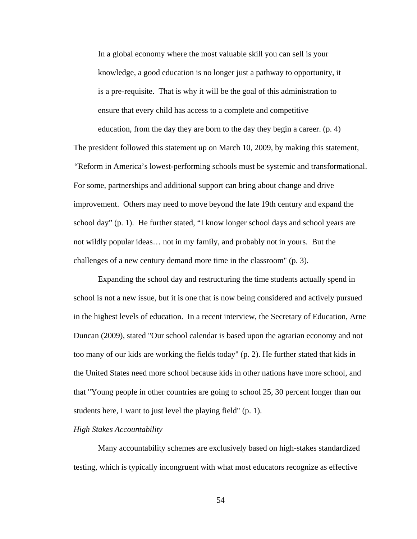In a global economy where the most valuable skill you can sell is your knowledge, a good education is no longer just a pathway to opportunity, it is a pre-requisite. That is why it will be the goal of this administration to ensure that every child has access to a complete and competitive education, from the day they are born to the day they begin a career. (p. 4)

The president followed this statement up on March 10, 2009, by making this statement, *"*Reform in America's lowest-performing schools must be systemic and transformational. For some, partnerships and additional support can bring about change and drive improvement. Others may need to move beyond the late 19th century and expand the school day" (p. 1). He further stated, "I know longer school days and school years are not wildly popular ideas… not in my family, and probably not in yours. But the challenges of a new century demand more time in the classroom" (p. 3).

Expanding the school day and restructuring the time students actually spend in school is not a new issue, but it is one that is now being considered and actively pursued in the highest levels of education. In a recent interview, the Secretary of Education, Arne Duncan (2009), stated "Our school calendar is based upon the agrarian economy and not too many of our kids are working the fields today" (p. 2). He further stated that kids in the United States need more school because kids in other nations have more school, and that "Young people in other countries are going to school 25, 30 percent longer than our students here, I want to just level the playing field" (p. 1).

## *High Stakes Accountability*

Many accountability schemes are exclusively based on high-stakes standardized testing, which is typically incongruent with what most educators recognize as effective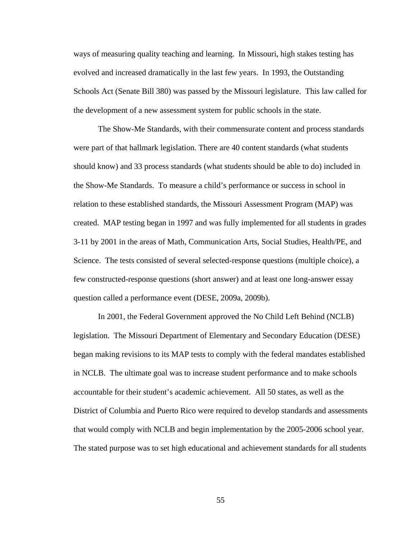ways of measuring quality teaching and learning. In Missouri, high stakes testing has evolved and increased dramatically in the last few years. In 1993, the Outstanding Schools Act (Senate Bill 380) was passed by the Missouri legislature. This law called for the development of a new assessment system for public schools in the state.

The Show-Me Standards, with their commensurate content and process standards were part of that hallmark legislation. There are 40 content standards (what students should know) and 33 process standards (what students should be able to do) included in the Show-Me Standards. To measure a child's performance or success in school in relation to these established standards, the Missouri Assessment Program (MAP) was created. MAP testing began in 1997 and was fully implemented for all students in grades 3-11 by 2001 in the areas of Math, Communication Arts, Social Studies, Health/PE, and Science. The tests consisted of several selected-response questions (multiple choice), a few constructed-response questions (short answer) and at least one long-answer essay question called a performance event (DESE, 2009a, 2009b).

In 2001, the Federal Government approved the No Child Left Behind (NCLB) legislation. The Missouri Department of Elementary and Secondary Education (DESE) began making revisions to its MAP tests to comply with the federal mandates established in NCLB. The ultimate goal was to increase student performance and to make schools accountable for their student's academic achievement. All 50 states, as well as the District of Columbia and Puerto Rico were required to develop standards and assessments that would comply with NCLB and begin implementation by the 2005-2006 school year. The stated purpose was to set high educational and achievement standards for all students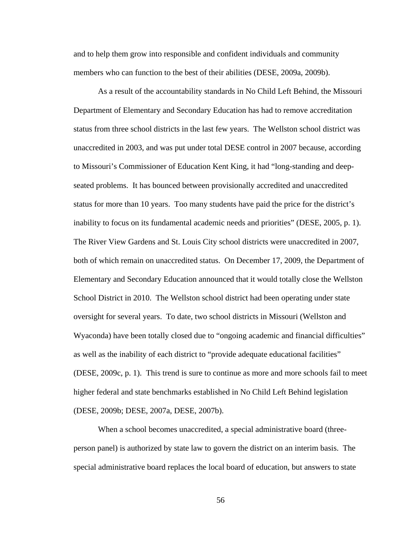and to help them grow into responsible and confident individuals and community members who can function to the best of their abilities (DESE, 2009a, 2009b).

As a result of the accountability standards in No Child Left Behind, the Missouri Department of Elementary and Secondary Education has had to remove accreditation status from three school districts in the last few years. The Wellston school district was unaccredited in 2003, and was put under total DESE control in 2007 because, according to Missouri's Commissioner of Education Kent King, it had "long-standing and deepseated problems. It has bounced between provisionally accredited and unaccredited status for more than 10 years. Too many students have paid the price for the district's inability to focus on its fundamental academic needs and priorities" (DESE, 2005, p. 1). The River View Gardens and St. Louis City school districts were unaccredited in 2007, both of which remain on unaccredited status. On December 17, 2009, the Department of Elementary and Secondary Education announced that it would totally close the Wellston School District in 2010. The Wellston school district had been operating under state oversight for several years. To date, two school districts in Missouri (Wellston and Wyaconda) have been totally closed due to "ongoing academic and financial difficulties" as well as the inability of each district to "provide adequate educational facilities" (DESE, 2009c, p. 1). This trend is sure to continue as more and more schools fail to meet higher federal and state benchmarks established in No Child Left Behind legislation (DESE, 2009b; DESE, 2007a, DESE, 2007b).

When a school becomes unaccredited, a special administrative board (threeperson panel) is authorized by state law to govern the district on an interim basis. The special administrative board replaces the local board of education, but answers to state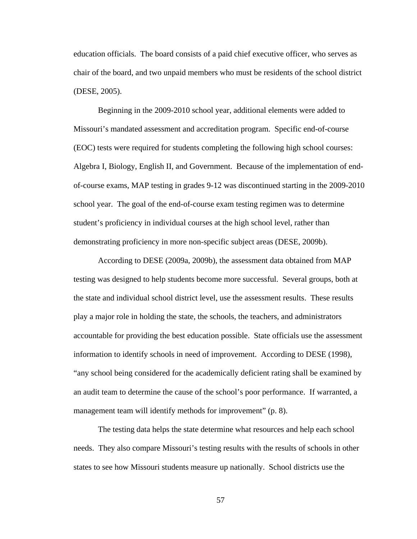education officials. The board consists of a paid chief executive officer, who serves as chair of the board, and two unpaid members who must be residents of the school district (DESE, 2005).

Beginning in the 2009-2010 school year, additional elements were added to Missouri's mandated assessment and accreditation program. Specific end-of-course (EOC) tests were required for students completing the following high school courses: Algebra I, Biology, English II, and Government. Because of the implementation of endof-course exams, MAP testing in grades 9-12 was discontinued starting in the 2009-2010 school year. The goal of the end-of-course exam testing regimen was to determine student's proficiency in individual courses at the high school level, rather than demonstrating proficiency in more non-specific subject areas (DESE, 2009b).

According to DESE (2009a, 2009b), the assessment data obtained from MAP testing was designed to help students become more successful. Several groups, both at the state and individual school district level, use the assessment results. These results play a major role in holding the state, the schools, the teachers, and administrators accountable for providing the best education possible. State officials use the assessment information to identify schools in need of improvement. According to DESE (1998), "any school being considered for the academically deficient rating shall be examined by an audit team to determine the cause of the school's poor performance. If warranted, a management team will identify methods for improvement" (p. 8).

The testing data helps the state determine what resources and help each school needs. They also compare Missouri's testing results with the results of schools in other states to see how Missouri students measure up nationally. School districts use the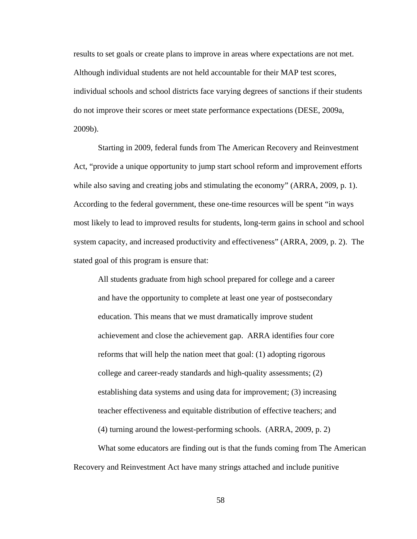results to set goals or create plans to improve in areas where expectations are not met. Although individual students are not held accountable for their MAP test scores, individual schools and school districts face varying degrees of sanctions if their students do not improve their scores or meet state performance expectations (DESE, 2009a, 2009b).

Starting in 2009, federal funds from The American Recovery and Reinvestment Act, "provide a unique opportunity to jump start school reform and improvement efforts while also saving and creating jobs and stimulating the economy" (ARRA, 2009, p. 1). According to the federal government, these one-time resources will be spent "in ways most likely to lead to improved results for students, long-term gains in school and school system capacity, and increased productivity and effectiveness" (ARRA, 2009, p. 2). The stated goal of this program is ensure that:

All students graduate from high school prepared for college and a career and have the opportunity to complete at least one year of postsecondary education. This means that we must dramatically improve student achievement and close the achievement gap. ARRA identifies four core reforms that will help the nation meet that goal: (1) adopting rigorous college and career-ready standards and high-quality assessments; (2) establishing data systems and using data for improvement; (3) increasing teacher effectiveness and equitable distribution of effective teachers; and (4) turning around the lowest-performing schools. (ARRA, 2009, p. 2)

What some educators are finding out is that the funds coming from The American Recovery and Reinvestment Act have many strings attached and include punitive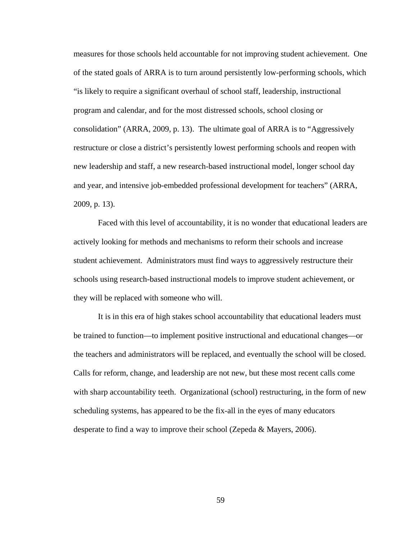measures for those schools held accountable for not improving student achievement. One of the stated goals of ARRA is to turn around persistently low-performing schools, which "is likely to require a significant overhaul of school staff, leadership, instructional program and calendar, and for the most distressed schools, school closing or consolidation" (ARRA, 2009, p. 13). The ultimate goal of ARRA is to "Aggressively restructure or close a district's persistently lowest performing schools and reopen with new leadership and staff, a new research-based instructional model, longer school day and year, and intensive job-embedded professional development for teachers" (ARRA, 2009, p. 13).

Faced with this level of accountability, it is no wonder that educational leaders are actively looking for methods and mechanisms to reform their schools and increase student achievement. Administrators must find ways to aggressively restructure their schools using research-based instructional models to improve student achievement, or they will be replaced with someone who will.

It is in this era of high stakes school accountability that educational leaders must be trained to function—to implement positive instructional and educational changes—or the teachers and administrators will be replaced, and eventually the school will be closed. Calls for reform, change, and leadership are not new, but these most recent calls come with sharp accountability teeth. Organizational (school) restructuring, in the form of new scheduling systems, has appeared to be the fix-all in the eyes of many educators desperate to find a way to improve their school (Zepeda & Mayers, 2006).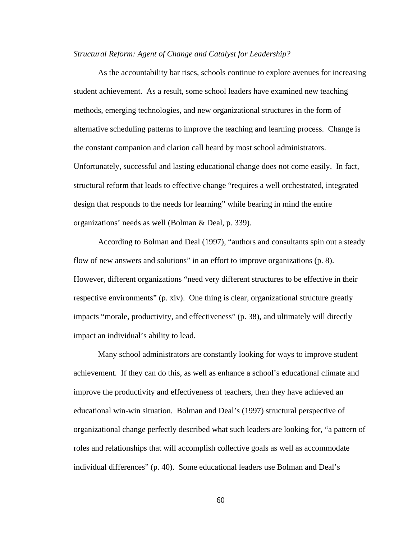#### *Structural Reform: Agent of Change and Catalyst for Leadership?*

As the accountability bar rises, schools continue to explore avenues for increasing student achievement. As a result, some school leaders have examined new teaching methods, emerging technologies, and new organizational structures in the form of alternative scheduling patterns to improve the teaching and learning process. Change is the constant companion and clarion call heard by most school administrators. Unfortunately, successful and lasting educational change does not come easily. In fact, structural reform that leads to effective change "requires a well orchestrated, integrated design that responds to the needs for learning" while bearing in mind the entire organizations' needs as well (Bolman & Deal, p. 339).

According to Bolman and Deal (1997), "authors and consultants spin out a steady flow of new answers and solutions" in an effort to improve organizations (p. 8). However, different organizations "need very different structures to be effective in their respective environments" (p. xiv). One thing is clear, organizational structure greatly impacts "morale, productivity, and effectiveness" (p. 38), and ultimately will directly impact an individual's ability to lead.

Many school administrators are constantly looking for ways to improve student achievement. If they can do this, as well as enhance a school's educational climate and improve the productivity and effectiveness of teachers, then they have achieved an educational win-win situation. Bolman and Deal's (1997) structural perspective of organizational change perfectly described what such leaders are looking for, "a pattern of roles and relationships that will accomplish collective goals as well as accommodate individual differences" (p. 40). Some educational leaders use Bolman and Deal's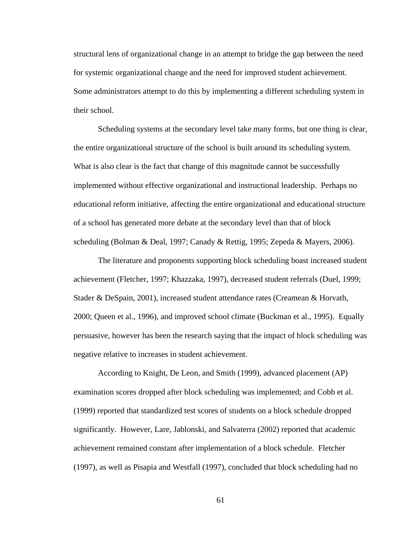structural lens of organizational change in an attempt to bridge the gap between the need for systemic organizational change and the need for improved student achievement. Some administrators attempt to do this by implementing a different scheduling system in their school.

Scheduling systems at the secondary level take many forms, but one thing is clear, the entire organizational structure of the school is built around its scheduling system. What is also clear is the fact that change of this magnitude cannot be successfully implemented without effective organizational and instructional leadership. Perhaps no educational reform initiative, affecting the entire organizational and educational structure of a school has generated more debate at the secondary level than that of block scheduling (Bolman & Deal, 1997; Canady & Rettig, 1995; Zepeda & Mayers, 2006).

The literature and proponents supporting block scheduling boast increased student achievement (Fletcher, 1997; Khazzaka, 1997), decreased student referrals (Duel, 1999; Stader & DeSpain, 2001), increased student attendance rates (Creamean & Horvath, 2000; Queen et al., 1996), and improved school climate (Buckman et al., 1995). Equally persuasive, however has been the research saying that the impact of block scheduling was negative relative to increases in student achievement.

According to Knight, De Leon, and Smith (1999), advanced placement (AP) examination scores dropped after block scheduling was implemented; and Cobb et al. (1999) reported that standardized test scores of students on a block schedule dropped significantly. However, Lare, Jablonski, and Salvaterra (2002) reported that academic achievement remained constant after implementation of a block schedule. Fletcher (1997), as well as Pisapia and Westfall (1997), concluded that block scheduling had no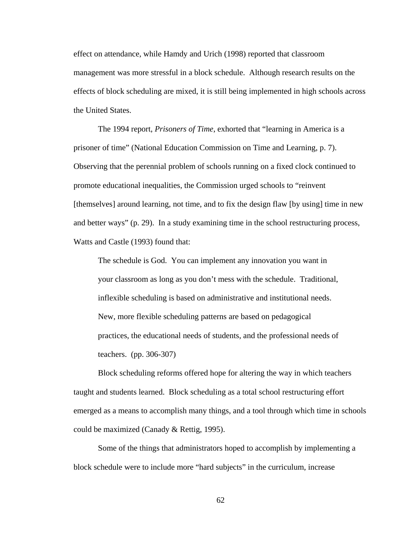effect on attendance, while Hamdy and Urich (1998) reported that classroom management was more stressful in a block schedule. Although research results on the effects of block scheduling are mixed, it is still being implemented in high schools across the United States.

The 1994 report, *Prisoners of Time*, exhorted that "learning in America is a prisoner of time" (National Education Commission on Time and Learning, p. 7). Observing that the perennial problem of schools running on a fixed clock continued to promote educational inequalities, the Commission urged schools to "reinvent [themselves] around learning, not time, and to fix the design flaw [by using] time in new and better ways" (p. 29). In a study examining time in the school restructuring process, Watts and Castle (1993) found that:

The schedule is God. You can implement any innovation you want in your classroom as long as you don't mess with the schedule. Traditional, inflexible scheduling is based on administrative and institutional needs. New, more flexible scheduling patterns are based on pedagogical practices, the educational needs of students, and the professional needs of teachers. (pp. 306-307)

Block scheduling reforms offered hope for altering the way in which teachers taught and students learned. Block scheduling as a total school restructuring effort emerged as a means to accomplish many things, and a tool through which time in schools could be maximized (Canady & Rettig, 1995).

Some of the things that administrators hoped to accomplish by implementing a block schedule were to include more "hard subjects" in the curriculum, increase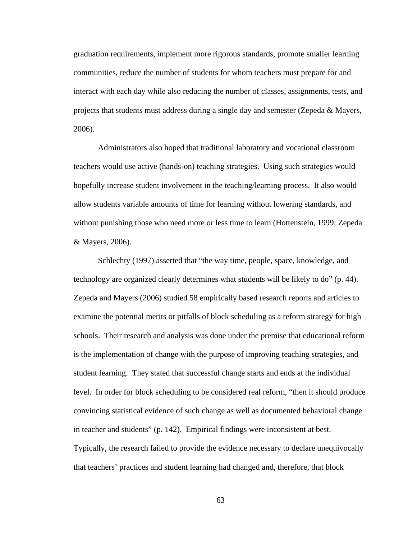graduation requirements, implement more rigorous standards, promote smaller learning communities, reduce the number of students for whom teachers must prepare for and interact with each day while also reducing the number of classes, assignments, tests, and projects that students must address during a single day and semester (Zepeda & Mayers, 2006).

Administrators also hoped that traditional laboratory and vocational classroom teachers would use active (hands-on) teaching strategies. Using such strategies would hopefully increase student involvement in the teaching/learning process. It also would allow students variable amounts of time for learning without lowering standards, and without punishing those who need more or less time to learn (Hottenstein, 1999; Zepeda & Mayers, 2006).

Schlechty (1997) asserted that "the way time, people, space, knowledge, and technology are organized clearly determines what students will be likely to do" (p. 44). Zepeda and Mayers (2006) studied 58 empirically based research reports and articles to examine the potential merits or pitfalls of block scheduling as a reform strategy for high schools. Their research and analysis was done under the premise that educational reform is the implementation of change with the purpose of improving teaching strategies, and student learning. They stated that successful change starts and ends at the individual level. In order for block scheduling to be considered real reform, "then it should produce convincing statistical evidence of such change as well as documented behavioral change in teacher and students" (p. 142). Empirical findings were inconsistent at best. Typically, the research failed to provide the evidence necessary to declare unequivocally that teachers' practices and student learning had changed and, therefore, that block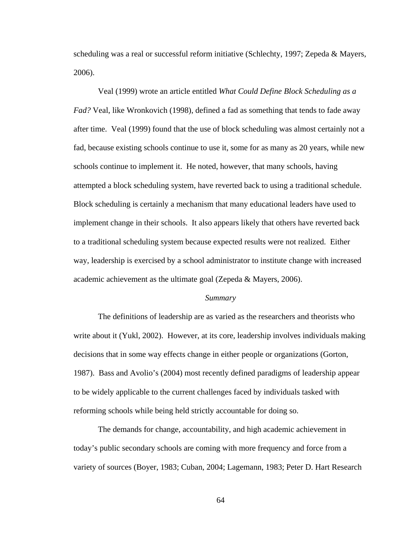scheduling was a real or successful reform initiative (Schlechty, 1997; Zepeda & Mayers, 2006).

Veal (1999) wrote an article entitled *What Could Define Block Scheduling as a Fad?* Veal, like Wronkovich (1998), defined a fad as something that tends to fade away after time. Veal (1999) found that the use of block scheduling was almost certainly not a fad, because existing schools continue to use it, some for as many as 20 years, while new schools continue to implement it. He noted, however, that many schools, having attempted a block scheduling system, have reverted back to using a traditional schedule. Block scheduling is certainly a mechanism that many educational leaders have used to implement change in their schools. It also appears likely that others have reverted back to a traditional scheduling system because expected results were not realized. Either way, leadership is exercised by a school administrator to institute change with increased academic achievement as the ultimate goal (Zepeda & Mayers, 2006).

#### *Summary*

The definitions of leadership are as varied as the researchers and theorists who write about it (Yukl, 2002). However, at its core, leadership involves individuals making decisions that in some way effects change in either people or organizations (Gorton, 1987). Bass and Avolio's (2004) most recently defined paradigms of leadership appear to be widely applicable to the current challenges faced by individuals tasked with reforming schools while being held strictly accountable for doing so.

The demands for change, accountability, and high academic achievement in today's public secondary schools are coming with more frequency and force from a variety of sources (Boyer, 1983; Cuban, 2004; Lagemann, 1983; Peter D. Hart Research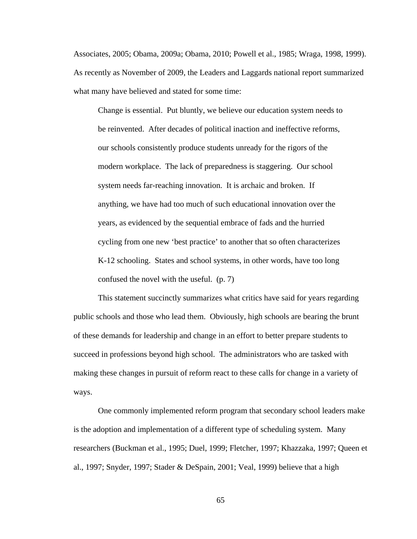Associates, 2005; Obama, 2009a; Obama, 2010; Powell et al., 1985; Wraga, 1998, 1999). As recently as November of 2009, the Leaders and Laggards national report summarized what many have believed and stated for some time:

Change is essential. Put bluntly, we believe our education system needs to be reinvented. After decades of political inaction and ineffective reforms, our schools consistently produce students unready for the rigors of the modern workplace. The lack of preparedness is staggering. Our school system needs far-reaching innovation. It is archaic and broken. If anything, we have had too much of such educational innovation over the years, as evidenced by the sequential embrace of fads and the hurried cycling from one new 'best practice' to another that so often characterizes K-12 schooling. States and school systems, in other words, have too long confused the novel with the useful. (p. 7)

This statement succinctly summarizes what critics have said for years regarding public schools and those who lead them. Obviously, high schools are bearing the brunt of these demands for leadership and change in an effort to better prepare students to succeed in professions beyond high school. The administrators who are tasked with making these changes in pursuit of reform react to these calls for change in a variety of ways.

One commonly implemented reform program that secondary school leaders make is the adoption and implementation of a different type of scheduling system. Many researchers (Buckman et al., 1995; Duel, 1999; Fletcher, 1997; Khazzaka, 1997; Queen et al., 1997; Snyder, 1997; Stader & DeSpain, 2001; Veal, 1999) believe that a high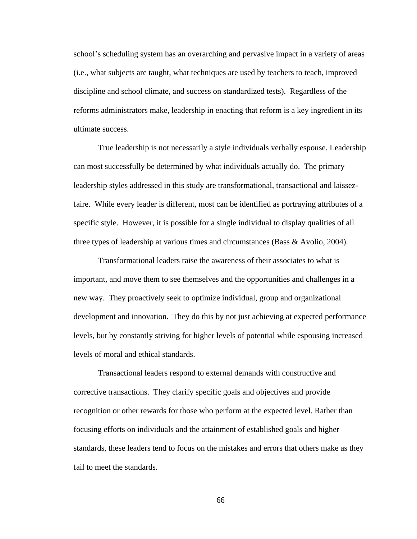school's scheduling system has an overarching and pervasive impact in a variety of areas (i.e., what subjects are taught, what techniques are used by teachers to teach, improved discipline and school climate, and success on standardized tests). Regardless of the reforms administrators make, leadership in enacting that reform is a key ingredient in its ultimate success.

True leadership is not necessarily a style individuals verbally espouse. Leadership can most successfully be determined by what individuals actually do. The primary leadership styles addressed in this study are transformational, transactional and laissezfaire. While every leader is different, most can be identified as portraying attributes of a specific style. However, it is possible for a single individual to display qualities of all three types of leadership at various times and circumstances (Bass & Avolio, 2004).

Transformational leaders raise the awareness of their associates to what is important, and move them to see themselves and the opportunities and challenges in a new way. They proactively seek to optimize individual, group and organizational development and innovation. They do this by not just achieving at expected performance levels, but by constantly striving for higher levels of potential while espousing increased levels of moral and ethical standards.

Transactional leaders respond to external demands with constructive and corrective transactions. They clarify specific goals and objectives and provide recognition or other rewards for those who perform at the expected level. Rather than focusing efforts on individuals and the attainment of established goals and higher standards, these leaders tend to focus on the mistakes and errors that others make as they fail to meet the standards.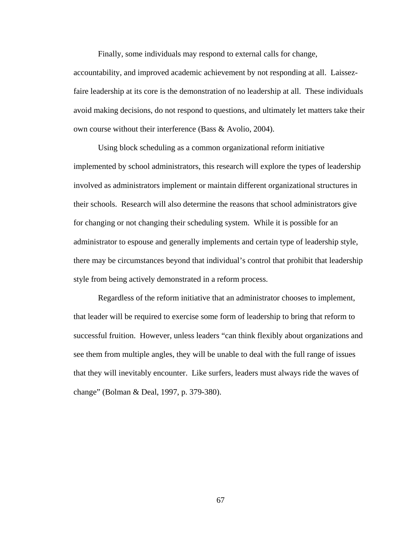Finally, some individuals may respond to external calls for change,

accountability, and improved academic achievement by not responding at all. Laissezfaire leadership at its core is the demonstration of no leadership at all. These individuals avoid making decisions, do not respond to questions, and ultimately let matters take their own course without their interference (Bass & Avolio, 2004).

Using block scheduling as a common organizational reform initiative implemented by school administrators, this research will explore the types of leadership involved as administrators implement or maintain different organizational structures in their schools. Research will also determine the reasons that school administrators give for changing or not changing their scheduling system. While it is possible for an administrator to espouse and generally implements and certain type of leadership style, there may be circumstances beyond that individual's control that prohibit that leadership style from being actively demonstrated in a reform process.

Regardless of the reform initiative that an administrator chooses to implement, that leader will be required to exercise some form of leadership to bring that reform to successful fruition. However, unless leaders "can think flexibly about organizations and see them from multiple angles, they will be unable to deal with the full range of issues that they will inevitably encounter. Like surfers, leaders must always ride the waves of change" (Bolman & Deal, 1997, p. 379-380).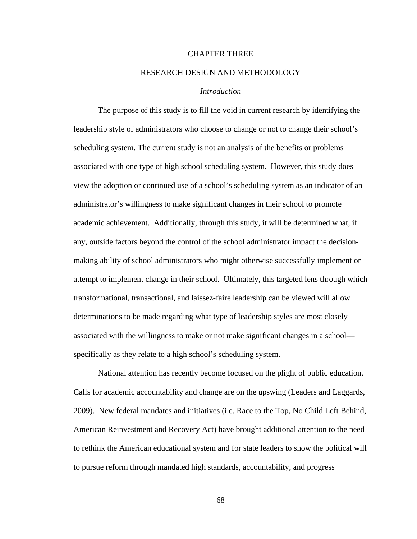#### CHAPTER THREE

#### RESEARCH DESIGN AND METHODOLOGY

#### *Introduction*

The purpose of this study is to fill the void in current research by identifying the leadership style of administrators who choose to change or not to change their school's scheduling system. The current study is not an analysis of the benefits or problems associated with one type of high school scheduling system. However, this study does view the adoption or continued use of a school's scheduling system as an indicator of an administrator's willingness to make significant changes in their school to promote academic achievement. Additionally, through this study, it will be determined what, if any, outside factors beyond the control of the school administrator impact the decisionmaking ability of school administrators who might otherwise successfully implement or attempt to implement change in their school. Ultimately, this targeted lens through which transformational, transactional, and laissez-faire leadership can be viewed will allow determinations to be made regarding what type of leadership styles are most closely associated with the willingness to make or not make significant changes in a school specifically as they relate to a high school's scheduling system.

National attention has recently become focused on the plight of public education. Calls for academic accountability and change are on the upswing (Leaders and Laggards, 2009). New federal mandates and initiatives (i.e. Race to the Top, No Child Left Behind, American Reinvestment and Recovery Act) have brought additional attention to the need to rethink the American educational system and for state leaders to show the political will to pursue reform through mandated high standards, accountability, and progress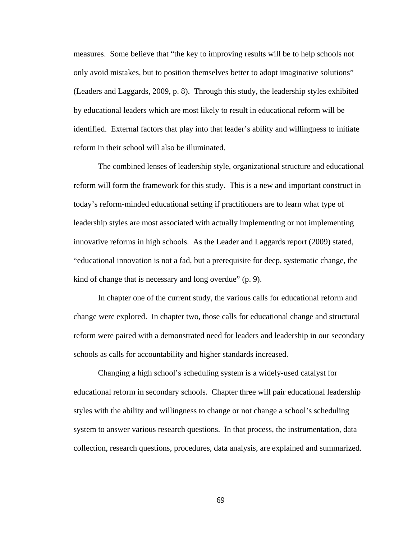measures. Some believe that "the key to improving results will be to help schools not only avoid mistakes, but to position themselves better to adopt imaginative solutions" (Leaders and Laggards, 2009, p. 8). Through this study, the leadership styles exhibited by educational leaders which are most likely to result in educational reform will be identified. External factors that play into that leader's ability and willingness to initiate reform in their school will also be illuminated.

The combined lenses of leadership style, organizational structure and educational reform will form the framework for this study. This is a new and important construct in today's reform-minded educational setting if practitioners are to learn what type of leadership styles are most associated with actually implementing or not implementing innovative reforms in high schools. As the Leader and Laggards report (2009) stated, "educational innovation is not a fad, but a prerequisite for deep, systematic change, the kind of change that is necessary and long overdue" (p. 9).

In chapter one of the current study, the various calls for educational reform and change were explored. In chapter two, those calls for educational change and structural reform were paired with a demonstrated need for leaders and leadership in our secondary schools as calls for accountability and higher standards increased.

Changing a high school's scheduling system is a widely-used catalyst for educational reform in secondary schools. Chapter three will pair educational leadership styles with the ability and willingness to change or not change a school's scheduling system to answer various research questions. In that process, the instrumentation, data collection, research questions, procedures, data analysis, are explained and summarized.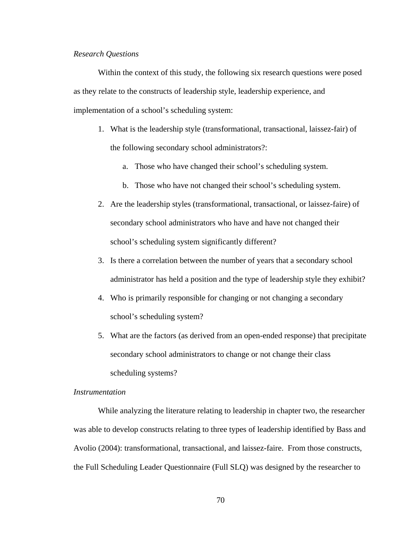### *Research Questions*

Within the context of this study, the following six research questions were posed as they relate to the constructs of leadership style, leadership experience, and implementation of a school's scheduling system:

- 1. What is the leadership style (transformational, transactional, laissez-fair) of the following secondary school administrators?:
	- a. Those who have changed their school's scheduling system.
	- b. Those who have not changed their school's scheduling system.
- 2. Are the leadership styles (transformational, transactional, or laissez-faire) of secondary school administrators who have and have not changed their school's scheduling system significantly different?
- 3. Is there a correlation between the number of years that a secondary school administrator has held a position and the type of leadership style they exhibit?
- 4. Who is primarily responsible for changing or not changing a secondary school's scheduling system?
- 5. What are the factors (as derived from an open-ended response) that precipitate secondary school administrators to change or not change their class scheduling systems?

### *Instrumentation*

While analyzing the literature relating to leadership in chapter two, the researcher was able to develop constructs relating to three types of leadership identified by Bass and Avolio (2004): transformational, transactional, and laissez-faire. From those constructs, the Full Scheduling Leader Questionnaire (Full SLQ) was designed by the researcher to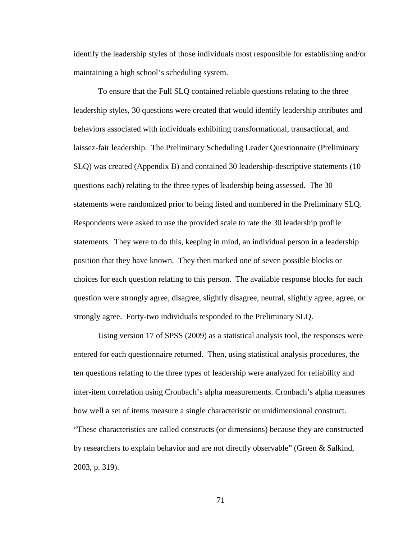identify the leadership styles of those individuals most responsible for establishing and/or maintaining a high school's scheduling system.

To ensure that the Full SLQ contained reliable questions relating to the three leadership styles, 30 questions were created that would identify leadership attributes and behaviors associated with individuals exhibiting transformational, transactional, and laissez-fair leadership. The Preliminary Scheduling Leader Questionnaire (Preliminary SLQ) was created (Appendix B) and contained 30 leadership-descriptive statements (10 questions each) relating to the three types of leadership being assessed. The 30 statements were randomized prior to being listed and numbered in the Preliminary SLQ. Respondents were asked to use the provided scale to rate the 30 leadership profile statements. They were to do this, keeping in mind, an individual person in a leadership position that they have known. They then marked one of seven possible blocks or choices for each question relating to this person. The available response blocks for each question were strongly agree, disagree, slightly disagree, neutral, slightly agree, agree, or strongly agree. Forty-two individuals responded to the Preliminary SLQ.

Using version 17 of SPSS (2009) as a statistical analysis tool, the responses were entered for each questionnaire returned. Then, using statistical analysis procedures, the ten questions relating to the three types of leadership were analyzed for reliability and inter-item correlation using Cronbach's alpha measurements. Cronbach's alpha measures how well a set of items measure a single characteristic or unidimensional construct. "These characteristics are called constructs (or dimensions) because they are constructed by researchers to explain behavior and are not directly observable" (Green & Salkind, 2003, p. 319).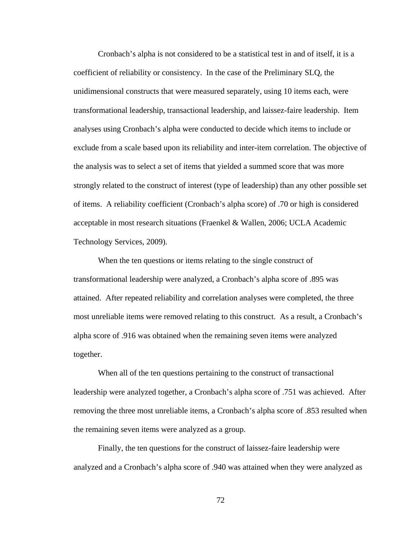Cronbach's alpha is not considered to be a statistical test in and of itself, it is a coefficient of reliability or consistency. In the case of the Preliminary SLQ, the unidimensional constructs that were measured separately, using 10 items each, were transformational leadership, transactional leadership, and laissez-faire leadership. Item analyses using Cronbach's alpha were conducted to decide which items to include or exclude from a scale based upon its reliability and inter-item correlation. The objective of the analysis was to select a set of items that yielded a summed score that was more strongly related to the construct of interest (type of leadership) than any other possible set of items. A reliability coefficient (Cronbach's alpha score) of .70 or high is considered acceptable in most research situations (Fraenkel & Wallen, 2006; UCLA Academic Technology Services, 2009).

When the ten questions or items relating to the single construct of transformational leadership were analyzed, a Cronbach's alpha score of .895 was attained. After repeated reliability and correlation analyses were completed, the three most unreliable items were removed relating to this construct. As a result, a Cronbach's alpha score of .916 was obtained when the remaining seven items were analyzed together.

When all of the ten questions pertaining to the construct of transactional leadership were analyzed together, a Cronbach's alpha score of .751 was achieved. After removing the three most unreliable items, a Cronbach's alpha score of .853 resulted when the remaining seven items were analyzed as a group.

Finally, the ten questions for the construct of laissez-faire leadership were analyzed and a Cronbach's alpha score of .940 was attained when they were analyzed as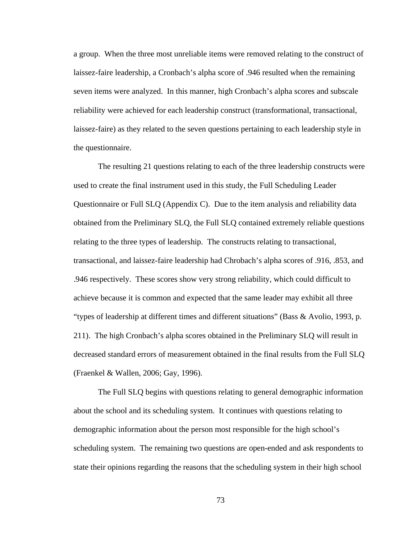a group. When the three most unreliable items were removed relating to the construct of laissez-faire leadership, a Cronbach's alpha score of .946 resulted when the remaining seven items were analyzed. In this manner, high Cronbach's alpha scores and subscale reliability were achieved for each leadership construct (transformational, transactional, laissez-faire) as they related to the seven questions pertaining to each leadership style in the questionnaire.

The resulting 21 questions relating to each of the three leadership constructs were used to create the final instrument used in this study, the Full Scheduling Leader Questionnaire or Full SLQ (Appendix C). Due to the item analysis and reliability data obtained from the Preliminary SLQ, the Full SLQ contained extremely reliable questions relating to the three types of leadership. The constructs relating to transactional, transactional, and laissez-faire leadership had Chrobach's alpha scores of .916, .853, and .946 respectively. These scores show very strong reliability, which could difficult to achieve because it is common and expected that the same leader may exhibit all three "types of leadership at different times and different situations" (Bass & Avolio, 1993, p. 211). The high Cronbach's alpha scores obtained in the Preliminary SLQ will result in decreased standard errors of measurement obtained in the final results from the Full SLQ (Fraenkel & Wallen, 2006; Gay, 1996).

The Full SLQ begins with questions relating to general demographic information about the school and its scheduling system. It continues with questions relating to demographic information about the person most responsible for the high school's scheduling system. The remaining two questions are open-ended and ask respondents to state their opinions regarding the reasons that the scheduling system in their high school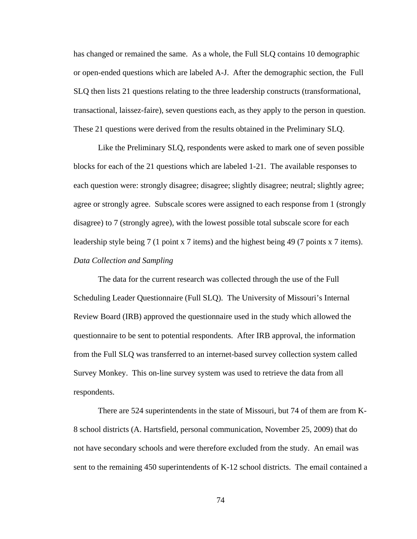has changed or remained the same. As a whole, the Full SLQ contains 10 demographic or open-ended questions which are labeled A-J. After the demographic section, the Full SLQ then lists 21 questions relating to the three leadership constructs (transformational, transactional, laissez-faire), seven questions each, as they apply to the person in question. These 21 questions were derived from the results obtained in the Preliminary SLQ.

Like the Preliminary SLQ, respondents were asked to mark one of seven possible blocks for each of the 21 questions which are labeled 1-21. The available responses to each question were: strongly disagree; disagree; slightly disagree; neutral; slightly agree; agree or strongly agree. Subscale scores were assigned to each response from 1 (strongly disagree) to 7 (strongly agree), with the lowest possible total subscale score for each leadership style being 7 (1 point x 7 items) and the highest being 49 (7 points x 7 items). *Data Collection and Sampling*

The data for the current research was collected through the use of the Full Scheduling Leader Questionnaire (Full SLQ). The University of Missouri's Internal Review Board (IRB) approved the questionnaire used in the study which allowed the questionnaire to be sent to potential respondents. After IRB approval, the information from the Full SLQ was transferred to an internet-based survey collection system called Survey Monkey. This on-line survey system was used to retrieve the data from all respondents.

There are 524 superintendents in the state of Missouri, but 74 of them are from K-8 school districts (A. Hartsfield, personal communication, November 25, 2009) that do not have secondary schools and were therefore excluded from the study. An email was sent to the remaining 450 superintendents of K-12 school districts. The email contained a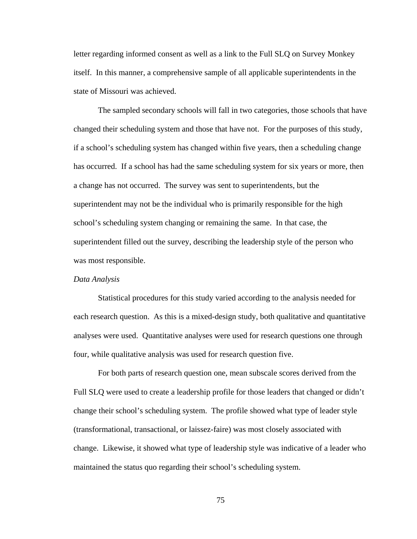letter regarding informed consent as well as a link to the Full SLQ on Survey Monkey itself. In this manner, a comprehensive sample of all applicable superintendents in the state of Missouri was achieved.

The sampled secondary schools will fall in two categories, those schools that have changed their scheduling system and those that have not. For the purposes of this study, if a school's scheduling system has changed within five years, then a scheduling change has occurred. If a school has had the same scheduling system for six years or more, then a change has not occurred. The survey was sent to superintendents, but the superintendent may not be the individual who is primarily responsible for the high school's scheduling system changing or remaining the same. In that case, the superintendent filled out the survey, describing the leadership style of the person who was most responsible.

#### *Data Analysis*

Statistical procedures for this study varied according to the analysis needed for each research question. As this is a mixed-design study, both qualitative and quantitative analyses were used. Quantitative analyses were used for research questions one through four, while qualitative analysis was used for research question five.

For both parts of research question one, mean subscale scores derived from the Full SLQ were used to create a leadership profile for those leaders that changed or didn't change their school's scheduling system. The profile showed what type of leader style (transformational, transactional, or laissez-faire) was most closely associated with change. Likewise, it showed what type of leadership style was indicative of a leader who maintained the status quo regarding their school's scheduling system.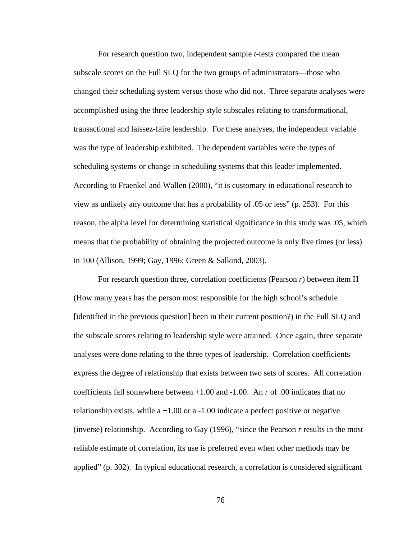For research question two, independent sample *t*-tests compared the mean subscale scores on the Full SLQ for the two groups of administrators—those who changed their scheduling system versus those who did not. Three separate analyses were accomplished using the three leadership style subscales relating to transformational, transactional and laissez-faire leadership. For these analyses, the independent variable was the type of leadership exhibited. The dependent variables were the types of scheduling systems or change in scheduling systems that this leader implemented. According to Fraenkel and Wallen (2000), "it is customary in educational research to view as unlikely any outcome that has a probability of .05 or less" (p. 253). For this reason, the alpha level for determining statistical significance in this study was .05, which means that the probability of obtaining the projected outcome is only five times (or less) in 100 (Allison, 1999; Gay, 1996; Green & Salkind, 2003).

For research question three, correlation coefficients (Pearson *r*) between item H (How many years has the person most responsible for the high school's schedule [identified in the previous question] been in their current position?) in the Full SLQ and the subscale scores relating to leadership style were attained. Once again, three separate analyses were done relating to the three types of leadership. Correlation coefficients express the degree of relationship that exists between two sets of scores. All correlation coefficients fall somewhere between +1.00 and -1.00. An *r* of .00 indicates that no relationship exists, while  $a + 1.00$  or  $a - 1.00$  indicate a perfect positive or negative (inverse) relationship. According to Gay (1996), "since the Pearson *r* results in the most reliable estimate of correlation, its use is preferred even when other methods may be applied" (p. 302). In typical educational research, a correlation is considered significant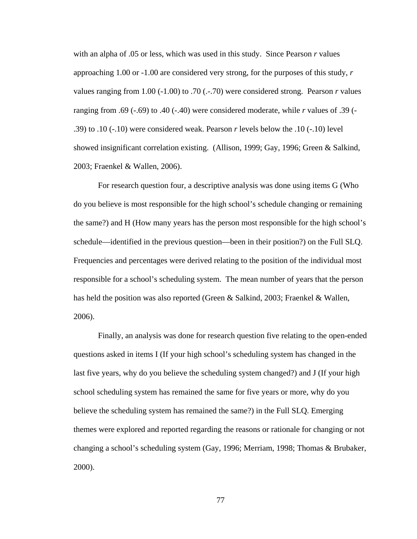with an alpha of .05 or less, which was used in this study. Since Pearson *r* values approaching 1.00 or -1.00 are considered very strong, for the purposes of this study, *r*  values ranging from 1.00 (-1.00) to .70 (.-.70) were considered strong. Pearson *r* values ranging from .69 (-.69) to .40 (-.40) were considered moderate, while *r* values of .39 (- .39) to .10 (-.10) were considered weak. Pearson *r* levels below the .10 (-.10) level showed insignificant correlation existing. (Allison, 1999; Gay, 1996; Green & Salkind, 2003; Fraenkel & Wallen, 2006).

For research question four, a descriptive analysis was done using items G (Who do you believe is most responsible for the high school's schedule changing or remaining the same?) and H (How many years has the person most responsible for the high school's schedule—identified in the previous question—been in their position?) on the Full SLQ. Frequencies and percentages were derived relating to the position of the individual most responsible for a school's scheduling system. The mean number of years that the person has held the position was also reported (Green & Salkind, 2003; Fraenkel & Wallen, 2006).

Finally, an analysis was done for research question five relating to the open-ended questions asked in items I (If your high school's scheduling system has changed in the last five years, why do you believe the scheduling system changed?) and J (If your high school scheduling system has remained the same for five years or more, why do you believe the scheduling system has remained the same?) in the Full SLQ. Emerging themes were explored and reported regarding the reasons or rationale for changing or not changing a school's scheduling system (Gay, 1996; Merriam, 1998; Thomas & Brubaker, 2000).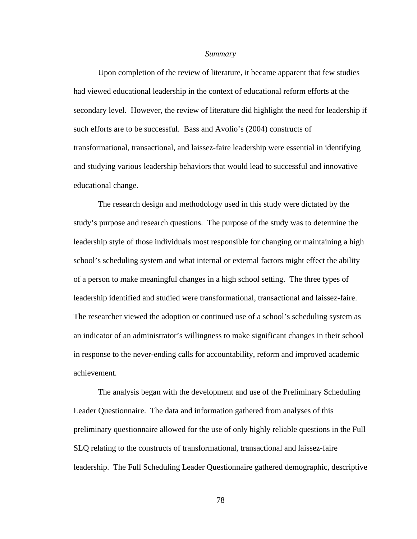#### *Summary*

Upon completion of the review of literature, it became apparent that few studies had viewed educational leadership in the context of educational reform efforts at the secondary level. However, the review of literature did highlight the need for leadership if such efforts are to be successful. Bass and Avolio's (2004) constructs of transformational, transactional, and laissez-faire leadership were essential in identifying and studying various leadership behaviors that would lead to successful and innovative educational change.

The research design and methodology used in this study were dictated by the study's purpose and research questions. The purpose of the study was to determine the leadership style of those individuals most responsible for changing or maintaining a high school's scheduling system and what internal or external factors might effect the ability of a person to make meaningful changes in a high school setting. The three types of leadership identified and studied were transformational, transactional and laissez-faire. The researcher viewed the adoption or continued use of a school's scheduling system as an indicator of an administrator's willingness to make significant changes in their school in response to the never-ending calls for accountability, reform and improved academic achievement.

The analysis began with the development and use of the Preliminary Scheduling Leader Questionnaire. The data and information gathered from analyses of this preliminary questionnaire allowed for the use of only highly reliable questions in the Full SLQ relating to the constructs of transformational, transactional and laissez-faire leadership. The Full Scheduling Leader Questionnaire gathered demographic, descriptive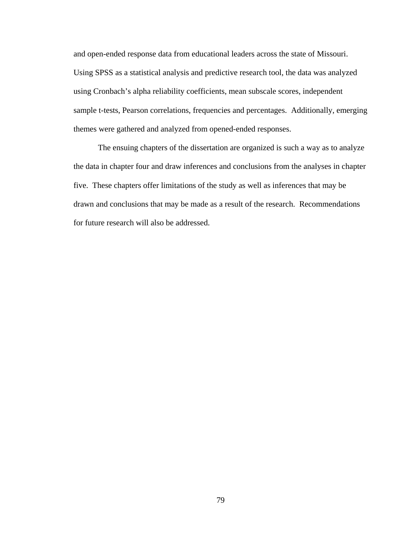and open-ended response data from educational leaders across the state of Missouri. Using SPSS as a statistical analysis and predictive research tool, the data was analyzed using Cronbach's alpha reliability coefficients, mean subscale scores, independent sample t-tests, Pearson correlations, frequencies and percentages. Additionally, emerging themes were gathered and analyzed from opened-ended responses.

The ensuing chapters of the dissertation are organized is such a way as to analyze the data in chapter four and draw inferences and conclusions from the analyses in chapter five. These chapters offer limitations of the study as well as inferences that may be drawn and conclusions that may be made as a result of the research. Recommendations for future research will also be addressed.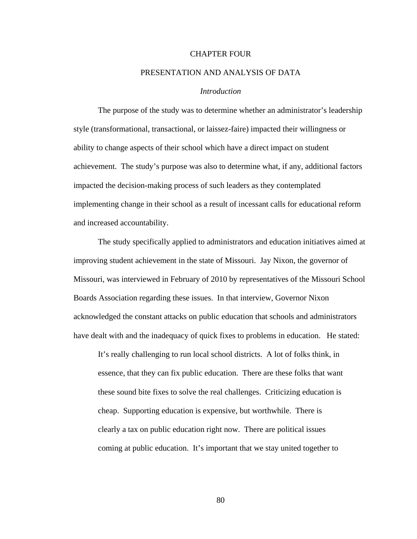#### CHAPTER FOUR

# PRESENTATION AND ANALYSIS OF DATA

#### *Introduction*

The purpose of the study was to determine whether an administrator's leadership style (transformational, transactional, or laissez-faire) impacted their willingness or ability to change aspects of their school which have a direct impact on student achievement. The study's purpose was also to determine what, if any, additional factors impacted the decision-making process of such leaders as they contemplated implementing change in their school as a result of incessant calls for educational reform and increased accountability.

The study specifically applied to administrators and education initiatives aimed at improving student achievement in the state of Missouri. Jay Nixon, the governor of Missouri, was interviewed in February of 2010 by representatives of the Missouri School Boards Association regarding these issues. In that interview, Governor Nixon acknowledged the constant attacks on public education that schools and administrators have dealt with and the inadequacy of quick fixes to problems in education. He stated:

It's really challenging to run local school districts. A lot of folks think, in essence, that they can fix public education. There are these folks that want these sound bite fixes to solve the real challenges. Criticizing education is cheap. Supporting education is expensive, but worthwhile. There is clearly a tax on public education right now. There are political issues coming at public education. It's important that we stay united together to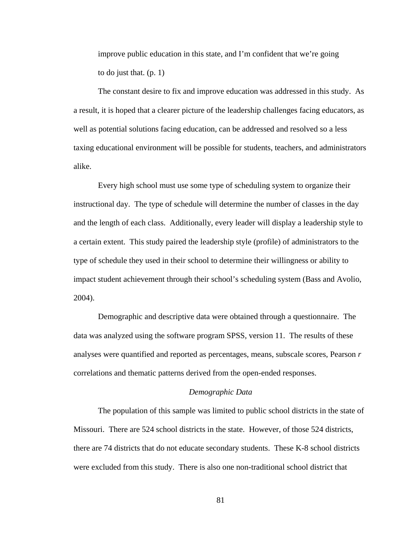improve public education in this state, and I'm confident that we're going to do just that. (p. 1)

The constant desire to fix and improve education was addressed in this study. As a result, it is hoped that a clearer picture of the leadership challenges facing educators, as well as potential solutions facing education, can be addressed and resolved so a less taxing educational environment will be possible for students, teachers, and administrators alike.

Every high school must use some type of scheduling system to organize their instructional day. The type of schedule will determine the number of classes in the day and the length of each class. Additionally, every leader will display a leadership style to a certain extent. This study paired the leadership style (profile) of administrators to the type of schedule they used in their school to determine their willingness or ability to impact student achievement through their school's scheduling system (Bass and Avolio, 2004).

Demographic and descriptive data were obtained through a questionnaire. The data was analyzed using the software program SPSS, version 11. The results of these analyses were quantified and reported as percentages, means, subscale scores, Pearson *r* correlations and thematic patterns derived from the open-ended responses.

#### *Demographic Data*

The population of this sample was limited to public school districts in the state of Missouri. There are 524 school districts in the state. However, of those 524 districts, there are 74 districts that do not educate secondary students. These K-8 school districts were excluded from this study. There is also one non-traditional school district that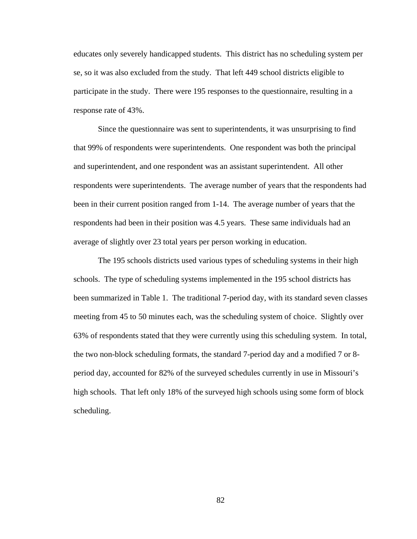educates only severely handicapped students. This district has no scheduling system per se, so it was also excluded from the study. That left 449 school districts eligible to participate in the study. There were 195 responses to the questionnaire, resulting in a response rate of 43%.

Since the questionnaire was sent to superintendents, it was unsurprising to find that 99% of respondents were superintendents. One respondent was both the principal and superintendent, and one respondent was an assistant superintendent. All other respondents were superintendents. The average number of years that the respondents had been in their current position ranged from 1-14. The average number of years that the respondents had been in their position was 4.5 years. These same individuals had an average of slightly over 23 total years per person working in education.

The 195 schools districts used various types of scheduling systems in their high schools. The type of scheduling systems implemented in the 195 school districts has been summarized in Table 1. The traditional 7-period day, with its standard seven classes meeting from 45 to 50 minutes each, was the scheduling system of choice. Slightly over 63% of respondents stated that they were currently using this scheduling system. In total, the two non-block scheduling formats, the standard 7-period day and a modified 7 or 8 period day, accounted for 82% of the surveyed schedules currently in use in Missouri's high schools. That left only 18% of the surveyed high schools using some form of block scheduling.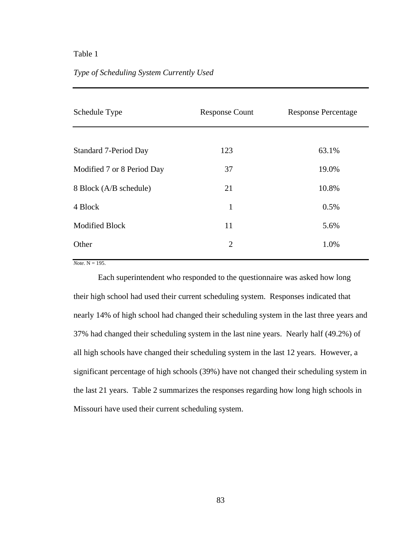### *Type of Scheduling System Currently Used*

| Schedule Type              | <b>Response Count</b> | <b>Response Percentage</b> |  |
|----------------------------|-----------------------|----------------------------|--|
|                            |                       |                            |  |
| Standard 7-Period Day      | 123                   | 63.1%                      |  |
| Modified 7 or 8 Period Day | 37                    | 19.0%                      |  |
| 8 Block (A/B schedule)     | 21                    | 10.8%                      |  |
| 4 Block                    | $\mathbf{1}$          | 0.5%                       |  |
| <b>Modified Block</b>      | 11                    | 5.6%                       |  |
| Other                      | $\overline{2}$        | 1.0%                       |  |
|                            |                       |                            |  |

 $Note. N = 195.$ 

Each superintendent who responded to the questionnaire was asked how long their high school had used their current scheduling system. Responses indicated that nearly 14% of high school had changed their scheduling system in the last three years and 37% had changed their scheduling system in the last nine years. Nearly half (49.2%) of all high schools have changed their scheduling system in the last 12 years. However, a significant percentage of high schools (39%) have not changed their scheduling system in the last 21 years. Table 2 summarizes the responses regarding how long high schools in Missouri have used their current scheduling system.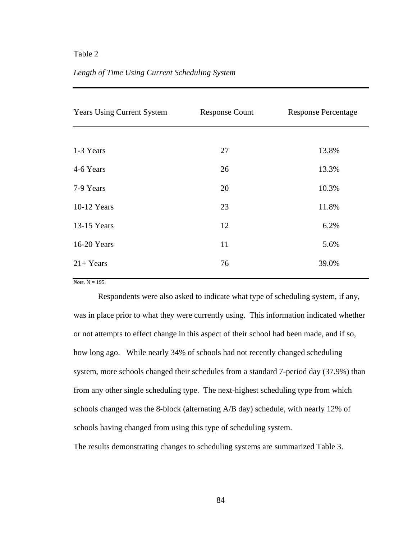| Length of Time Using Current Scheduling System |  |  |  |  |
|------------------------------------------------|--|--|--|--|
|------------------------------------------------|--|--|--|--|

| <b>Years Using Current System</b> | <b>Response Count</b> | <b>Response Percentage</b> |  |
|-----------------------------------|-----------------------|----------------------------|--|
|                                   |                       |                            |  |
| 1-3 Years                         | 27                    | 13.8%                      |  |
| 4-6 Years                         | 26                    | 13.3%                      |  |
| 7-9 Years                         | 20                    | 10.3%                      |  |
| 10-12 Years                       | 23                    | 11.8%                      |  |
| 13-15 Years                       | 12                    | 6.2%                       |  |
| 16-20 Years                       | 11                    | 5.6%                       |  |
| $21+Years$                        | 76                    | 39.0%                      |  |

*Note.* N = 195.

Respondents were also asked to indicate what type of scheduling system, if any, was in place prior to what they were currently using. This information indicated whether or not attempts to effect change in this aspect of their school had been made, and if so, how long ago. While nearly 34% of schools had not recently changed scheduling system, more schools changed their schedules from a standard 7-period day (37.9%) than from any other single scheduling type. The next-highest scheduling type from which schools changed was the 8-block (alternating A/B day) schedule, with nearly 12% of schools having changed from using this type of scheduling system.

The results demonstrating changes to scheduling systems are summarized Table 3.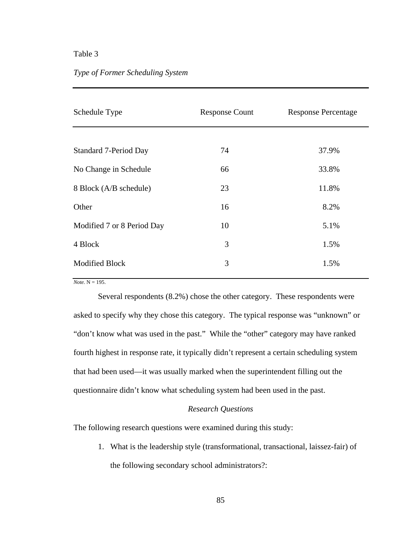# *Type of Former Scheduling System*

| Schedule Type              | <b>Response Count</b> | <b>Response Percentage</b> |  |
|----------------------------|-----------------------|----------------------------|--|
|                            |                       |                            |  |
| Standard 7-Period Day      | 74                    | 37.9%                      |  |
| No Change in Schedule      | 66                    | 33.8%                      |  |
| 8 Block (A/B schedule)     | 23                    | 11.8%                      |  |
| Other                      | 16                    | 8.2%                       |  |
| Modified 7 or 8 Period Day | 10                    | 5.1%                       |  |
| 4 Block                    | 3                     | 1.5%                       |  |
| <b>Modified Block</b>      | 3                     | 1.5%                       |  |
|                            |                       |                            |  |

*Note.*  $N = 195$ .

Several respondents (8.2%) chose the other category. These respondents were asked to specify why they chose this category. The typical response was "unknown" or "don't know what was used in the past." While the "other" category may have ranked fourth highest in response rate, it typically didn't represent a certain scheduling system that had been used—it was usually marked when the superintendent filling out the questionnaire didn't know what scheduling system had been used in the past.

# *Research Questions*

The following research questions were examined during this study:

1. What is the leadership style (transformational, transactional, laissez-fair) of the following secondary school administrators?: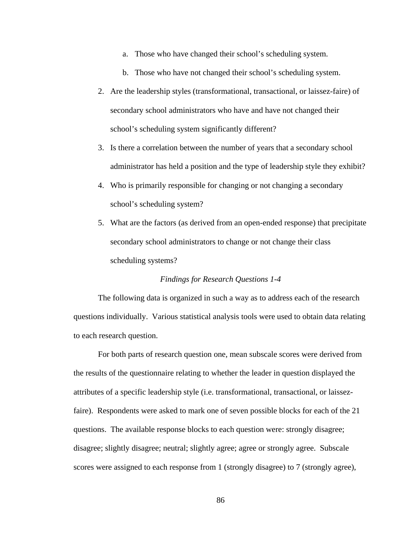- a. Those who have changed their school's scheduling system.
- b. Those who have not changed their school's scheduling system.
- 2. Are the leadership styles (transformational, transactional, or laissez-faire) of secondary school administrators who have and have not changed their school's scheduling system significantly different?
- 3. Is there a correlation between the number of years that a secondary school administrator has held a position and the type of leadership style they exhibit?
- 4. Who is primarily responsible for changing or not changing a secondary school's scheduling system?
- 5. What are the factors (as derived from an open-ended response) that precipitate secondary school administrators to change or not change their class scheduling systems?

### *Findings for Research Questions 1-4*

The following data is organized in such a way as to address each of the research questions individually. Various statistical analysis tools were used to obtain data relating to each research question.

For both parts of research question one, mean subscale scores were derived from the results of the questionnaire relating to whether the leader in question displayed the attributes of a specific leadership style (i.e. transformational, transactional, or laissezfaire). Respondents were asked to mark one of seven possible blocks for each of the 21 questions. The available response blocks to each question were: strongly disagree; disagree; slightly disagree; neutral; slightly agree; agree or strongly agree. Subscale scores were assigned to each response from 1 (strongly disagree) to 7 (strongly agree),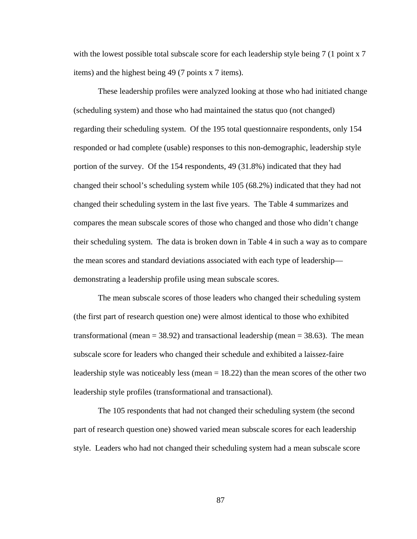with the lowest possible total subscale score for each leadership style being 7 (1 point x 7) items) and the highest being 49 (7 points x 7 items).

These leadership profiles were analyzed looking at those who had initiated change (scheduling system) and those who had maintained the status quo (not changed) regarding their scheduling system. Of the 195 total questionnaire respondents, only 154 responded or had complete (usable) responses to this non-demographic, leadership style portion of the survey. Of the 154 respondents, 49 (31.8%) indicated that they had changed their school's scheduling system while 105 (68.2%) indicated that they had not changed their scheduling system in the last five years. The Table 4 summarizes and compares the mean subscale scores of those who changed and those who didn't change their scheduling system. The data is broken down in Table 4 in such a way as to compare the mean scores and standard deviations associated with each type of leadership demonstrating a leadership profile using mean subscale scores.

The mean subscale scores of those leaders who changed their scheduling system (the first part of research question one) were almost identical to those who exhibited transformational (mean  $= 38.92$ ) and transactional leadership (mean  $= 38.63$ ). The mean subscale score for leaders who changed their schedule and exhibited a laissez-faire leadership style was noticeably less (mean  $= 18.22$ ) than the mean scores of the other two leadership style profiles (transformational and transactional).

The 105 respondents that had not changed their scheduling system (the second part of research question one) showed varied mean subscale scores for each leadership style. Leaders who had not changed their scheduling system had a mean subscale score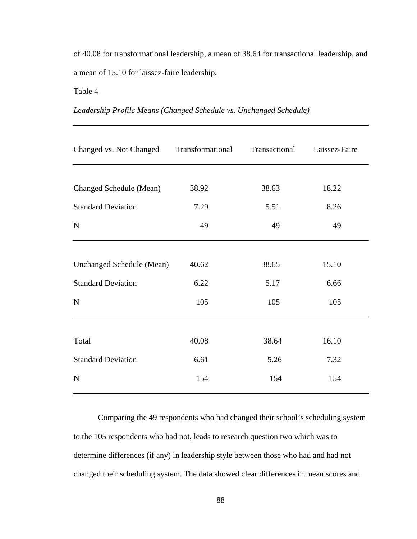of 40.08 for transformational leadership, a mean of 38.64 for transactional leadership, and a mean of 15.10 for laissez-faire leadership.

Table 4

*Leadership Profile Means (Changed Schedule vs. Unchanged Schedule)* 

| Changed vs. Not Changed   | Transformational | Transactional | Laissez-Faire |
|---------------------------|------------------|---------------|---------------|
|                           |                  |               |               |
| Changed Schedule (Mean)   | 38.92            | 38.63         | 18.22         |
| <b>Standard Deviation</b> | 7.29             | 5.51          | 8.26          |
| $\mathbf N$               | 49               | 49            | 49            |
|                           |                  |               |               |
| Unchanged Schedule (Mean) | 40.62            | 38.65         | 15.10         |
| <b>Standard Deviation</b> | 6.22             | 5.17          | 6.66          |
| $\mathbf N$               | 105              | 105           | 105           |
|                           |                  |               |               |
| Total                     | 40.08            | 38.64         | 16.10         |
| <b>Standard Deviation</b> | 6.61             | 5.26          | 7.32          |
| N                         | 154              | 154           | 154           |

Comparing the 49 respondents who had changed their school's scheduling system to the 105 respondents who had not, leads to research question two which was to determine differences (if any) in leadership style between those who had and had not changed their scheduling system. The data showed clear differences in mean scores and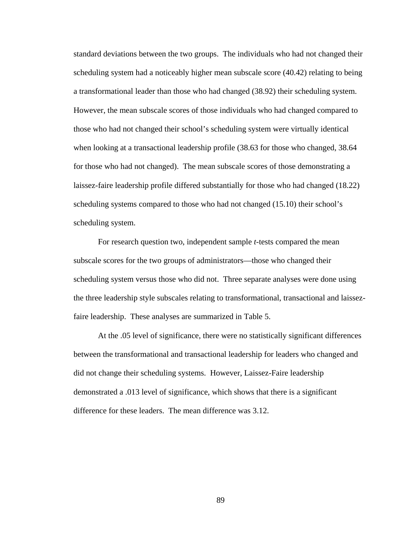standard deviations between the two groups. The individuals who had not changed their scheduling system had a noticeably higher mean subscale score (40.42) relating to being a transformational leader than those who had changed (38.92) their scheduling system. However, the mean subscale scores of those individuals who had changed compared to those who had not changed their school's scheduling system were virtually identical when looking at a transactional leadership profile (38.63 for those who changed, 38.64 for those who had not changed). The mean subscale scores of those demonstrating a laissez-faire leadership profile differed substantially for those who had changed (18.22) scheduling systems compared to those who had not changed (15.10) their school's scheduling system.

For research question two, independent sample *t*-tests compared the mean subscale scores for the two groups of administrators—those who changed their scheduling system versus those who did not. Three separate analyses were done using the three leadership style subscales relating to transformational, transactional and laissezfaire leadership. These analyses are summarized in Table 5.

At the .05 level of significance, there were no statistically significant differences between the transformational and transactional leadership for leaders who changed and did not change their scheduling systems. However, Laissez-Faire leadership demonstrated a .013 level of significance, which shows that there is a significant difference for these leaders. The mean difference was 3.12.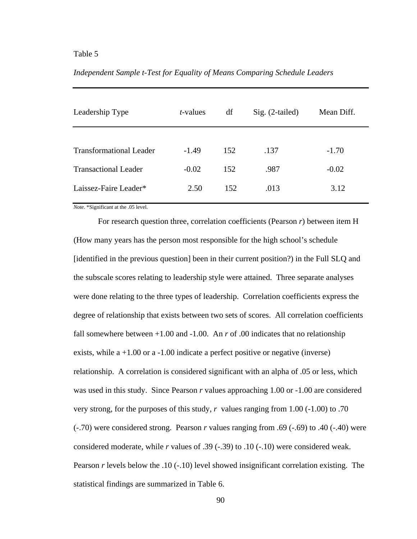| Leadership Type                | <i>t</i> -values | df  | $Sig. (2-tailed)$ | Mean Diff. |
|--------------------------------|------------------|-----|-------------------|------------|
|                                |                  |     |                   |            |
| <b>Transformational Leader</b> | $-1.49$          | 152 | .137              | $-1.70$    |
| <b>Transactional Leader</b>    | $-0.02$          | 152 | .987              | $-0.02$    |
| Laissez-Faire Leader*          | 2.50             | 152 | .013              | 3.12       |
|                                |                  |     |                   |            |

*Independent Sample t-Test for Equality of Means Comparing Schedule Leaders*

*Note*. \*Significant at the .05 level.

For research question three, correlation coefficients (Pearson *r*) between item H (How many years has the person most responsible for the high school's schedule [identified in the previous question] been in their current position?) in the Full SLQ and the subscale scores relating to leadership style were attained. Three separate analyses were done relating to the three types of leadership. Correlation coefficients express the degree of relationship that exists between two sets of scores. All correlation coefficients fall somewhere between +1.00 and -1.00. An *r* of .00 indicates that no relationship exists, while a +1.00 or a -1.00 indicate a perfect positive or negative (inverse) relationship. A correlation is considered significant with an alpha of .05 or less, which was used in this study. Since Pearson *r* values approaching 1.00 or -1.00 are considered very strong, for the purposes of this study, *r* values ranging from 1.00 (-1.00) to .70 (-.70) were considered strong. Pearson *r* values ranging from .69 (-.69) to .40 (-.40) were considered moderate, while *r* values of .39 (-.39) to .10 (-.10) were considered weak. Pearson *r* levels below the .10 (-.10) level showed insignificant correlation existing. The statistical findings are summarized in Table 6.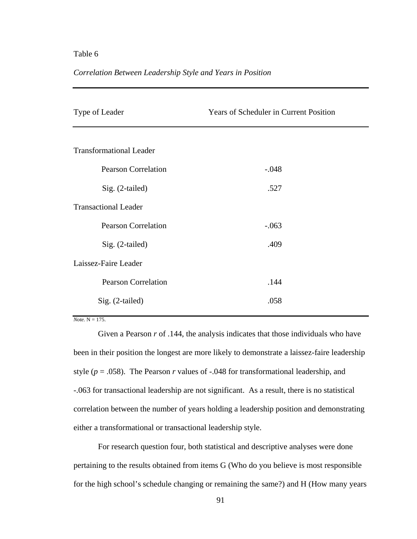### *Correlation Between Leadership Style and Years in Position*

| Type of Leader                 | <b>Years of Scheduler in Current Position</b> |  |
|--------------------------------|-----------------------------------------------|--|
| <b>Transformational Leader</b> |                                               |  |
| <b>Pearson Correlation</b>     | $-.048$                                       |  |
| Sig. (2-tailed)                | .527                                          |  |
| <b>Transactional Leader</b>    |                                               |  |
| <b>Pearson Correlation</b>     | $-.063$                                       |  |
| Sig. (2-tailed)                | .409                                          |  |
| Laissez-Faire Leader           |                                               |  |
| <b>Pearson Correlation</b>     | .144                                          |  |
| Sig. (2-tailed)                | .058                                          |  |

 $Note. N = 175.$ 

Given a Pearson *r* of .144, the analysis indicates that those individuals who have been in their position the longest are more likely to demonstrate a laissez-faire leadership style ( $p = .058$ ). The Pearson *r* values of -.048 for transformational leadership, and -.063 for transactional leadership are not significant. As a result, there is no statistical correlation between the number of years holding a leadership position and demonstrating either a transformational or transactional leadership style.

For research question four, both statistical and descriptive analyses were done pertaining to the results obtained from items G (Who do you believe is most responsible for the high school's schedule changing or remaining the same?) and H (How many years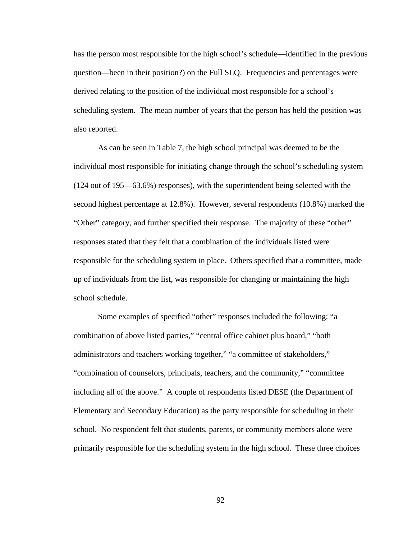has the person most responsible for the high school's schedule—identified in the previous question—been in their position?) on the Full SLQ. Frequencies and percentages were derived relating to the position of the individual most responsible for a school's scheduling system. The mean number of years that the person has held the position was also reported.

As can be seen in Table 7, the high school principal was deemed to be the individual most responsible for initiating change through the school's scheduling system (124 out of 195—63.6%) responses), with the superintendent being selected with the second highest percentage at 12.8%). However, several respondents (10.8%) marked the "Other" category, and further specified their response. The majority of these "other" responses stated that they felt that a combination of the individuals listed were responsible for the scheduling system in place. Others specified that a committee, made up of individuals from the list, was responsible for changing or maintaining the high school schedule.

Some examples of specified "other" responses included the following: "a combination of above listed parties," "central office cabinet plus board," "both administrators and teachers working together," "a committee of stakeholders," "combination of counselors, principals, teachers, and the community," "committee including all of the above." A couple of respondents listed DESE (the Department of Elementary and Secondary Education) as the party responsible for scheduling in their school. No respondent felt that students, parents, or community members alone were primarily responsible for the scheduling system in the high school. These three choices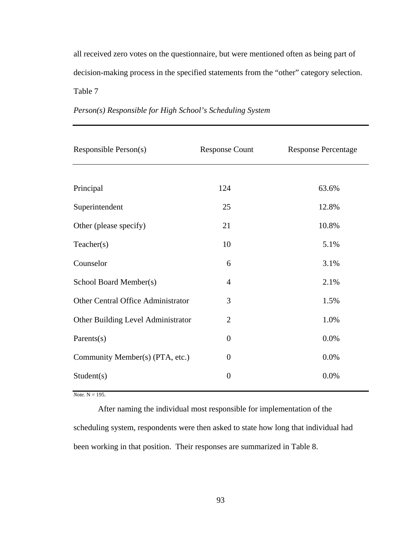all received zero votes on the questionnaire, but were mentioned often as being part of decision-making process in the specified statements from the "other" category selection. Table 7

| Responsible Person(s)              | <b>Response Count</b> | <b>Response Percentage</b> |
|------------------------------------|-----------------------|----------------------------|
|                                    |                       |                            |
| Principal                          | 124                   | 63.6%                      |
| Superintendent                     | 25                    | 12.8%                      |
| Other (please specify)             | 21                    | 10.8%                      |
| Teacher(s)                         | 10                    | 5.1%                       |
| Counselor                          | 6                     | 3.1%                       |
| School Board Member(s)             | $\overline{4}$        | 2.1%                       |
| Other Central Office Administrator | 3                     | 1.5%                       |
| Other Building Level Administrator | $\overline{2}$        | 1.0%                       |
| Parents $(s)$                      | $\overline{0}$        | 0.0%                       |
| Community Member(s) (PTA, etc.)    | $\overline{0}$        | 0.0%                       |
| Student(s)                         | $\overline{0}$        | 0.0%                       |

# *Person(s) Responsible for High School's Scheduling System*

 $Note. N = 195.$ 

After naming the individual most responsible for implementation of the scheduling system, respondents were then asked to state how long that individual had been working in that position. Their responses are summarized in Table 8.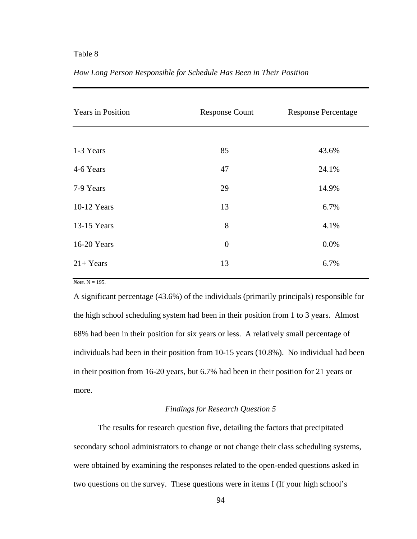| <b>Years in Position</b> | <b>Response Count</b> | <b>Response Percentage</b> |
|--------------------------|-----------------------|----------------------------|
|                          |                       |                            |
| 1-3 Years                | 85                    | 43.6%                      |
| 4-6 Years                | 47                    | 24.1%                      |
| 7-9 Years                | 29                    | 14.9%                      |
| 10-12 Years              | 13                    | 6.7%                       |
| 13-15 Years              | 8                     | 4.1%                       |
| 16-20 Years              | $\overline{0}$        | 0.0%                       |
| $21+Years$               | 13                    | 6.7%                       |
|                          |                       |                            |

### *How Long Person Responsible for Schedule Has Been in Their Position*

*Note.*  $N = 195$ .

A significant percentage (43.6%) of the individuals (primarily principals) responsible for the high school scheduling system had been in their position from 1 to 3 years. Almost 68% had been in their position for six years or less. A relatively small percentage of individuals had been in their position from 10-15 years (10.8%). No individual had been in their position from 16-20 years, but 6.7% had been in their position for 21 years or more.

### *Findings for Research Question 5*

The results for research question five, detailing the factors that precipitated secondary school administrators to change or not change their class scheduling systems, were obtained by examining the responses related to the open-ended questions asked in two questions on the survey. These questions were in items I (If your high school's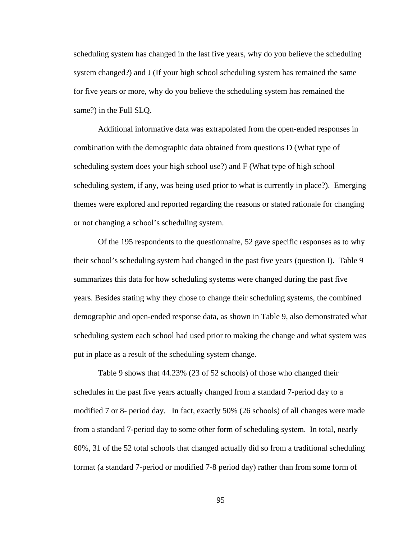scheduling system has changed in the last five years, why do you believe the scheduling system changed?) and J (If your high school scheduling system has remained the same for five years or more, why do you believe the scheduling system has remained the same?) in the Full SLQ.

Additional informative data was extrapolated from the open-ended responses in combination with the demographic data obtained from questions D (What type of scheduling system does your high school use?) and F (What type of high school scheduling system, if any, was being used prior to what is currently in place?). Emerging themes were explored and reported regarding the reasons or stated rationale for changing or not changing a school's scheduling system.

Of the 195 respondents to the questionnaire, 52 gave specific responses as to why their school's scheduling system had changed in the past five years (question I). Table 9 summarizes this data for how scheduling systems were changed during the past five years. Besides stating why they chose to change their scheduling systems, the combined demographic and open-ended response data, as shown in Table 9, also demonstrated what scheduling system each school had used prior to making the change and what system was put in place as a result of the scheduling system change.

Table 9 shows that 44.23% (23 of 52 schools) of those who changed their schedules in the past five years actually changed from a standard 7-period day to a modified 7 or 8- period day. In fact, exactly 50% (26 schools) of all changes were made from a standard 7-period day to some other form of scheduling system. In total, nearly 60%, 31 of the 52 total schools that changed actually did so from a traditional scheduling format (a standard 7-period or modified 7-8 period day) rather than from some form of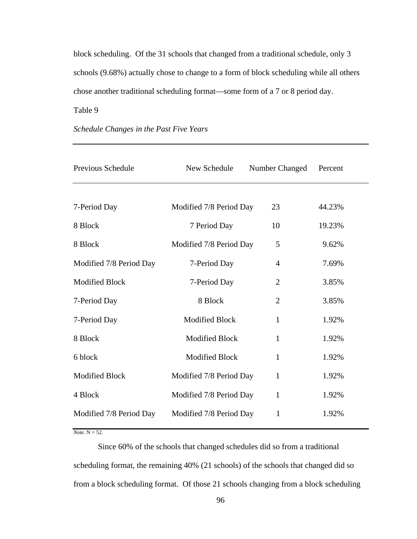block scheduling. Of the 31 schools that changed from a traditional schedule, only 3 schools (9.68%) actually chose to change to a form of block scheduling while all others chose another traditional scheduling format—some form of a 7 or 8 period day.

Table 9

| Previous Schedule       | New Schedule            | Number Changed | Percent |
|-------------------------|-------------------------|----------------|---------|
|                         |                         |                |         |
| 7-Period Day            | Modified 7/8 Period Day | 23             | 44.23%  |
| 8 Block                 | 7 Period Day            | 10             | 19.23%  |
| 8 Block                 | Modified 7/8 Period Day | 5              | 9.62%   |
| Modified 7/8 Period Day | 7-Period Day            | $\overline{4}$ | 7.69%   |
| <b>Modified Block</b>   | 7-Period Day            | $\overline{2}$ | 3.85%   |
| 7-Period Day            | 8 Block                 | $\overline{2}$ | 3.85%   |
| 7-Period Day            | <b>Modified Block</b>   | 1              | 1.92%   |
| 8 Block                 | <b>Modified Block</b>   | $\mathbf{1}$   | 1.92%   |
| 6 block                 | <b>Modified Block</b>   | $\mathbf{1}$   | 1.92%   |
| <b>Modified Block</b>   | Modified 7/8 Period Day | $\mathbf{1}$   | 1.92%   |
| 4 Block                 | Modified 7/8 Period Day | $\mathbf{1}$   | 1.92%   |
| Modified 7/8 Period Day | Modified 7/8 Period Day | 1              | 1.92%   |

*Schedule Changes in the Past Five Years* 

*Note.* N = 52.

Since 60% of the schools that changed schedules did so from a traditional scheduling format, the remaining 40% (21 schools) of the schools that changed did so from a block scheduling format. Of those 21 schools changing from a block scheduling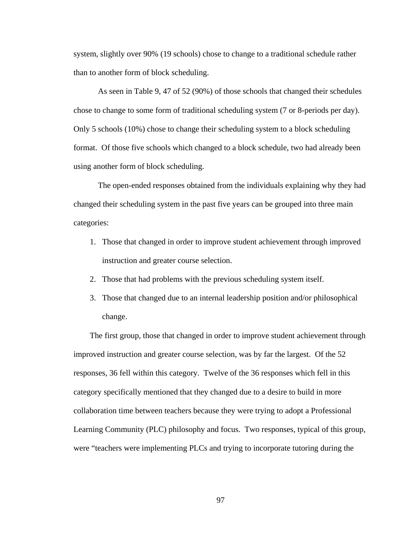system, slightly over 90% (19 schools) chose to change to a traditional schedule rather than to another form of block scheduling.

As seen in Table 9, 47 of 52 (90%) of those schools that changed their schedules chose to change to some form of traditional scheduling system (7 or 8-periods per day). Only 5 schools (10%) chose to change their scheduling system to a block scheduling format. Of those five schools which changed to a block schedule, two had already been using another form of block scheduling.

The open-ended responses obtained from the individuals explaining why they had changed their scheduling system in the past five years can be grouped into three main categories:

- 1. Those that changed in order to improve student achievement through improved instruction and greater course selection.
- 2. Those that had problems with the previous scheduling system itself.
- 3. Those that changed due to an internal leadership position and/or philosophical change.

The first group, those that changed in order to improve student achievement through improved instruction and greater course selection, was by far the largest. Of the 52 responses, 36 fell within this category. Twelve of the 36 responses which fell in this category specifically mentioned that they changed due to a desire to build in more collaboration time between teachers because they were trying to adopt a Professional Learning Community (PLC) philosophy and focus. Two responses, typical of this group, were "teachers were implementing PLCs and trying to incorporate tutoring during the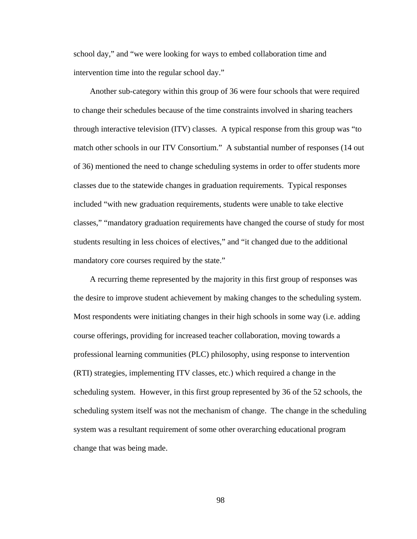school day," and "we were looking for ways to embed collaboration time and intervention time into the regular school day."

Another sub-category within this group of 36 were four schools that were required to change their schedules because of the time constraints involved in sharing teachers through interactive television (ITV) classes. A typical response from this group was "to match other schools in our ITV Consortium." A substantial number of responses (14 out of 36) mentioned the need to change scheduling systems in order to offer students more classes due to the statewide changes in graduation requirements. Typical responses included "with new graduation requirements, students were unable to take elective classes," "mandatory graduation requirements have changed the course of study for most students resulting in less choices of electives," and "it changed due to the additional mandatory core courses required by the state."

A recurring theme represented by the majority in this first group of responses was the desire to improve student achievement by making changes to the scheduling system. Most respondents were initiating changes in their high schools in some way (i.e. adding course offerings, providing for increased teacher collaboration, moving towards a professional learning communities (PLC) philosophy, using response to intervention (RTI) strategies, implementing ITV classes, etc.) which required a change in the scheduling system. However, in this first group represented by 36 of the 52 schools, the scheduling system itself was not the mechanism of change. The change in the scheduling system was a resultant requirement of some other overarching educational program change that was being made.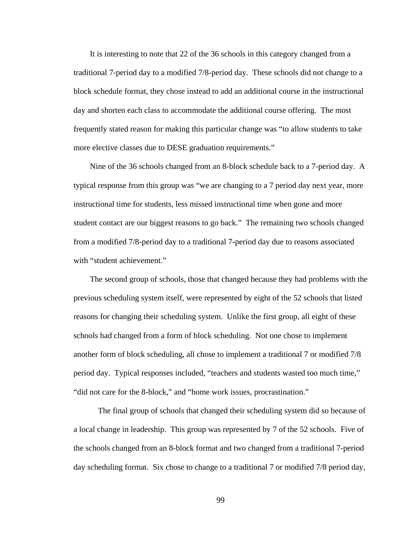It is interesting to note that 22 of the 36 schools in this category changed from a traditional 7-period day to a modified 7/8-period day. These schools did not change to a block schedule format, they chose instead to add an additional course in the instructional day and shorten each class to accommodate the additional course offering. The most frequently stated reason for making this particular change was "to allow students to take more elective classes due to DESE graduation requirements."

Nine of the 36 schools changed from an 8-block schedule back to a 7-period day. A typical response from this group was "we are changing to a 7 period day next year, more instructional time for students, less missed instructional time when gone and more student contact are our biggest reasons to go back." The remaining two schools changed from a modified 7/8-period day to a traditional 7-period day due to reasons associated with "student achievement."

The second group of schools, those that changed because they had problems with the previous scheduling system itself, were represented by eight of the 52 schools that listed reasons for changing their scheduling system. Unlike the first group, all eight of these schools had changed from a form of block scheduling. Not one chose to implement another form of block scheduling, all chose to implement a traditional 7 or modified 7/8 period day. Typical responses included, "teachers and students wasted too much time," "did not care for the 8-block," and "home work issues, procrastination."

The final group of schools that changed their scheduling system did so because of a local change in leadership. This group was represented by 7 of the 52 schools. Five of the schools changed from an 8-block format and two changed from a traditional 7-period day scheduling format. Six chose to change to a traditional 7 or modified 7/8 period day,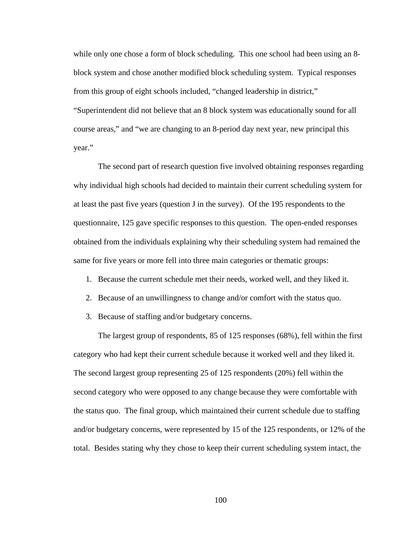while only one chose a form of block scheduling. This one school had been using an 8 block system and chose another modified block scheduling system. Typical responses from this group of eight schools included, "changed leadership in district," "Superintendent did not believe that an 8 block system was educationally sound for all course areas," and "we are changing to an 8-period day next year, new principal this year."

The second part of research question five involved obtaining responses regarding why individual high schools had decided to maintain their current scheduling system for at least the past five years (question J in the survey). Of the 195 respondents to the questionnaire, 125 gave specific responses to this question. The open-ended responses obtained from the individuals explaining why their scheduling system had remained the same for five years or more fell into three main categories or thematic groups:

- 1. Because the current schedule met their needs, worked well, and they liked it.
- 2. Because of an unwillingness to change and/or comfort with the status quo.
- 3. Because of staffing and/or budgetary concerns.

The largest group of respondents, 85 of 125 responses (68%), fell within the first category who had kept their current schedule because it worked well and they liked it. The second largest group representing 25 of 125 respondents (20%) fell within the second category who were opposed to any change because they were comfortable with the status quo. The final group, which maintained their current schedule due to staffing and/or budgetary concerns, were represented by 15 of the 125 respondents, or 12% of the total. Besides stating why they chose to keep their current scheduling system intact, the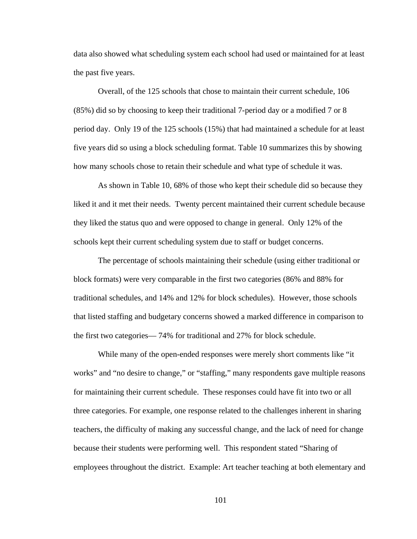data also showed what scheduling system each school had used or maintained for at least the past five years.

Overall, of the 125 schools that chose to maintain their current schedule, 106 (85%) did so by choosing to keep their traditional 7-period day or a modified 7 or 8 period day. Only 19 of the 125 schools (15%) that had maintained a schedule for at least five years did so using a block scheduling format. Table 10 summarizes this by showing how many schools chose to retain their schedule and what type of schedule it was.

As shown in Table 10, 68% of those who kept their schedule did so because they liked it and it met their needs. Twenty percent maintained their current schedule because they liked the status quo and were opposed to change in general. Only 12% of the schools kept their current scheduling system due to staff or budget concerns.

The percentage of schools maintaining their schedule (using either traditional or block formats) were very comparable in the first two categories (86% and 88% for traditional schedules, and 14% and 12% for block schedules). However, those schools that listed staffing and budgetary concerns showed a marked difference in comparison to the first two categories— 74% for traditional and 27% for block schedule.

While many of the open-ended responses were merely short comments like "it" works" and "no desire to change," or "staffing," many respondents gave multiple reasons for maintaining their current schedule. These responses could have fit into two or all three categories. For example, one response related to the challenges inherent in sharing teachers, the difficulty of making any successful change, and the lack of need for change because their students were performing well. This respondent stated "Sharing of employees throughout the district. Example: Art teacher teaching at both elementary and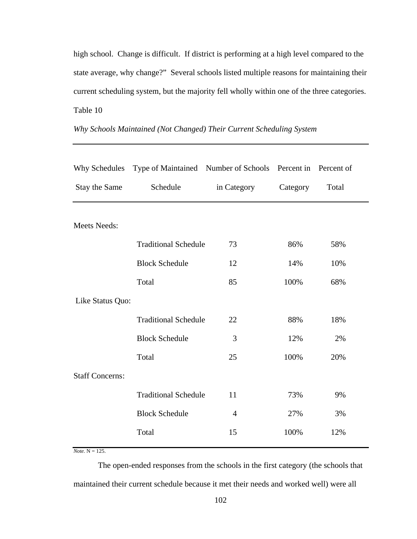high school. Change is difficult. If district is performing at a high level compared to the state average, why change?" Several schools listed multiple reasons for maintaining their current scheduling system, but the majority fell wholly within one of the three categories. Table 10

*Why Schools Maintained (Not Changed) Their Current Scheduling System*

|                        | Why Schedules Type of Maintained Number of Schools Percent in Percent of |                |          |       |
|------------------------|--------------------------------------------------------------------------|----------------|----------|-------|
| Stay the Same          | Schedule                                                                 | in Category    | Category | Total |
|                        |                                                                          |                |          |       |
| <b>Meets Needs:</b>    |                                                                          |                |          |       |
|                        | <b>Traditional Schedule</b>                                              | 73             | 86%      | 58%   |
|                        | <b>Block Schedule</b>                                                    | 12             | 14%      | 10%   |
|                        | Total                                                                    | 85             | 100%     | 68%   |
| Like Status Quo:       |                                                                          |                |          |       |
|                        | <b>Traditional Schedule</b>                                              | 22             | 88%      | 18%   |
|                        | <b>Block Schedule</b>                                                    | 3              | 12%      | 2%    |
|                        | Total                                                                    | 25             | 100%     | 20%   |
| <b>Staff Concerns:</b> |                                                                          |                |          |       |
|                        | <b>Traditional Schedule</b>                                              | 11             | 73%      | 9%    |
|                        | <b>Block Schedule</b>                                                    | $\overline{4}$ | 27%      | 3%    |
|                        | Total                                                                    | 15             | 100%     | 12%   |
|                        |                                                                          |                |          |       |

*Note.*  $N = 125$ .

The open-ended responses from the schools in the first category (the schools that maintained their current schedule because it met their needs and worked well) were all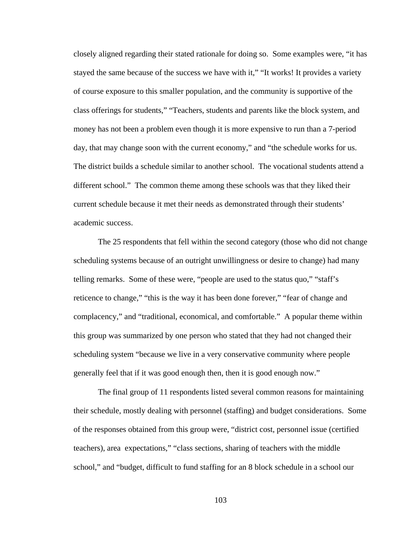closely aligned regarding their stated rationale for doing so. Some examples were, "it has stayed the same because of the success we have with it," "It works! It provides a variety of course exposure to this smaller population, and the community is supportive of the class offerings for students," "Teachers, students and parents like the block system, and money has not been a problem even though it is more expensive to run than a 7-period day, that may change soon with the current economy," and "the schedule works for us. The district builds a schedule similar to another school. The vocational students attend a different school." The common theme among these schools was that they liked their current schedule because it met their needs as demonstrated through their students' academic success.

The 25 respondents that fell within the second category (those who did not change scheduling systems because of an outright unwillingness or desire to change) had many telling remarks. Some of these were, "people are used to the status quo," "staff's reticence to change," "this is the way it has been done forever," "fear of change and complacency," and "traditional, economical, and comfortable." A popular theme within this group was summarized by one person who stated that they had not changed their scheduling system "because we live in a very conservative community where people generally feel that if it was good enough then, then it is good enough now."

The final group of 11 respondents listed several common reasons for maintaining their schedule, mostly dealing with personnel (staffing) and budget considerations. Some of the responses obtained from this group were, "district cost, personnel issue (certified teachers), area expectations," "class sections, sharing of teachers with the middle school," and "budget, difficult to fund staffing for an 8 block schedule in a school our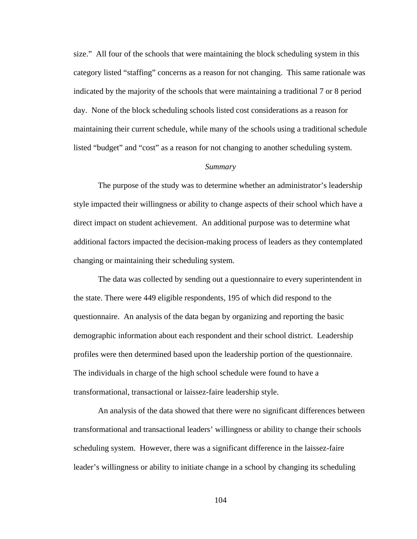size." All four of the schools that were maintaining the block scheduling system in this category listed "staffing" concerns as a reason for not changing. This same rationale was indicated by the majority of the schools that were maintaining a traditional 7 or 8 period day. None of the block scheduling schools listed cost considerations as a reason for maintaining their current schedule, while many of the schools using a traditional schedule listed "budget" and "cost" as a reason for not changing to another scheduling system.

#### *Summary*

The purpose of the study was to determine whether an administrator's leadership style impacted their willingness or ability to change aspects of their school which have a direct impact on student achievement. An additional purpose was to determine what additional factors impacted the decision-making process of leaders as they contemplated changing or maintaining their scheduling system.

The data was collected by sending out a questionnaire to every superintendent in the state. There were 449 eligible respondents, 195 of which did respond to the questionnaire. An analysis of the data began by organizing and reporting the basic demographic information about each respondent and their school district. Leadership profiles were then determined based upon the leadership portion of the questionnaire. The individuals in charge of the high school schedule were found to have a transformational, transactional or laissez-faire leadership style.

An analysis of the data showed that there were no significant differences between transformational and transactional leaders' willingness or ability to change their schools scheduling system. However, there was a significant difference in the laissez-faire leader's willingness or ability to initiate change in a school by changing its scheduling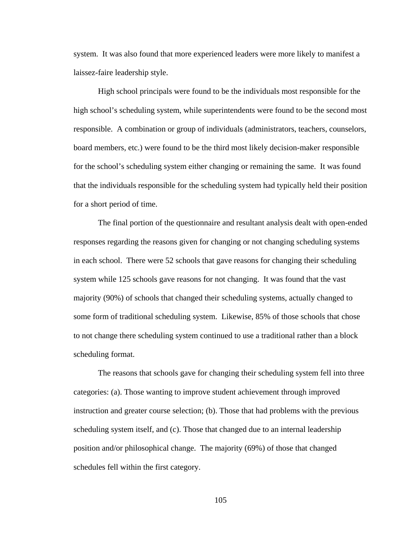system. It was also found that more experienced leaders were more likely to manifest a laissez-faire leadership style.

High school principals were found to be the individuals most responsible for the high school's scheduling system, while superintendents were found to be the second most responsible. A combination or group of individuals (administrators, teachers, counselors, board members, etc.) were found to be the third most likely decision-maker responsible for the school's scheduling system either changing or remaining the same. It was found that the individuals responsible for the scheduling system had typically held their position for a short period of time.

The final portion of the questionnaire and resultant analysis dealt with open-ended responses regarding the reasons given for changing or not changing scheduling systems in each school. There were 52 schools that gave reasons for changing their scheduling system while 125 schools gave reasons for not changing. It was found that the vast majority (90%) of schools that changed their scheduling systems, actually changed to some form of traditional scheduling system. Likewise, 85% of those schools that chose to not change there scheduling system continued to use a traditional rather than a block scheduling format.

The reasons that schools gave for changing their scheduling system fell into three categories: (a). Those wanting to improve student achievement through improved instruction and greater course selection; (b). Those that had problems with the previous scheduling system itself, and (c). Those that changed due to an internal leadership position and/or philosophical change. The majority (69%) of those that changed schedules fell within the first category.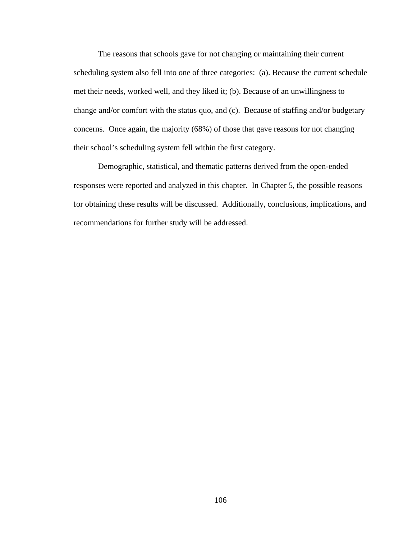The reasons that schools gave for not changing or maintaining their current scheduling system also fell into one of three categories: (a). Because the current schedule met their needs, worked well, and they liked it; (b). Because of an unwillingness to change and/or comfort with the status quo, and (c). Because of staffing and/or budgetary concerns. Once again, the majority (68%) of those that gave reasons for not changing their school's scheduling system fell within the first category.

Demographic, statistical, and thematic patterns derived from the open-ended responses were reported and analyzed in this chapter. In Chapter 5, the possible reasons for obtaining these results will be discussed. Additionally, conclusions, implications, and recommendations for further study will be addressed.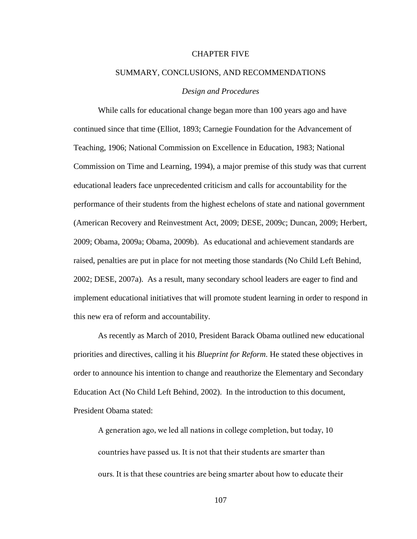# CHAPTER FIVE

# SUMMARY, CONCLUSIONS, AND RECOMMENDATIONS

# *Design and Procedures*

While calls for educational change began more than 100 years ago and have continued since that time (Elliot, 1893; Carnegie Foundation for the Advancement of Teaching, 1906; National Commission on Excellence in Education, 1983; National Commission on Time and Learning, 1994), a major premise of this study was that current educational leaders face unprecedented criticism and calls for accountability for the performance of their students from the highest echelons of state and national government (American Recovery and Reinvestment Act, 2009; DESE, 2009c; Duncan, 2009; Herbert, 2009; Obama, 2009a; Obama, 2009b). As educational and achievement standards are raised, penalties are put in place for not meeting those standards (No Child Left Behind, 2002; DESE, 2007a). As a result, many secondary school leaders are eager to find and implement educational initiatives that will promote student learning in order to respond in this new era of reform and accountability.

As recently as March of 2010, President Barack Obama outlined new educational priorities and directives, calling it his *Blueprint for Reform*. He stated these objectives in order to announce his intention to change and reauthorize the Elementary and Secondary Education Act (No Child Left Behind, 2002). In the introduction to this document, President Obama stated:

A generation ago, we led all nations in college completion, but today, 10 countries have passed us. It is not that their students are smarter than ours. It is that these countries are being smarter about how to educate their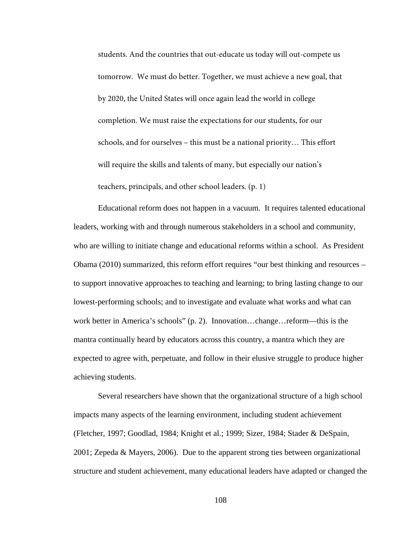students. And the countries that out-educate us today will out-compete us tomorrow. We must do better. Together, we must achieve a new goal, that by 2020, the United States will once again lead the world in college completion. We must raise the expectations for our students, for our schools, and for ourselves – this must be a national priority… This effort will require the skills and talents of many, but especially our nation's teachers, principals, and other school leaders. (p. 1)

Educational reform does not happen in a vacuum. It requires talented educational leaders, working with and through numerous stakeholders in a school and community, who are willing to initiate change and educational reforms within a school. As President Obama (2010) summarized, this reform effort requires "our best thinking and resources – to support innovative approaches to teaching and learning; to bring lasting change to our lowest-performing schools; and to investigate and evaluate what works and what can work better in America's schools" (p. 2). Innovation…change…reform—this is the mantra continually heard by educators across this country, a mantra which they are expected to agree with, perpetuate, and follow in their elusive struggle to produce higher achieving students.

Several researchers have shown that the organizational structure of a high school impacts many aspects of the learning environment, including student achievement (Fletcher, 1997; Goodlad, 1984; Knight et al.; 1999; Sizer, 1984; Stader & DeSpain, 2001; Zepeda & Mayers, 2006). Due to the apparent strong ties between organizational structure and student achievement, many educational leaders have adapted or changed the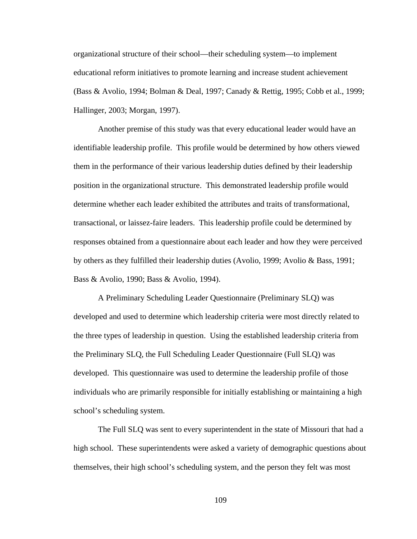organizational structure of their school—their scheduling system—to implement educational reform initiatives to promote learning and increase student achievement (Bass & Avolio, 1994; Bolman & Deal, 1997; Canady & Rettig, 1995; Cobb et al., 1999; Hallinger, 2003; Morgan, 1997).

Another premise of this study was that every educational leader would have an identifiable leadership profile. This profile would be determined by how others viewed them in the performance of their various leadership duties defined by their leadership position in the organizational structure. This demonstrated leadership profile would determine whether each leader exhibited the attributes and traits of transformational, transactional, or laissez-faire leaders. This leadership profile could be determined by responses obtained from a questionnaire about each leader and how they were perceived by others as they fulfilled their leadership duties (Avolio, 1999; Avolio & Bass, 1991; Bass & Avolio, 1990; Bass & Avolio, 1994).

A Preliminary Scheduling Leader Questionnaire (Preliminary SLQ) was developed and used to determine which leadership criteria were most directly related to the three types of leadership in question. Using the established leadership criteria from the Preliminary SLQ, the Full Scheduling Leader Questionnaire (Full SLQ) was developed. This questionnaire was used to determine the leadership profile of those individuals who are primarily responsible for initially establishing or maintaining a high school's scheduling system.

The Full SLQ was sent to every superintendent in the state of Missouri that had a high school. These superintendents were asked a variety of demographic questions about themselves, their high school's scheduling system, and the person they felt was most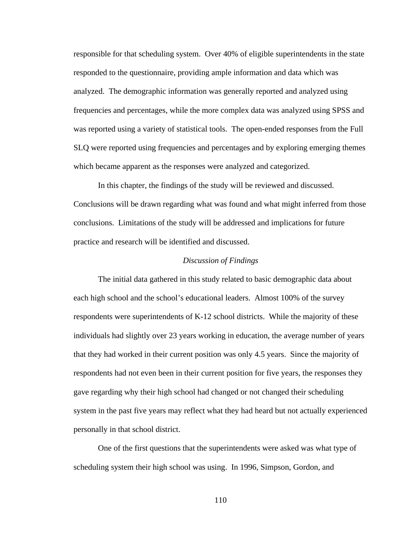responsible for that scheduling system. Over 40% of eligible superintendents in the state responded to the questionnaire, providing ample information and data which was analyzed. The demographic information was generally reported and analyzed using frequencies and percentages, while the more complex data was analyzed using SPSS and was reported using a variety of statistical tools. The open-ended responses from the Full SLQ were reported using frequencies and percentages and by exploring emerging themes which became apparent as the responses were analyzed and categorized.

In this chapter, the findings of the study will be reviewed and discussed. Conclusions will be drawn regarding what was found and what might inferred from those conclusions. Limitations of the study will be addressed and implications for future practice and research will be identified and discussed.

### *Discussion of Findings*

The initial data gathered in this study related to basic demographic data about each high school and the school's educational leaders. Almost 100% of the survey respondents were superintendents of K-12 school districts. While the majority of these individuals had slightly over 23 years working in education, the average number of years that they had worked in their current position was only 4.5 years. Since the majority of respondents had not even been in their current position for five years, the responses they gave regarding why their high school had changed or not changed their scheduling system in the past five years may reflect what they had heard but not actually experienced personally in that school district.

One of the first questions that the superintendents were asked was what type of scheduling system their high school was using. In 1996, Simpson, Gordon, and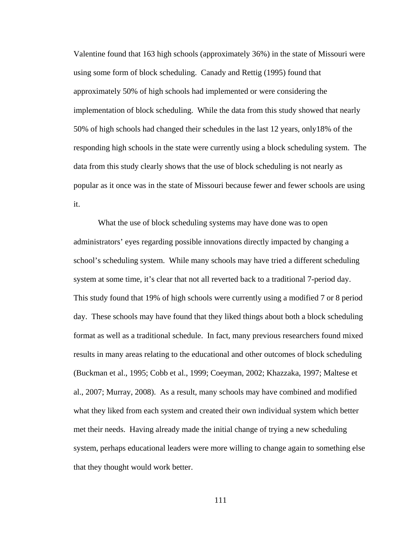Valentine found that 163 high schools (approximately 36%) in the state of Missouri were using some form of block scheduling. Canady and Rettig (1995) found that approximately 50% of high schools had implemented or were considering the implementation of block scheduling. While the data from this study showed that nearly 50% of high schools had changed their schedules in the last 12 years, only18% of the responding high schools in the state were currently using a block scheduling system. The data from this study clearly shows that the use of block scheduling is not nearly as popular as it once was in the state of Missouri because fewer and fewer schools are using it.

What the use of block scheduling systems may have done was to open administrators' eyes regarding possible innovations directly impacted by changing a school's scheduling system. While many schools may have tried a different scheduling system at some time, it's clear that not all reverted back to a traditional 7-period day. This study found that 19% of high schools were currently using a modified 7 or 8 period day. These schools may have found that they liked things about both a block scheduling format as well as a traditional schedule. In fact, many previous researchers found mixed results in many areas relating to the educational and other outcomes of block scheduling (Buckman et al., 1995; Cobb et al., 1999; Coeyman, 2002; Khazzaka, 1997; Maltese et al., 2007; Murray, 2008). As a result, many schools may have combined and modified what they liked from each system and created their own individual system which better met their needs. Having already made the initial change of trying a new scheduling system, perhaps educational leaders were more willing to change again to something else that they thought would work better.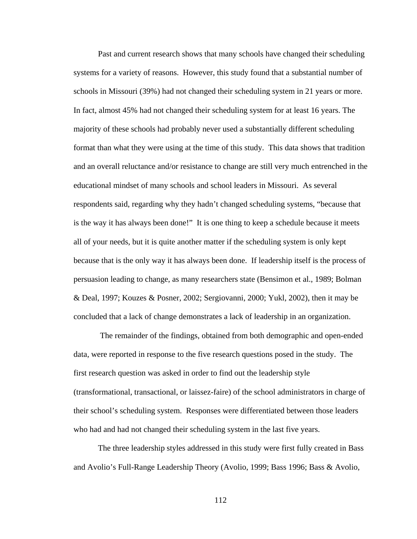Past and current research shows that many schools have changed their scheduling systems for a variety of reasons. However, this study found that a substantial number of schools in Missouri (39%) had not changed their scheduling system in 21 years or more. In fact, almost 45% had not changed their scheduling system for at least 16 years. The majority of these schools had probably never used a substantially different scheduling format than what they were using at the time of this study. This data shows that tradition and an overall reluctance and/or resistance to change are still very much entrenched in the educational mindset of many schools and school leaders in Missouri. As several respondents said, regarding why they hadn't changed scheduling systems, "because that is the way it has always been done!" It is one thing to keep a schedule because it meets all of your needs, but it is quite another matter if the scheduling system is only kept because that is the only way it has always been done. If leadership itself is the process of persuasion leading to change, as many researchers state (Bensimon et al., 1989; Bolman & Deal, 1997; Kouzes & Posner, 2002; Sergiovanni, 2000; Yukl, 2002), then it may be concluded that a lack of change demonstrates a lack of leadership in an organization.

The remainder of the findings, obtained from both demographic and open-ended data, were reported in response to the five research questions posed in the study. The first research question was asked in order to find out the leadership style (transformational, transactional, or laissez-faire) of the school administrators in charge of their school's scheduling system. Responses were differentiated between those leaders who had and had not changed their scheduling system in the last five years.

The three leadership styles addressed in this study were first fully created in Bass and Avolio's Full-Range Leadership Theory (Avolio, 1999; Bass 1996; Bass & Avolio,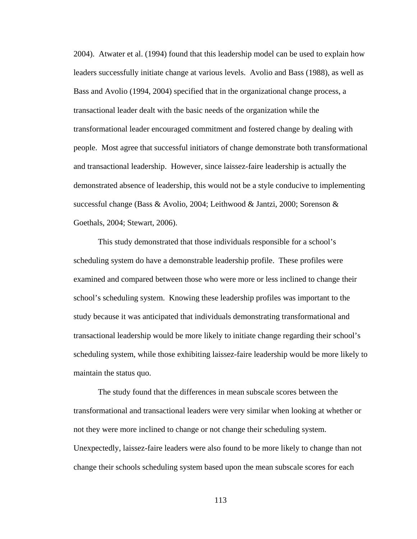2004). Atwater et al. (1994) found that this leadership model can be used to explain how leaders successfully initiate change at various levels. Avolio and Bass (1988), as well as Bass and Avolio (1994, 2004) specified that in the organizational change process, a transactional leader dealt with the basic needs of the organization while the transformational leader encouraged commitment and fostered change by dealing with people. Most agree that successful initiators of change demonstrate both transformational and transactional leadership. However, since laissez-faire leadership is actually the demonstrated absence of leadership, this would not be a style conducive to implementing successful change (Bass & Avolio, 2004; Leithwood & Jantzi, 2000; Sorenson & Goethals, 2004; Stewart, 2006).

This study demonstrated that those individuals responsible for a school's scheduling system do have a demonstrable leadership profile. These profiles were examined and compared between those who were more or less inclined to change their school's scheduling system. Knowing these leadership profiles was important to the study because it was anticipated that individuals demonstrating transformational and transactional leadership would be more likely to initiate change regarding their school's scheduling system, while those exhibiting laissez-faire leadership would be more likely to maintain the status quo.

The study found that the differences in mean subscale scores between the transformational and transactional leaders were very similar when looking at whether or not they were more inclined to change or not change their scheduling system. Unexpectedly, laissez-faire leaders were also found to be more likely to change than not change their schools scheduling system based upon the mean subscale scores for each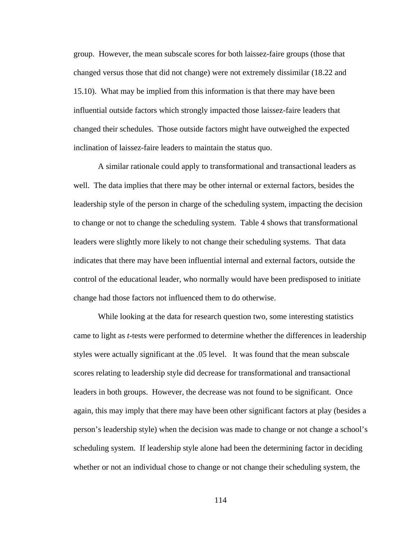group. However, the mean subscale scores for both laissez-faire groups (those that changed versus those that did not change) were not extremely dissimilar (18.22 and 15.10). What may be implied from this information is that there may have been influential outside factors which strongly impacted those laissez-faire leaders that changed their schedules. Those outside factors might have outweighed the expected inclination of laissez-faire leaders to maintain the status quo.

A similar rationale could apply to transformational and transactional leaders as well. The data implies that there may be other internal or external factors, besides the leadership style of the person in charge of the scheduling system, impacting the decision to change or not to change the scheduling system. Table 4 shows that transformational leaders were slightly more likely to not change their scheduling systems. That data indicates that there may have been influential internal and external factors, outside the control of the educational leader, who normally would have been predisposed to initiate change had those factors not influenced them to do otherwise.

While looking at the data for research question two, some interesting statistics came to light as *t*-tests were performed to determine whether the differences in leadership styles were actually significant at the .05 level. It was found that the mean subscale scores relating to leadership style did decrease for transformational and transactional leaders in both groups. However, the decrease was not found to be significant. Once again, this may imply that there may have been other significant factors at play (besides a person's leadership style) when the decision was made to change or not change a school's scheduling system. If leadership style alone had been the determining factor in deciding whether or not an individual chose to change or not change their scheduling system, the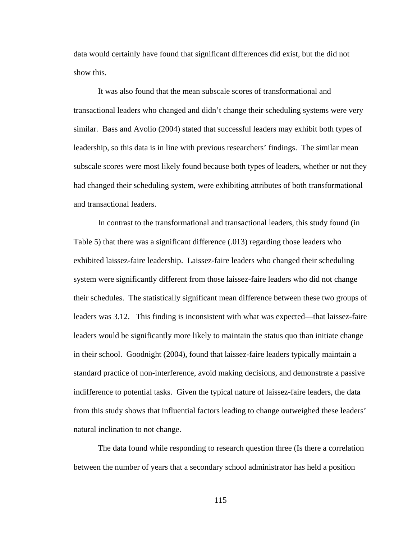data would certainly have found that significant differences did exist, but the did not show this.

It was also found that the mean subscale scores of transformational and transactional leaders who changed and didn't change their scheduling systems were very similar. Bass and Avolio (2004) stated that successful leaders may exhibit both types of leadership, so this data is in line with previous researchers' findings. The similar mean subscale scores were most likely found because both types of leaders, whether or not they had changed their scheduling system, were exhibiting attributes of both transformational and transactional leaders.

In contrast to the transformational and transactional leaders, this study found (in Table 5) that there was a significant difference (.013) regarding those leaders who exhibited laissez-faire leadership. Laissez-faire leaders who changed their scheduling system were significantly different from those laissez-faire leaders who did not change their schedules. The statistically significant mean difference between these two groups of leaders was 3.12. This finding is inconsistent with what was expected—that laissez-faire leaders would be significantly more likely to maintain the status quo than initiate change in their school. Goodnight (2004), found that laissez-faire leaders typically maintain a standard practice of non-interference, avoid making decisions, and demonstrate a passive indifference to potential tasks. Given the typical nature of laissez-faire leaders, the data from this study shows that influential factors leading to change outweighed these leaders' natural inclination to not change.

The data found while responding to research question three (Is there a correlation between the number of years that a secondary school administrator has held a position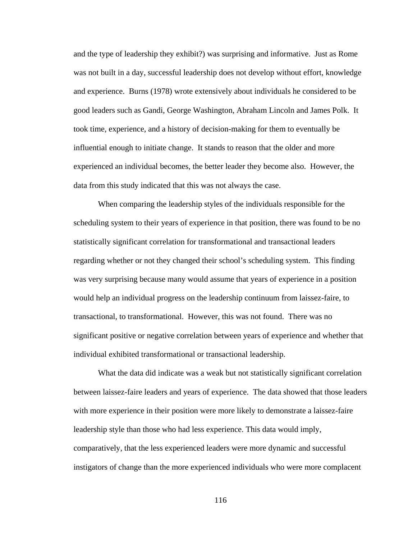and the type of leadership they exhibit?) was surprising and informative. Just as Rome was not built in a day, successful leadership does not develop without effort, knowledge and experience. Burns (1978) wrote extensively about individuals he considered to be good leaders such as Gandi, George Washington, Abraham Lincoln and James Polk. It took time, experience, and a history of decision-making for them to eventually be influential enough to initiate change. It stands to reason that the older and more experienced an individual becomes, the better leader they become also. However, the data from this study indicated that this was not always the case.

When comparing the leadership styles of the individuals responsible for the scheduling system to their years of experience in that position, there was found to be no statistically significant correlation for transformational and transactional leaders regarding whether or not they changed their school's scheduling system. This finding was very surprising because many would assume that years of experience in a position would help an individual progress on the leadership continuum from laissez-faire, to transactional, to transformational. However, this was not found. There was no significant positive or negative correlation between years of experience and whether that individual exhibited transformational or transactional leadership.

What the data did indicate was a weak but not statistically significant correlation between laissez-faire leaders and years of experience. The data showed that those leaders with more experience in their position were more likely to demonstrate a laissez-faire leadership style than those who had less experience. This data would imply, comparatively, that the less experienced leaders were more dynamic and successful instigators of change than the more experienced individuals who were more complacent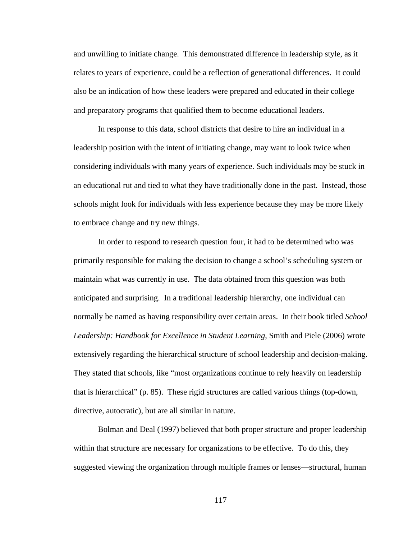and unwilling to initiate change. This demonstrated difference in leadership style, as it relates to years of experience, could be a reflection of generational differences. It could also be an indication of how these leaders were prepared and educated in their college and preparatory programs that qualified them to become educational leaders.

In response to this data, school districts that desire to hire an individual in a leadership position with the intent of initiating change, may want to look twice when considering individuals with many years of experience. Such individuals may be stuck in an educational rut and tied to what they have traditionally done in the past. Instead, those schools might look for individuals with less experience because they may be more likely to embrace change and try new things.

In order to respond to research question four, it had to be determined who was primarily responsible for making the decision to change a school's scheduling system or maintain what was currently in use. The data obtained from this question was both anticipated and surprising. In a traditional leadership hierarchy, one individual can normally be named as having responsibility over certain areas. In their book titled *School Leadership: Handbook for Excellence in Student Learning*, Smith and Piele (2006) wrote extensively regarding the hierarchical structure of school leadership and decision-making. They stated that schools, like "most organizations continue to rely heavily on leadership that is hierarchical" (p. 85). These rigid structures are called various things (top-down, directive, autocratic), but are all similar in nature.

Bolman and Deal (1997) believed that both proper structure and proper leadership within that structure are necessary for organizations to be effective. To do this, they suggested viewing the organization through multiple frames or lenses—structural, human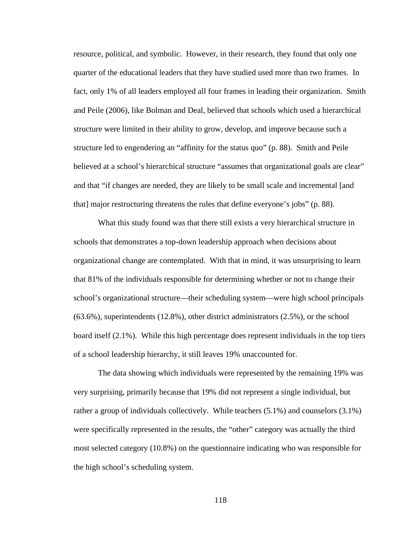resource, political, and symbolic. However, in their research, they found that only one quarter of the educational leaders that they have studied used more than two frames. In fact, only 1% of all leaders employed all four frames in leading their organization. Smith and Peile (2006), like Bolman and Deal, believed that schools which used a hierarchical structure were limited in their ability to grow, develop, and improve because such a structure led to engendering an "affinity for the status quo" (p. 88). Smith and Peile believed at a school's hierarchical structure "assumes that organizational goals are clear" and that "if changes are needed, they are likely to be small scale and incremental [and that] major restructuring threatens the rules that define everyone's jobs" (p. 88).

What this study found was that there still exists a very hierarchical structure in schools that demonstrates a top-down leadership approach when decisions about organizational change are contemplated. With that in mind, it was unsurprising to learn that 81% of the individuals responsible for determining whether or not to change their school's organizational structure—their scheduling system—were high school principals (63.6%), superintendents (12.8%), other district administrators (2.5%), or the school board itself (2.1%). While this high percentage does represent individuals in the top tiers of a school leadership hierarchy, it still leaves 19% unaccounted for.

The data showing which individuals were represented by the remaining 19% was very surprising, primarily because that 19% did not represent a single individual, but rather a group of individuals collectively. While teachers (5.1%) and counselors (3.1%) were specifically represented in the results, the "other" category was actually the third most selected category (10.8%) on the questionnaire indicating who was responsible for the high school's scheduling system.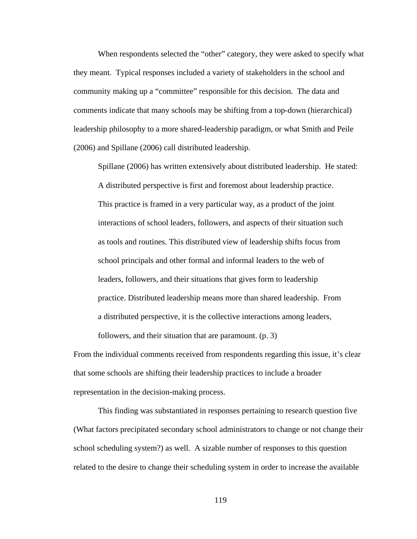When respondents selected the "other" category, they were asked to specify what they meant. Typical responses included a variety of stakeholders in the school and community making up a "committee" responsible for this decision. The data and comments indicate that many schools may be shifting from a top-down (hierarchical) leadership philosophy to a more shared-leadership paradigm, or what Smith and Peile (2006) and Spillane (2006) call distributed leadership.

Spillane (2006) has written extensively about distributed leadership. He stated: A distributed perspective is first and foremost about leadership practice. This practice is framed in a very particular way, as a product of the joint interactions of school leaders, followers, and aspects of their situation such as tools and routines. This distributed view of leadership shifts focus from school principals and other formal and informal leaders to the web of leaders, followers, and their situations that gives form to leadership practice. Distributed leadership means more than shared leadership. From a distributed perspective, it is the collective interactions among leaders,

followers, and their situation that are paramount. (p. 3)

From the individual comments received from respondents regarding this issue, it's clear that some schools are shifting their leadership practices to include a broader representation in the decision-making process.

This finding was substantiated in responses pertaining to research question five (What factors precipitated secondary school administrators to change or not change their school scheduling system?) as well. A sizable number of responses to this question related to the desire to change their scheduling system in order to increase the available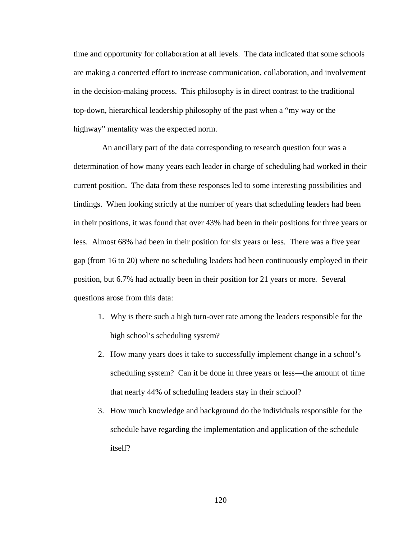time and opportunity for collaboration at all levels. The data indicated that some schools are making a concerted effort to increase communication, collaboration, and involvement in the decision-making process. This philosophy is in direct contrast to the traditional top-down, hierarchical leadership philosophy of the past when a "my way or the highway" mentality was the expected norm.

 An ancillary part of the data corresponding to research question four was a determination of how many years each leader in charge of scheduling had worked in their current position. The data from these responses led to some interesting possibilities and findings. When looking strictly at the number of years that scheduling leaders had been in their positions, it was found that over 43% had been in their positions for three years or less. Almost 68% had been in their position for six years or less. There was a five year gap (from 16 to 20) where no scheduling leaders had been continuously employed in their position, but 6.7% had actually been in their position for 21 years or more. Several questions arose from this data:

- 1. Why is there such a high turn-over rate among the leaders responsible for the high school's scheduling system?
- 2. How many years does it take to successfully implement change in a school's scheduling system? Can it be done in three years or less—the amount of time that nearly 44% of scheduling leaders stay in their school?
- 3. How much knowledge and background do the individuals responsible for the schedule have regarding the implementation and application of the schedule itself?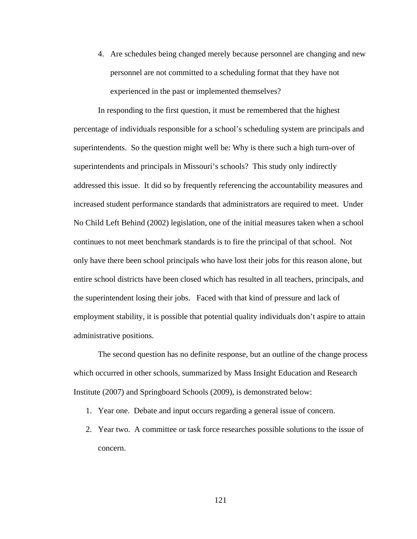4. Are schedules being changed merely because personnel are changing and new personnel are not committed to a scheduling format that they have not experienced in the past or implemented themselves?

In responding to the first question, it must be remembered that the highest percentage of individuals responsible for a school's scheduling system are principals and superintendents. So the question might well be: Why is there such a high turn-over of superintendents and principals in Missouri's schools? This study only indirectly addressed this issue. It did so by frequently referencing the accountability measures and increased student performance standards that administrators are required to meet. Under No Child Left Behind (2002) legislation, one of the initial measures taken when a school continues to not meet benchmark standards is to fire the principal of that school. Not only have there been school principals who have lost their jobs for this reason alone, but entire school districts have been closed which has resulted in all teachers, principals, and the superintendent losing their jobs. Faced with that kind of pressure and lack of employment stability, it is possible that potential quality individuals don't aspire to attain administrative positions.

The second question has no definite response, but an outline of the change process which occurred in other schools, summarized by Mass Insight Education and Research Institute (2007) and Springboard Schools (2009), is demonstrated below:

- 1. Year one. Debate and input occurs regarding a general issue of concern.
- 2. Year two. A committee or task force researches possible solutions to the issue of concern.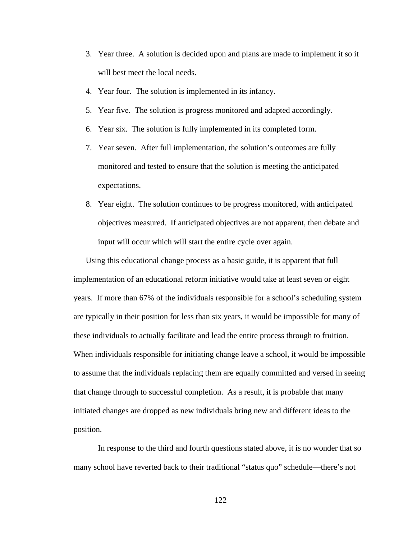- 3. Year three. A solution is decided upon and plans are made to implement it so it will best meet the local needs.
- 4. Year four. The solution is implemented in its infancy.
- 5. Year five. The solution is progress monitored and adapted accordingly.
- 6. Year six. The solution is fully implemented in its completed form.
- 7. Year seven. After full implementation, the solution's outcomes are fully monitored and tested to ensure that the solution is meeting the anticipated expectations.
- 8. Year eight. The solution continues to be progress monitored, with anticipated objectives measured. If anticipated objectives are not apparent, then debate and input will occur which will start the entire cycle over again.

Using this educational change process as a basic guide, it is apparent that full implementation of an educational reform initiative would take at least seven or eight years. If more than 67% of the individuals responsible for a school's scheduling system are typically in their position for less than six years, it would be impossible for many of these individuals to actually facilitate and lead the entire process through to fruition. When individuals responsible for initiating change leave a school, it would be impossible to assume that the individuals replacing them are equally committed and versed in seeing that change through to successful completion. As a result, it is probable that many initiated changes are dropped as new individuals bring new and different ideas to the position.

In response to the third and fourth questions stated above, it is no wonder that so many school have reverted back to their traditional "status quo" schedule—there's not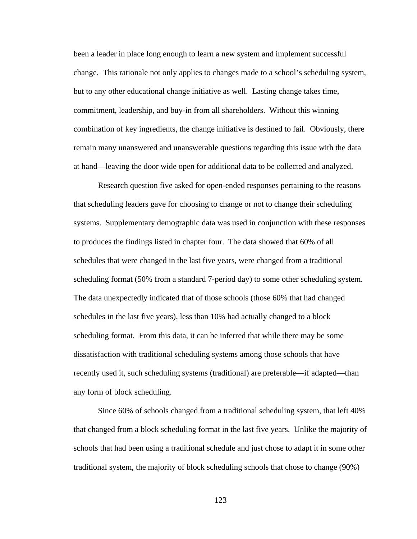been a leader in place long enough to learn a new system and implement successful change. This rationale not only applies to changes made to a school's scheduling system, but to any other educational change initiative as well. Lasting change takes time, commitment, leadership, and buy-in from all shareholders. Without this winning combination of key ingredients, the change initiative is destined to fail. Obviously, there remain many unanswered and unanswerable questions regarding this issue with the data at hand—leaving the door wide open for additional data to be collected and analyzed.

Research question five asked for open-ended responses pertaining to the reasons that scheduling leaders gave for choosing to change or not to change their scheduling systems. Supplementary demographic data was used in conjunction with these responses to produces the findings listed in chapter four. The data showed that 60% of all schedules that were changed in the last five years, were changed from a traditional scheduling format (50% from a standard 7-period day) to some other scheduling system. The data unexpectedly indicated that of those schools (those 60% that had changed schedules in the last five years), less than 10% had actually changed to a block scheduling format. From this data, it can be inferred that while there may be some dissatisfaction with traditional scheduling systems among those schools that have recently used it, such scheduling systems (traditional) are preferable—if adapted—than any form of block scheduling.

Since 60% of schools changed from a traditional scheduling system, that left 40% that changed from a block scheduling format in the last five years. Unlike the majority of schools that had been using a traditional schedule and just chose to adapt it in some other traditional system, the majority of block scheduling schools that chose to change (90%)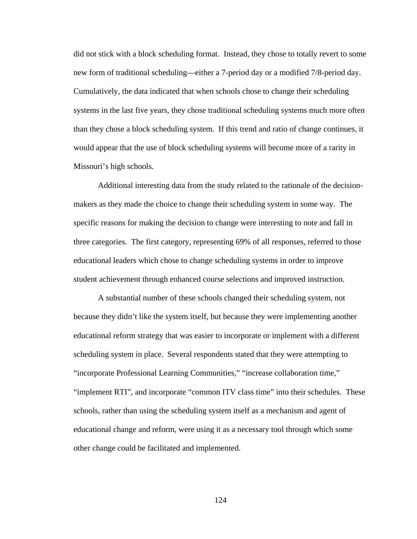did not stick with a block scheduling format. Instead, they chose to totally revert to some new form of traditional scheduling—either a 7-period day or a modified 7/8-period day. Cumulatively, the data indicated that when schools chose to change their scheduling systems in the last five years, they chose traditional scheduling systems much more often than they chose a block scheduling system. If this trend and ratio of change continues, it would appear that the use of block scheduling systems will become more of a rarity in Missouri's high schools.

Additional interesting data from the study related to the rationale of the decisionmakers as they made the choice to change their scheduling system in some way. The specific reasons for making the decision to change were interesting to note and fall in three categories. The first category, representing 69% of all responses, referred to those educational leaders which chose to change scheduling systems in order to improve student achievement through enhanced course selections and improved instruction.

A substantial number of these schools changed their scheduling system, not because they didn't like the system itself, but because they were implementing another educational reform strategy that was easier to incorporate or implement with a different scheduling system in place. Several respondents stated that they were attempting to "incorporate Professional Learning Communities," "increase collaboration time," "implement RTI", and incorporate "common ITV class time" into their schedules. These schools, rather than using the scheduling system itself as a mechanism and agent of educational change and reform, were using it as a necessary tool through which some other change could be facilitated and implemented.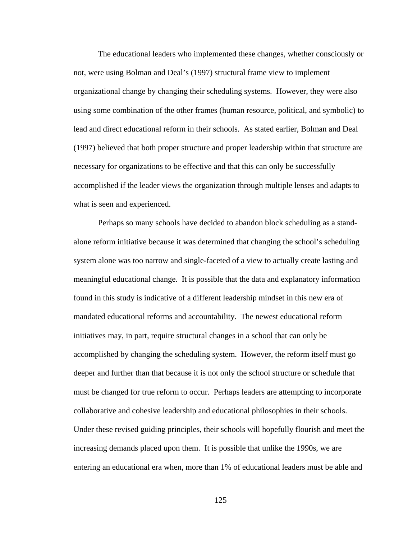The educational leaders who implemented these changes, whether consciously or not, were using Bolman and Deal's (1997) structural frame view to implement organizational change by changing their scheduling systems. However, they were also using some combination of the other frames (human resource, political, and symbolic) to lead and direct educational reform in their schools. As stated earlier, Bolman and Deal (1997) believed that both proper structure and proper leadership within that structure are necessary for organizations to be effective and that this can only be successfully accomplished if the leader views the organization through multiple lenses and adapts to what is seen and experienced.

Perhaps so many schools have decided to abandon block scheduling as a standalone reform initiative because it was determined that changing the school's scheduling system alone was too narrow and single-faceted of a view to actually create lasting and meaningful educational change. It is possible that the data and explanatory information found in this study is indicative of a different leadership mindset in this new era of mandated educational reforms and accountability. The newest educational reform initiatives may, in part, require structural changes in a school that can only be accomplished by changing the scheduling system. However, the reform itself must go deeper and further than that because it is not only the school structure or schedule that must be changed for true reform to occur. Perhaps leaders are attempting to incorporate collaborative and cohesive leadership and educational philosophies in their schools. Under these revised guiding principles, their schools will hopefully flourish and meet the increasing demands placed upon them. It is possible that unlike the 1990s, we are entering an educational era when, more than 1% of educational leaders must be able and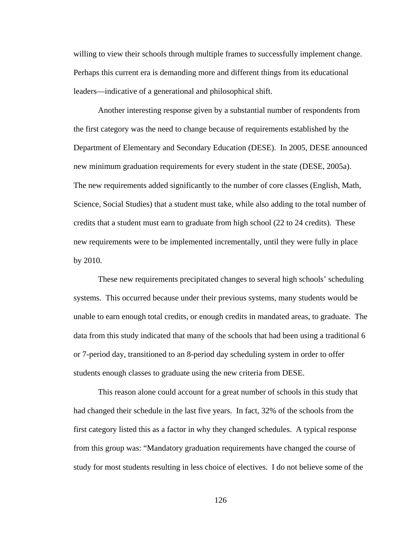willing to view their schools through multiple frames to successfully implement change. Perhaps this current era is demanding more and different things from its educational leaders—indicative of a generational and philosophical shift.

Another interesting response given by a substantial number of respondents from the first category was the need to change because of requirements established by the Department of Elementary and Secondary Education (DESE). In 2005, DESE announced new minimum graduation requirements for every student in the state (DESE, 2005a). The new requirements added significantly to the number of core classes (English, Math, Science, Social Studies) that a student must take, while also adding to the total number of credits that a student must earn to graduate from high school (22 to 24 credits). These new requirements were to be implemented incrementally, until they were fully in place by 2010.

These new requirements precipitated changes to several high schools' scheduling systems. This occurred because under their previous systems, many students would be unable to earn enough total credits, or enough credits in mandated areas, to graduate. The data from this study indicated that many of the schools that had been using a traditional 6 or 7-period day, transitioned to an 8-period day scheduling system in order to offer students enough classes to graduate using the new criteria from DESE.

This reason alone could account for a great number of schools in this study that had changed their schedule in the last five years. In fact, 32% of the schools from the first category listed this as a factor in why they changed schedules. A typical response from this group was: "Mandatory graduation requirements have changed the course of study for most students resulting in less choice of electives. I do not believe some of the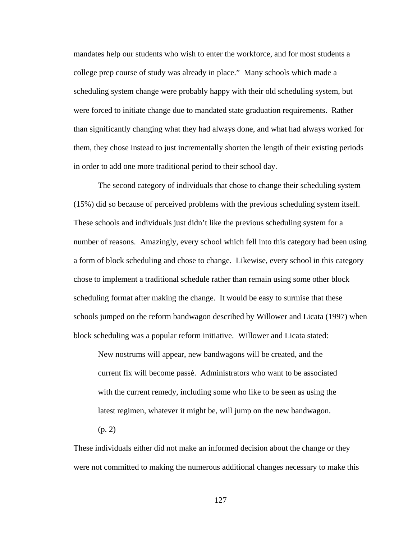mandates help our students who wish to enter the workforce, and for most students a college prep course of study was already in place." Many schools which made a scheduling system change were probably happy with their old scheduling system, but were forced to initiate change due to mandated state graduation requirements. Rather than significantly changing what they had always done, and what had always worked for them, they chose instead to just incrementally shorten the length of their existing periods in order to add one more traditional period to their school day.

The second category of individuals that chose to change their scheduling system (15%) did so because of perceived problems with the previous scheduling system itself. These schools and individuals just didn't like the previous scheduling system for a number of reasons. Amazingly, every school which fell into this category had been using a form of block scheduling and chose to change. Likewise, every school in this category chose to implement a traditional schedule rather than remain using some other block scheduling format after making the change. It would be easy to surmise that these schools jumped on the reform bandwagon described by Willower and Licata (1997) when block scheduling was a popular reform initiative. Willower and Licata stated:

New nostrums will appear, new bandwagons will be created, and the current fix will become passé. Administrators who want to be associated with the current remedy, including some who like to be seen as using the latest regimen, whatever it might be, will jump on the new bandwagon.

(p. 2)

These individuals either did not make an informed decision about the change or they were not committed to making the numerous additional changes necessary to make this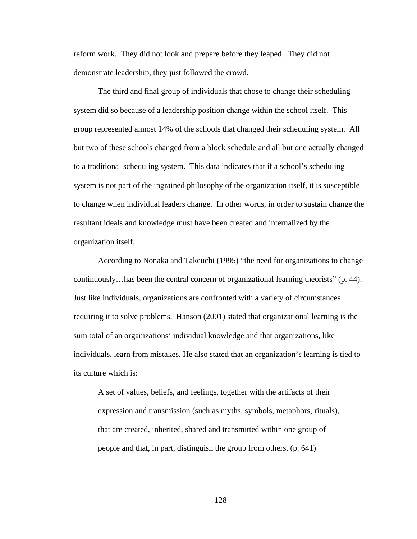reform work. They did not look and prepare before they leaped. They did not demonstrate leadership, they just followed the crowd.

The third and final group of individuals that chose to change their scheduling system did so because of a leadership position change within the school itself. This group represented almost 14% of the schools that changed their scheduling system. All but two of these schools changed from a block schedule and all but one actually changed to a traditional scheduling system. This data indicates that if a school's scheduling system is not part of the ingrained philosophy of the organization itself, it is susceptible to change when individual leaders change. In other words, in order to sustain change the resultant ideals and knowledge must have been created and internalized by the organization itself.

According to Nonaka and Takeuchi (1995) "the need for organizations to change continuously…has been the central concern of organizational learning theorists" (p. 44). Just like individuals, organizations are confronted with a variety of circumstances requiring it to solve problems. Hanson (2001) stated that organizational learning is the sum total of an organizations' individual knowledge and that organizations, like individuals, learn from mistakes. He also stated that an organization's learning is tied to its culture which is:

A set of values, beliefs, and feelings, together with the artifacts of their expression and transmission (such as myths, symbols, metaphors, rituals), that are created, inherited, shared and transmitted within one group of people and that, in part, distinguish the group from others. (p. 641)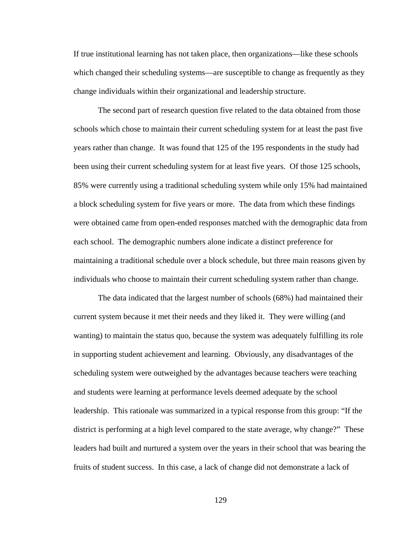If true institutional learning has not taken place, then organizations—like these schools which changed their scheduling systems—are susceptible to change as frequently as they change individuals within their organizational and leadership structure.

The second part of research question five related to the data obtained from those schools which chose to maintain their current scheduling system for at least the past five years rather than change. It was found that 125 of the 195 respondents in the study had been using their current scheduling system for at least five years. Of those 125 schools, 85% were currently using a traditional scheduling system while only 15% had maintained a block scheduling system for five years or more. The data from which these findings were obtained came from open-ended responses matched with the demographic data from each school. The demographic numbers alone indicate a distinct preference for maintaining a traditional schedule over a block schedule, but three main reasons given by individuals who choose to maintain their current scheduling system rather than change.

The data indicated that the largest number of schools (68%) had maintained their current system because it met their needs and they liked it. They were willing (and wanting) to maintain the status quo, because the system was adequately fulfilling its role in supporting student achievement and learning. Obviously, any disadvantages of the scheduling system were outweighed by the advantages because teachers were teaching and students were learning at performance levels deemed adequate by the school leadership. This rationale was summarized in a typical response from this group: "If the district is performing at a high level compared to the state average, why change?" These leaders had built and nurtured a system over the years in their school that was bearing the fruits of student success. In this case, a lack of change did not demonstrate a lack of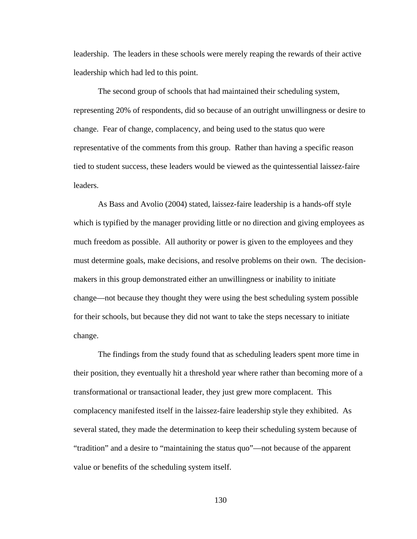leadership. The leaders in these schools were merely reaping the rewards of their active leadership which had led to this point.

The second group of schools that had maintained their scheduling system, representing 20% of respondents, did so because of an outright unwillingness or desire to change. Fear of change, complacency, and being used to the status quo were representative of the comments from this group. Rather than having a specific reason tied to student success, these leaders would be viewed as the quintessential laissez-faire leaders.

As Bass and Avolio (2004) stated, laissez-faire leadership is a hands-off style which is typified by the manager providing little or no direction and giving employees as much freedom as possible. All authority or power is given to the employees and they must determine goals, make decisions, and resolve problems on their own. The decisionmakers in this group demonstrated either an unwillingness or inability to initiate change—not because they thought they were using the best scheduling system possible for their schools, but because they did not want to take the steps necessary to initiate change.

The findings from the study found that as scheduling leaders spent more time in their position, they eventually hit a threshold year where rather than becoming more of a transformational or transactional leader, they just grew more complacent. This complacency manifested itself in the laissez-faire leadership style they exhibited. As several stated, they made the determination to keep their scheduling system because of "tradition" and a desire to "maintaining the status quo"—not because of the apparent value or benefits of the scheduling system itself.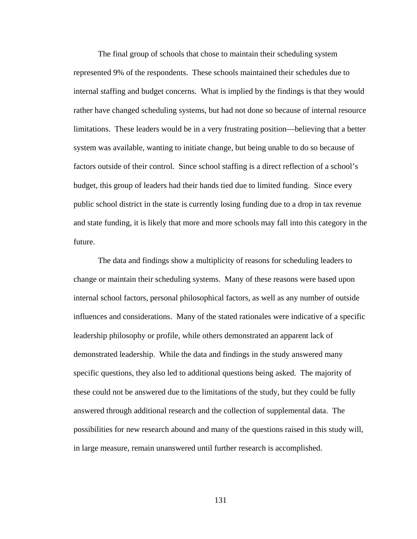The final group of schools that chose to maintain their scheduling system represented 9% of the respondents. These schools maintained their schedules due to internal staffing and budget concerns. What is implied by the findings is that they would rather have changed scheduling systems, but had not done so because of internal resource limitations. These leaders would be in a very frustrating position—believing that a better system was available, wanting to initiate change, but being unable to do so because of factors outside of their control. Since school staffing is a direct reflection of a school's budget, this group of leaders had their hands tied due to limited funding. Since every public school district in the state is currently losing funding due to a drop in tax revenue and state funding, it is likely that more and more schools may fall into this category in the future.

The data and findings show a multiplicity of reasons for scheduling leaders to change or maintain their scheduling systems. Many of these reasons were based upon internal school factors, personal philosophical factors, as well as any number of outside influences and considerations. Many of the stated rationales were indicative of a specific leadership philosophy or profile, while others demonstrated an apparent lack of demonstrated leadership. While the data and findings in the study answered many specific questions, they also led to additional questions being asked. The majority of these could not be answered due to the limitations of the study, but they could be fully answered through additional research and the collection of supplemental data. The possibilities for new research abound and many of the questions raised in this study will, in large measure, remain unanswered until further research is accomplished.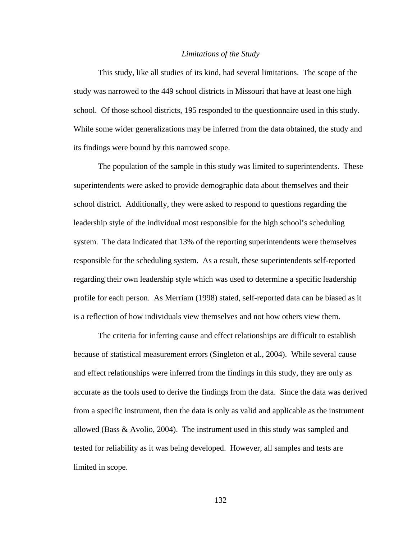### *Limitations of the Study*

This study, like all studies of its kind, had several limitations. The scope of the study was narrowed to the 449 school districts in Missouri that have at least one high school. Of those school districts, 195 responded to the questionnaire used in this study. While some wider generalizations may be inferred from the data obtained, the study and its findings were bound by this narrowed scope.

The population of the sample in this study was limited to superintendents. These superintendents were asked to provide demographic data about themselves and their school district. Additionally, they were asked to respond to questions regarding the leadership style of the individual most responsible for the high school's scheduling system. The data indicated that 13% of the reporting superintendents were themselves responsible for the scheduling system. As a result, these superintendents self-reported regarding their own leadership style which was used to determine a specific leadership profile for each person. As Merriam (1998) stated, self-reported data can be biased as it is a reflection of how individuals view themselves and not how others view them.

The criteria for inferring cause and effect relationships are difficult to establish because of statistical measurement errors (Singleton et al., 2004). While several cause and effect relationships were inferred from the findings in this study, they are only as accurate as the tools used to derive the findings from the data. Since the data was derived from a specific instrument, then the data is only as valid and applicable as the instrument allowed (Bass & Avolio, 2004). The instrument used in this study was sampled and tested for reliability as it was being developed. However, all samples and tests are limited in scope.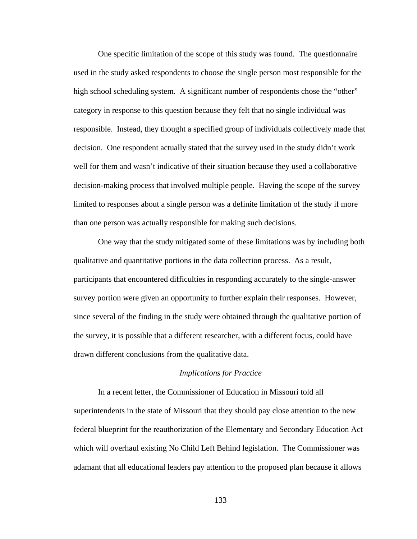One specific limitation of the scope of this study was found. The questionnaire used in the study asked respondents to choose the single person most responsible for the high school scheduling system. A significant number of respondents chose the "other" category in response to this question because they felt that no single individual was responsible. Instead, they thought a specified group of individuals collectively made that decision. One respondent actually stated that the survey used in the study didn't work well for them and wasn't indicative of their situation because they used a collaborative decision-making process that involved multiple people. Having the scope of the survey limited to responses about a single person was a definite limitation of the study if more than one person was actually responsible for making such decisions.

One way that the study mitigated some of these limitations was by including both qualitative and quantitative portions in the data collection process. As a result, participants that encountered difficulties in responding accurately to the single-answer survey portion were given an opportunity to further explain their responses. However, since several of the finding in the study were obtained through the qualitative portion of the survey, it is possible that a different researcher, with a different focus, could have drawn different conclusions from the qualitative data.

### *Implications for Practice*

In a recent letter, the Commissioner of Education in Missouri told all superintendents in the state of Missouri that they should pay close attention to the new federal blueprint for the reauthorization of the Elementary and Secondary Education Act which will overhaul existing No Child Left Behind legislation. The Commissioner was adamant that all educational leaders pay attention to the proposed plan because it allows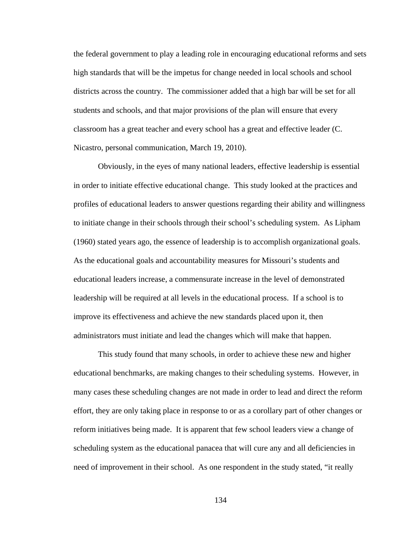the federal government to play a leading role in encouraging educational reforms and sets high standards that will be the impetus for change needed in local schools and school districts across the country. The commissioner added that a high bar will be set for all students and schools, and that major provisions of the plan will ensure that every classroom has a great teacher and every school has a great and effective leader (C. Nicastro, personal communication, March 19, 2010).

Obviously, in the eyes of many national leaders, effective leadership is essential in order to initiate effective educational change. This study looked at the practices and profiles of educational leaders to answer questions regarding their ability and willingness to initiate change in their schools through their school's scheduling system. As Lipham (1960) stated years ago, the essence of leadership is to accomplish organizational goals. As the educational goals and accountability measures for Missouri's students and educational leaders increase, a commensurate increase in the level of demonstrated leadership will be required at all levels in the educational process. If a school is to improve its effectiveness and achieve the new standards placed upon it, then administrators must initiate and lead the changes which will make that happen.

This study found that many schools, in order to achieve these new and higher educational benchmarks, are making changes to their scheduling systems. However, in many cases these scheduling changes are not made in order to lead and direct the reform effort, they are only taking place in response to or as a corollary part of other changes or reform initiatives being made. It is apparent that few school leaders view a change of scheduling system as the educational panacea that will cure any and all deficiencies in need of improvement in their school. As one respondent in the study stated, "it really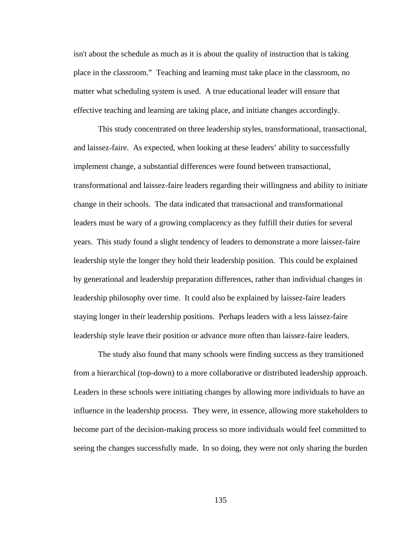isn't about the schedule as much as it is about the quality of instruction that is taking place in the classroom." Teaching and learning must take place in the classroom, no matter what scheduling system is used. A true educational leader will ensure that effective teaching and learning are taking place, and initiate changes accordingly.

This study concentrated on three leadership styles, transformational, transactional, and laissez-faire. As expected, when looking at these leaders' ability to successfully implement change, a substantial differences were found between transactional, transformational and laissez-faire leaders regarding their willingness and ability to initiate change in their schools. The data indicated that transactional and transformational leaders must be wary of a growing complacency as they fulfill their duties for several years. This study found a slight tendency of leaders to demonstrate a more laissez-faire leadership style the longer they hold their leadership position. This could be explained by generational and leadership preparation differences, rather than individual changes in leadership philosophy over time. It could also be explained by laissez-faire leaders staying longer in their leadership positions. Perhaps leaders with a less laissez-faire leadership style leave their position or advance more often than laissez-faire leaders.

The study also found that many schools were finding success as they transitioned from a hierarchical (top-down) to a more collaborative or distributed leadership approach. Leaders in these schools were initiating changes by allowing more individuals to have an influence in the leadership process. They were, in essence, allowing more stakeholders to become part of the decision-making process so more individuals would feel committed to seeing the changes successfully made. In so doing, they were not only sharing the burden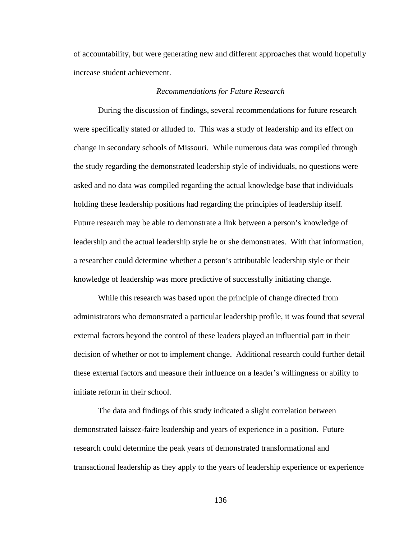of accountability, but were generating new and different approaches that would hopefully increase student achievement.

## *Recommendations for Future Research*

During the discussion of findings, several recommendations for future research were specifically stated or alluded to. This was a study of leadership and its effect on change in secondary schools of Missouri. While numerous data was compiled through the study regarding the demonstrated leadership style of individuals, no questions were asked and no data was compiled regarding the actual knowledge base that individuals holding these leadership positions had regarding the principles of leadership itself. Future research may be able to demonstrate a link between a person's knowledge of leadership and the actual leadership style he or she demonstrates. With that information, a researcher could determine whether a person's attributable leadership style or their knowledge of leadership was more predictive of successfully initiating change.

While this research was based upon the principle of change directed from administrators who demonstrated a particular leadership profile, it was found that several external factors beyond the control of these leaders played an influential part in their decision of whether or not to implement change. Additional research could further detail these external factors and measure their influence on a leader's willingness or ability to initiate reform in their school.

The data and findings of this study indicated a slight correlation between demonstrated laissez-faire leadership and years of experience in a position. Future research could determine the peak years of demonstrated transformational and transactional leadership as they apply to the years of leadership experience or experience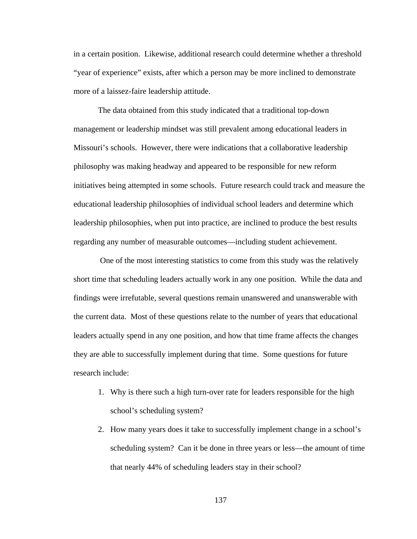in a certain position. Likewise, additional research could determine whether a threshold "year of experience" exists, after which a person may be more inclined to demonstrate more of a laissez-faire leadership attitude.

The data obtained from this study indicated that a traditional top-down management or leadership mindset was still prevalent among educational leaders in Missouri's schools. However, there were indications that a collaborative leadership philosophy was making headway and appeared to be responsible for new reform initiatives being attempted in some schools. Future research could track and measure the educational leadership philosophies of individual school leaders and determine which leadership philosophies, when put into practice, are inclined to produce the best results regarding any number of measurable outcomes—including student achievement.

One of the most interesting statistics to come from this study was the relatively short time that scheduling leaders actually work in any one position. While the data and findings were irrefutable, several questions remain unanswered and unanswerable with the current data. Most of these questions relate to the number of years that educational leaders actually spend in any one position, and how that time frame affects the changes they are able to successfully implement during that time. Some questions for future research include:

- 1. Why is there such a high turn-over rate for leaders responsible for the high school's scheduling system?
- 2. How many years does it take to successfully implement change in a school's scheduling system? Can it be done in three years or less—the amount of time that nearly 44% of scheduling leaders stay in their school?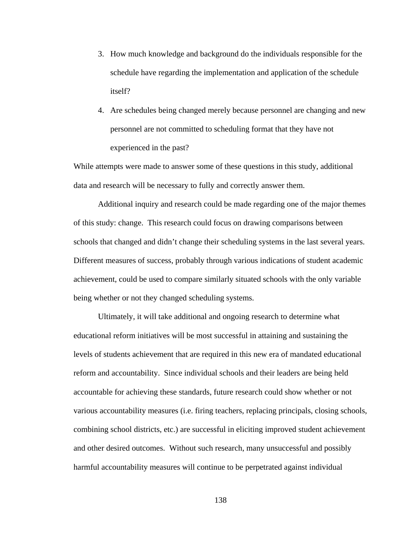- 3. How much knowledge and background do the individuals responsible for the schedule have regarding the implementation and application of the schedule itself?
- 4. Are schedules being changed merely because personnel are changing and new personnel are not committed to scheduling format that they have not experienced in the past?

While attempts were made to answer some of these questions in this study, additional data and research will be necessary to fully and correctly answer them.

Additional inquiry and research could be made regarding one of the major themes of this study: change. This research could focus on drawing comparisons between schools that changed and didn't change their scheduling systems in the last several years. Different measures of success, probably through various indications of student academic achievement, could be used to compare similarly situated schools with the only variable being whether or not they changed scheduling systems.

Ultimately, it will take additional and ongoing research to determine what educational reform initiatives will be most successful in attaining and sustaining the levels of students achievement that are required in this new era of mandated educational reform and accountability. Since individual schools and their leaders are being held accountable for achieving these standards, future research could show whether or not various accountability measures (i.e. firing teachers, replacing principals, closing schools, combining school districts, etc.) are successful in eliciting improved student achievement and other desired outcomes. Without such research, many unsuccessful and possibly harmful accountability measures will continue to be perpetrated against individual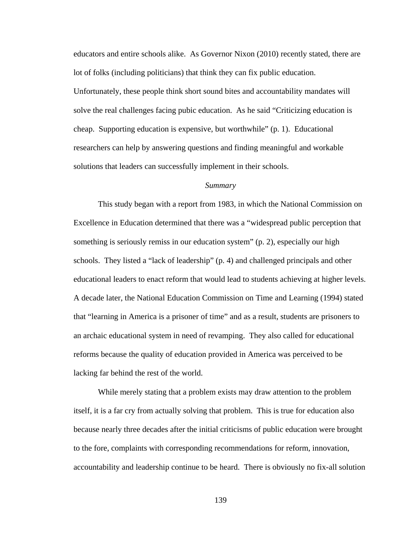educators and entire schools alike. As Governor Nixon (2010) recently stated, there are lot of folks (including politicians) that think they can fix public education. Unfortunately, these people think short sound bites and accountability mandates will solve the real challenges facing pubic education. As he said "Criticizing education is cheap. Supporting education is expensive, but worthwhile" (p. 1). Educational researchers can help by answering questions and finding meaningful and workable solutions that leaders can successfully implement in their schools.

## *Summary*

This study began with a report from 1983, in which the National Commission on Excellence in Education determined that there was a "widespread public perception that something is seriously remiss in our education system" (p. 2), especially our high schools. They listed a "lack of leadership" (p. 4) and challenged principals and other educational leaders to enact reform that would lead to students achieving at higher levels. A decade later, the National Education Commission on Time and Learning (1994) stated that "learning in America is a prisoner of time" and as a result, students are prisoners to an archaic educational system in need of revamping. They also called for educational reforms because the quality of education provided in America was perceived to be lacking far behind the rest of the world.

While merely stating that a problem exists may draw attention to the problem itself, it is a far cry from actually solving that problem. This is true for education also because nearly three decades after the initial criticisms of public education were brought to the fore, complaints with corresponding recommendations for reform, innovation, accountability and leadership continue to be heard. There is obviously no fix-all solution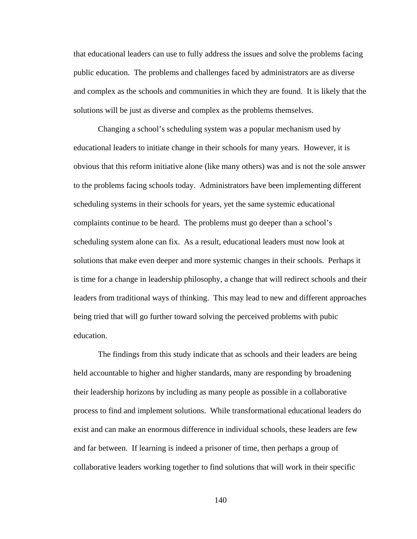that educational leaders can use to fully address the issues and solve the problems facing public education. The problems and challenges faced by administrators are as diverse and complex as the schools and communities in which they are found. It is likely that the solutions will be just as diverse and complex as the problems themselves.

Changing a school's scheduling system was a popular mechanism used by educational leaders to initiate change in their schools for many years. However, it is obvious that this reform initiative alone (like many others) was and is not the sole answer to the problems facing schools today. Administrators have been implementing different scheduling systems in their schools for years, yet the same systemic educational complaints continue to be heard. The problems must go deeper than a school's scheduling system alone can fix. As a result, educational leaders must now look at solutions that make even deeper and more systemic changes in their schools. Perhaps it is time for a change in leadership philosophy, a change that will redirect schools and their leaders from traditional ways of thinking. This may lead to new and different approaches being tried that will go further toward solving the perceived problems with pubic education.

The findings from this study indicate that as schools and their leaders are being held accountable to higher and higher standards, many are responding by broadening their leadership horizons by including as many people as possible in a collaborative process to find and implement solutions. While transformational educational leaders do exist and can make an enormous difference in individual schools, these leaders are few and far between. If learning is indeed a prisoner of time, then perhaps a group of collaborative leaders working together to find solutions that will work in their specific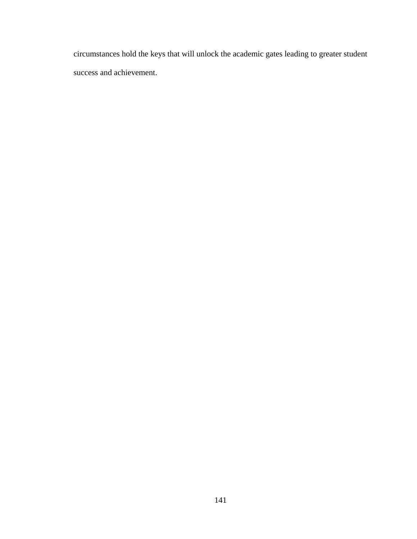circumstances hold the keys that will unlock the academic gates leading to greater student success and achievement.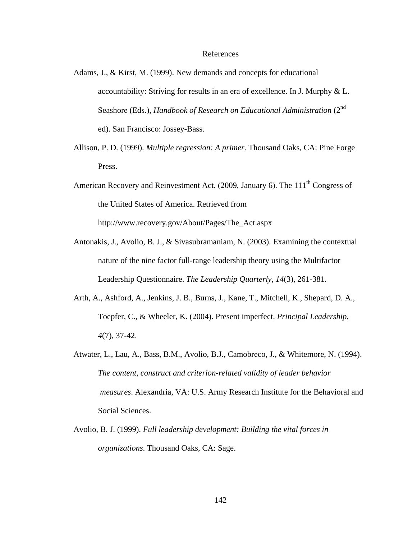## References

- Adams, J., & Kirst, M. (1999). New demands and concepts for educational accountability: Striving for results in an era of excellence. In J. Murphy & L. Seashore (Eds.), *Handbook of Research on Educational Administration* (2<sup>nd</sup>) ed). San Francisco: Jossey-Bass.
- Allison, P. D. (1999). *Multiple regression: A primer.* Thousand Oaks, CA: Pine Forge Press.
- American Recovery and Reinvestment Act. (2009, January 6). The  $111<sup>th</sup>$  Congress of the United States of America. Retrieved from [http://www.recovery.gov/About/Pages/The\\_Act.aspx](http://www.recovery.gov/About/Pages/The_Act.aspx)
- Antonakis, J., Avolio, B. J., & Sivasubramaniam, N. (2003). Examining the contextual nature of the nine factor full-range leadership theory using the Multifactor Leadership Questionnaire. *The Leadership Quarterly, 14*(3), 261-381.
- Arth, A., Ashford, A., Jenkins, J. B., Burns, J., Kane, T., Mitchell, K., Shepard, D. A., Toepfer, C., & Wheeler, K. (2004). Present imperfect. *Principal Leadership, 4*(7), 37-42.
- Atwater, L., Lau, A., Bass, B.M., Avolio, B.J., Camobreco, J., & Whitemore, N. (1994). *The content, construct and criterion-related validity of leader behavior measures*. Alexandria, VA: U.S. Army Research Institute for the Behavioral and Social Sciences.
- Avolio, B. J. (1999). *Full leadership development: Building the vital forces in organizations*. Thousand Oaks, CA: Sage.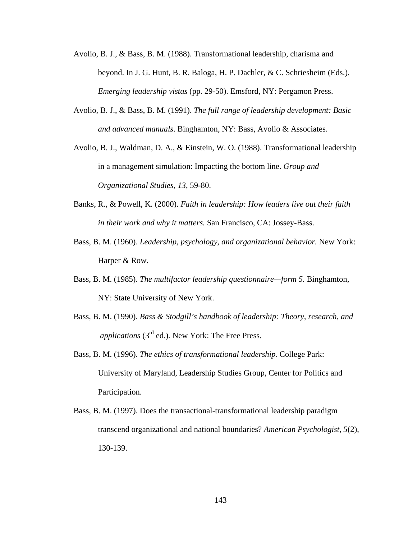- Avolio, B. J., & Bass, B. M. (1988). Transformational leadership, charisma and beyond. In J. G. Hunt, B. R. Baloga, H. P. Dachler, & C. Schriesheim (Eds.). *Emerging leadership vistas* (pp. 29-50). Emsford, NY: Pergamon Press.
- Avolio, B. J., & Bass, B. M. (1991). *The full range of leadership development: Basic and advanced manuals*. Binghamton, NY: Bass, Avolio & Associates.
- Avolio, B. J., Waldman, D. A., & Einstein, W. O. (1988). Transformational leadership in a management simulation: Impacting the bottom line. *Group and Organizational Studies, 13*, 59-80.
- Banks, R., & Powell, K. (2000). *Faith in leadership: How leaders live out their faith in their work and why it matters.* San Francisco, CA: Jossey-Bass.
- Bass, B. M. (1960). *Leadership, psychology, and organizational behavior.* New York: Harper & Row.
- Bass, B. M. (1985). *The multifactor leadership questionnaire—form 5.* Binghamton, NY: State University of New York.
- Bass, B. M. (1990). *Bass & Stodgill's handbook of leadership: Theory, research, and applications* (3rd ed.)*.* New York: The Free Press.
- Bass, B. M. (1996). *The ethics of transformational leadership.* College Park: University of Maryland, Leadership Studies Group, Center for Politics and Participation.
- Bass, B. M. (1997). Does the transactional-transformational leadership paradigm transcend organizational and national boundaries? *American Psychologist, 5*(2), 130-139.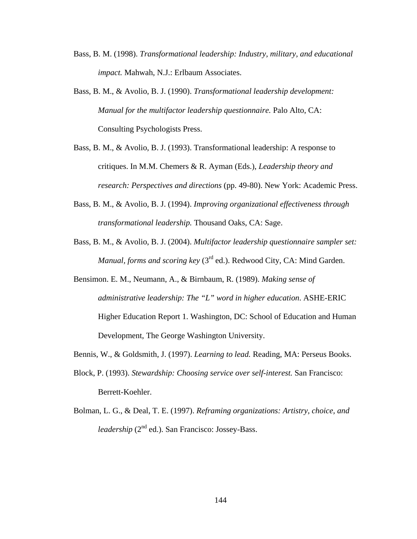- Bass, B. M. (1998). *Transformational leadership: Industry, military, and educational impact.* Mahwah, N.J.: Erlbaum Associates.
- Bass, B. M., & Avolio, B. J. (1990). *Transformational leadership development: Manual for the multifactor leadership questionnaire.* Palo Alto, CA: Consulting Psychologists Press.
- Bass, B. M., & Avolio, B. J. (1993). Transformational leadership: A response to critiques. In M.M. Chemers & R. Ayman (Eds.), *Leadership theory and research: Perspectives and directions* (pp. 49-80). New York: Academic Press.
- Bass, B. M., & Avolio, B. J. (1994). *Improving organizational effectiveness through transformational leadership.* Thousand Oaks, CA: Sage.
- Bass, B. M., & Avolio, B. J. (2004). *Multifactor leadership questionnaire sampler set: Manual, forms and scoring key* (3<sup>rd</sup> ed.). Redwood City, CA: Mind Garden.
- Bensimon. E. M., Neumann, A., & Birnbaum, R. (1989). *Making sense of administrative leadership: The "L" word in higher education*. ASHE-ERIC Higher Education Report 1. Washington, DC: School of Education and Human Development, The George Washington University.
- Bennis, W., & Goldsmith, J. (1997). *Learning to lead.* Reading, MA: Perseus Books.
- Block, P. (1993). *Stewardship: Choosing service over self-interest.* San Francisco: Berrett-Koehler.
- Bolman, L. G., & Deal, T. E. (1997). *Reframing organizations: Artistry, choice, and leadership* (2<sup>nd</sup> ed.). San Francisco: Jossey-Bass.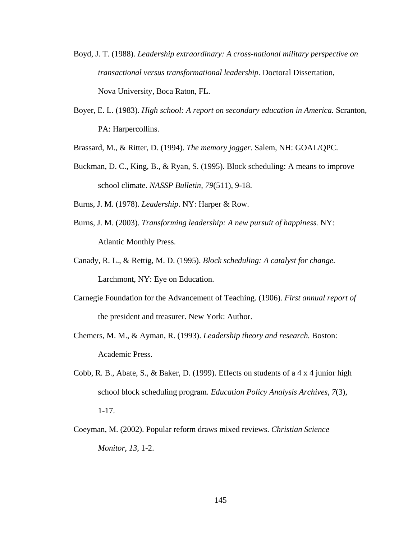- Boyd, J. T. (1988). *Leadership extraordinary: A cross-national military perspective on transactional versus transformational leadership.* Doctoral Dissertation, Nova University, Boca Raton, FL.
- Boyer, E. L. (1983). *High school: A report on secondary education in America.* Scranton, PA: Harpercollins.

Brassard, M., & Ritter, D. (1994). *The memory jogger.* Salem, NH: GOAL/QPC.

- Buckman, D. C., King, B., & Ryan, S. (1995). Block scheduling: A means to improve school climate. *NASSP Bulletin, 79*(511), 9-18.
- Burns, J. M. (1978). *Leadership*. NY: Harper & Row.
- Burns, J. M. (2003). *Transforming leadership: A new pursuit of happiness.* NY: Atlantic Monthly Press.
- Canady, R. L., & Rettig, M. D. (1995). *Block scheduling: A catalyst for change.* Larchmont, NY: Eye on Education.
- Carnegie Foundation for the Advancement of Teaching. (1906). *First annual report of* the president and treasurer. New York: Author.
- Chemers, M. M., & Ayman, R. (1993). *Leadership theory and research.* Boston: Academic Press.
- Cobb, R. B., Abate, S., & Baker, D. (1999). Effects on students of a 4 x 4 junior high school block scheduling program. *Education Policy Analysis Archives, 7*(3), 1-17.
- Coeyman, M. (2002). Popular reform draws mixed reviews. *Christian Science Monitor, 13*, 1-2.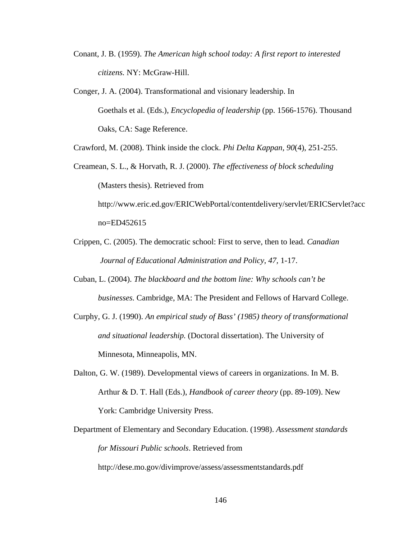- Conant, J. B. (1959). *The American high school today: A first report to interested citizens.* NY: McGraw-Hill.
- Conger, J. A. (2004). Transformational and visionary leadership. In Goethals et al. (Eds.), *Encyclopedia of leadership* (pp. 1566-1576). Thousand Oaks, CA: Sage Reference.

Crawford, M. (2008). Think inside the clock. *Phi Delta Kappan, 90*(4), 251-255.

- Creamean, S. L., & Horvath, R. J. (2000). *The effectiveness of block scheduling* (Masters thesis). Retrieved from [http://www.eric.ed.gov/ERICWebPortal/contentdelivery/servlet/ERICServlet?acc](http://www.eric.ed.gov/ERICWebPortal/contentdelivery/servlet/ERICServlet?accno=ED452615) [no=ED452615](http://www.eric.ed.gov/ERICWebPortal/contentdelivery/servlet/ERICServlet?accno=ED452615)
- Crippen, C. (2005). The democratic school: First to serve, then to lead. *Canadian Journal of Educational Administration and Policy, 47,* 1-17.
- Cuban, L. (2004). *The blackboard and the bottom line: Why schools can't be businesses.* Cambridge, MA: The President and Fellows of Harvard College.
- Curphy, G. J. (1990). *An empirical study of Bass' (1985) theory of transformational and situational leadership.* (Doctoral dissertation). The University of Minnesota, Minneapolis, MN.
- Dalton, G. W. (1989). Developmental views of careers in organizations. In M. B. Arthur & D. T. Hall (Eds.), *Handbook of career theory* (pp. 89-109). New York: Cambridge University Press.
- Department of Elementary and Secondary Education. (1998). *Assessment standards for Missouri Public schools*. Retrieved from

<http://dese.mo.gov/divimprove/assess/assessmentstandards.pdf>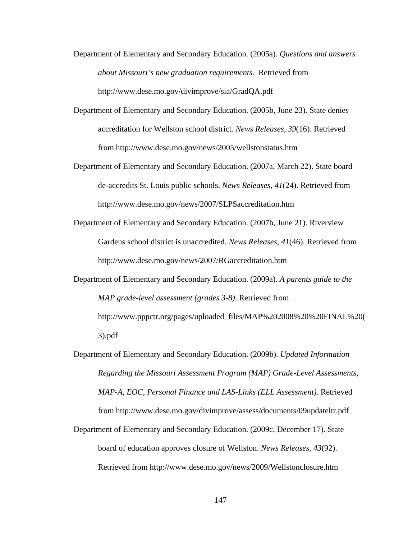- Department of Elementary and Secondary Education. (2005a). *Questions and answers about Missouri's new graduation requirements.* Retrieved from http://www.dese.mo.gov/divimprove/sia/GradQA.pdf
- Department of Elementary and Secondary Education. (2005b, June 23). State denies accreditation for Wellston school district*. News Releases, 39*(16). Retrieved from <http://www.dese.mo.gov/news/2005/wellstonstatus.htm>
- Department of Elementary and Secondary Education. (2007a, March 22). State board de-accredits St. Louis public schools. *News Releases, 41*(24). Retrieved from <http://www.dese.mo.gov/news/2007/SLPSaccreditation.htm>
- Department of Elementary and Secondary Education. (2007b, June 21). Riverview Gardens school district is unaccredited. *News Releases, 41*(46). Retrieved from <http://www.dese.mo.gov/news/2007/RGaccreditation.htm>
- Department of Elementary and Secondary Education. (2009a). *A parents guide to the MAP grade-level assessment (grades 3-8)*. Retrieved from [http://www.pppctr.org/pages/uploaded\\_files/MAP%202008%20%20FINAL%20\(](http://www.pppctr.org/pages/uploaded_files/MAP%202008%20%20FINAL%20(3).pdf) [3\).pdf](http://www.pppctr.org/pages/uploaded_files/MAP%202008%20%20FINAL%20(3).pdf)
- Department of Elementary and Secondary Education. (2009b). *Updated Information Regarding the Missouri Assessment Program (MAP) Grade-Level Assessments, MAP-A, EOC, Personal Finance and LAS-Links (ELL Assessment).* Retrieved from <http://www.dese.mo.gov/divimprove/assess/documents/09updateltr.pdf>
- Department of Elementary and Secondary Education. (2009c, December 17). State board of education approves closure of Wellston. *News Releases, 43*(92). Retrieved from http://www.dese.mo.gov/news/2009/Wellstonclosure.htm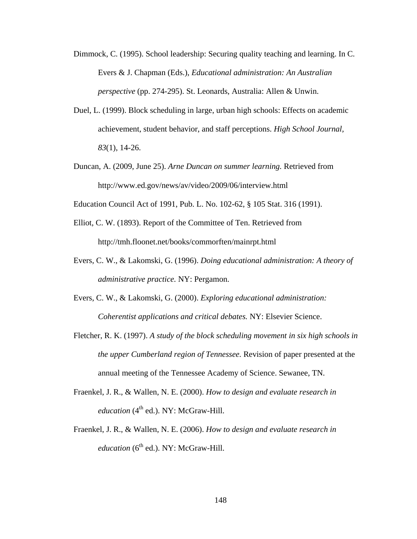- Dimmock, C. (1995). School leadership: Securing quality teaching and learning. In C. Evers & J. Chapman (Eds.), *Educational administration: An Australian perspective* (pp. 274-295). St. Leonards, Australia: Allen & Unwin.
- Duel, L. (1999). Block scheduling in large, urban high schools: Effects on academic achievement, student behavior, and staff perceptions. *High School Journal, 83*(1), 14-26.
- Duncan, A. (2009, June 25). *Arne Duncan on summer learning.* Retrieved from <http://www.ed.gov/news/av/video/2009/06/interview.html>

Education Council Act of 1991, Pub. L. No. 102-62, § 105 Stat. 316 (1991).

- Elliot, C. W. (1893). Report of the Committee of Ten. Retrieved from <http://tmh.floonet.net/books/commorften/mainrpt.html>
- Evers, C. W., & Lakomski, G. (1996). *Doing educational administration: A theory of administrative practice.* NY: Pergamon.
- Evers, C. W., & Lakomski, G. (2000). *Exploring educational administration: Coherentist applications and critical debates.* NY: Elsevier Science.
- Fletcher, R. K. (1997). *A study of the block scheduling movement in six high schools in the upper Cumberland region of Tennessee.* Revision of paper presented at the annual meeting of the Tennessee Academy of Science. Sewanee, TN.
- Fraenkel, J. R., & Wallen, N. E. (2000). *How to design and evaluate research in education* (4<sup>th</sup> ed.). NY: McGraw-Hill.
- Fraenkel, J. R., & Wallen, N. E. (2006). *How to design and evaluate research in education* (6<sup>th</sup> ed.). NY: McGraw-Hill.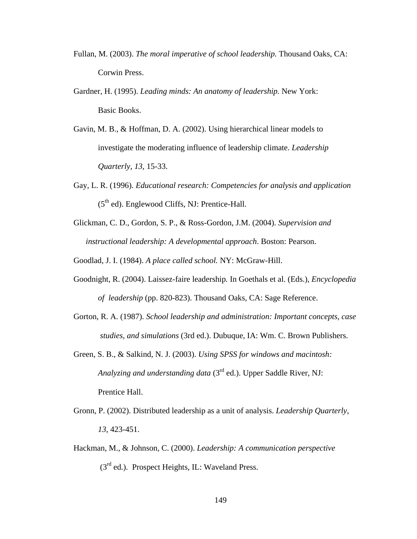- Fullan, M. (2003). *The moral imperative of school leadership.* Thousand Oaks, CA: Corwin Press.
- Gardner, H. (1995). *Leading minds: An anatomy of leadership.* New York: Basic Books.
- Gavin, M. B., & Hoffman, D. A. (2002). Using hierarchical linear models to investigate the moderating influence of leadership climate. *Leadership Quarterly*, *13*, 15-33.
- Gay, L. R. (1996). *Educational research: Competencies for analysis and application*  $(5<sup>th</sup>$  ed). Englewood Cliffs, NJ: Prentice-Hall.
- Glickman, C. D., Gordon, S. P., & Ross-Gordon, J.M. (2004). *Supervision and instructional leadership: A developmental approach*. Boston: Pearson.

Goodlad, J. I. (1984). *A place called school.* NY: McGraw-Hill.

- Goodnight, R. (2004). Laissez-faire leadership*.* In Goethals et al. (Eds.), *Encyclopedia of leadership* (pp. 820-823). Thousand Oaks, CA: Sage Reference.
- Gorton, R. A. (1987). *School leadership and administration: Important concepts, case studies, and simulations* (3rd ed.). Dubuque, IA: Wm. C. Brown Publishers.
- Green, S. B., & Salkind, N. J. (2003). *Using SPSS for windows and macintosh: Analyzing and understanding data* (3rd ed.). Upper Saddle River, NJ: Prentice Hall.
- Gronn, P. (2002). Distributed leadership as a unit of analysis. *Leadership Quarterly*, *13*, 423-451.
- Hackman, M., & Johnson, C. (2000). *Leadership: A communication perspective*  $(3<sup>rd</sup>$  ed.). Prospect Heights, IL: Waveland Press.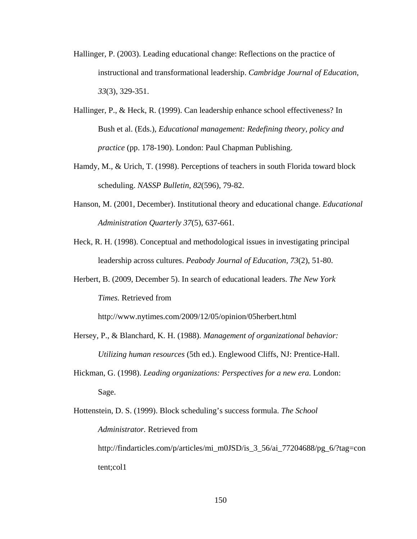- Hallinger, P. (2003). Leading educational change: Reflections on the practice of instructional and transformational leadership. *Cambridge Journal of Education, 33*(3), 329-351.
- Hallinger, P., & Heck, R. (1999). Can leadership enhance school effectiveness? In Bush et al. (Eds.), *Educational management: Redefining theory, policy and practice* (pp. 178-190). London: Paul Chapman Publishing.
- Hamdy, M., & Urich, T. (1998). Perceptions of teachers in south Florida toward block scheduling. *NASSP Bulletin, 82*(596), 79-82.
- Hanson, M. (2001, December). Institutional theory and educational change. *Educational Administration Quarterly 37*(5), 637-661.
- Heck, R. H. (1998). Conceptual and methodological issues in investigating principal leadership across cultures. *Peabody Journal of Education, 73*(2), 51-80.
- Herbert, B. (2009, December 5). In search of educational leaders. *The New York Times.* Retrieved from

<http://www.nytimes.com/2009/12/05/opinion/05herbert.html>

- Hersey, P., & Blanchard, K. H. (1988). *Management of organizational behavior: Utilizing human resources* (5th ed.). Englewood Cliffs, NJ: Prentice-Hall.
- Hickman, G. (1998). *Leading organizations: Perspectives for a new era.* London: Sage.

Hottenstein, D. S. (1999). Block scheduling's success formula. *The School Administrator.* Retrieved from [http://findarticles.com/p/articles/mi\\_m0JSD/is\\_3\\_56/ai\\_77204688/pg\\_6/?tag=con](http://findarticles.com/p/articles/mi_m0JSD/is_3_56/ai_77204688/pg_6/?tag=content;col1) [tent;col1](http://findarticles.com/p/articles/mi_m0JSD/is_3_56/ai_77204688/pg_6/?tag=content;col1)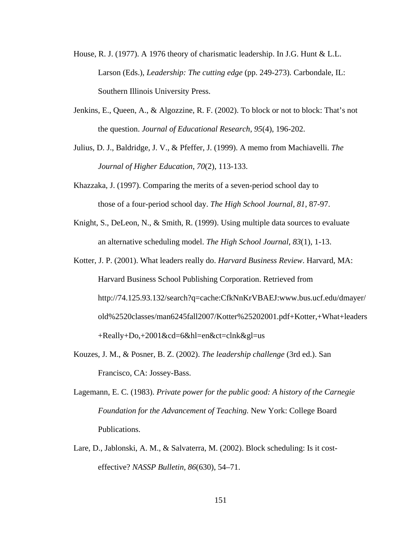- House, R. J. (1977). A 1976 theory of charismatic leadership. In J.G. Hunt & L.L. Larson (Eds.), *Leadership: The cutting edge* (pp. 249-273)*.* Carbondale, IL: Southern Illinois University Press.
- Jenkins, E., Queen, A., & Algozzine, R. F. (2002). To block or not to block: That's not the question. *Journal of Educational Research, 95*(4), 196-202.
- Julius, D. J., Baldridge, J. V., & Pfeffer, J. (1999). A memo from Machiavelli. *The Journal of Higher Education*, *70*(2), 113-133.
- Khazzaka, J. (1997). Comparing the merits of a seven-period school day to those of a four-period school day. *The High School Journal, 81*, 87-97.
- Knight, S., DeLeon, N., & Smith, R. (1999). Using multiple data sources to evaluate an alternative scheduling model. *The High School Journal, 83*(1), 1-13.
- Kotter, J. P. (2001). What leaders really do. *Harvard Business Review*. Harvard, MA: Harvard Business School Publishing Corporation. Retrieved from http://74.125.93.132/search?q=cache:CfkNnKrVBAEJ:www.bus.ucf.edu/dmayer/ old%2520classes/man6245fall2007/Kotter%25202001.pdf+Kotter,+What+leaders +Really+Do,+2001&cd=6&hl=en&ct=clnk&gl=us
- Kouzes, J. M., & Posner, B. Z. (2002). *The leadership challenge* (3rd ed.). San Francisco, CA: Jossey-Bass.
- Lagemann, E. C. (1983). *Private power for the public good: A history of the Carnegie Foundation for the Advancement of Teaching.* New York: College Board Publications.
- Lare, D., Jablonski, A. M., & Salvaterra, M. (2002). Block scheduling: Is it costeffective? *NASSP Bulletin, 86*(630), 54–71.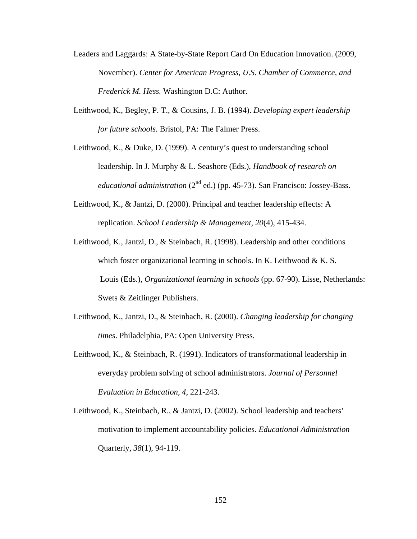- Leaders and Laggards: A State-by-State Report Card On Education Innovation. (2009, November). *Center for American Progress, U.S. Chamber of Commerce, and Frederick M. Hess.* Washington D.C: Author.
- Leithwood, K., Begley, P. T., & Cousins, J. B. (1994). *Developing expert leadership for future schools.* Bristol, PA: The Falmer Press.
- Leithwood, K., & Duke, D. (1999). A century's quest to understanding school leadership. In J. Murphy & L. Seashore (Eds.), *Handbook of research on educational administration* (2<sup>nd</sup> ed.) (pp. 45-73). San Francisco: Jossey-Bass.
- Leithwood, K., & Jantzi, D. (2000). Principal and teacher leadership effects: A replication. *School Leadership & Management, 20*(4), 415-434.
- Leithwood, K., Jantzi, D., & Steinbach, R. (1998). Leadership and other conditions which foster organizational learning in schools. In K. Leithwood & K. S. Louis (Eds.), *Organizational learning in schools* (pp. 67-90). Lisse, Netherlands: Swets & Zeitlinger Publishers.
- Leithwood, K., Jantzi, D., & Steinbach, R. (2000). *Changing leadership for changing times*. Philadelphia, PA: Open University Press.
- Leithwood, K., & Steinbach, R. (1991). Indicators of transformational leadership in everyday problem solving of school administrators. *Journal of Personnel Evaluation in Education, 4*, 221-243.
- Leithwood, K., Steinbach, R., & Jantzi, D. (2002). School leadership and teachers' motivation to implement accountability policies. *Educational Administration* Quarterly, *38*(1), 94-119.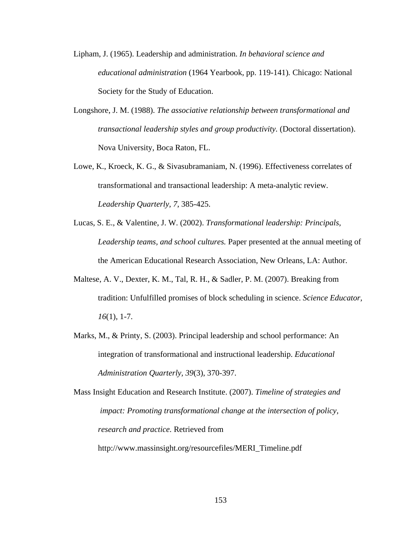- Lipham, J. (1965). Leadership and administration. *In behavioral science and educational administration* (1964 Yearbook, pp. 119-141)*.* Chicago: National Society for the Study of Education.
- Longshore, J. M. (1988). *The associative relationship between transformational and transactional leadership styles and group productivity.* (Doctoral dissertation). Nova University, Boca Raton, FL.
- Lowe, K., Kroeck, K. G., & Sivasubramaniam, N. (1996). Effectiveness correlates of transformational and transactional leadership: A meta-analytic review. *Leadership Quarterly, 7*, 385-425.
- Lucas, S. E., & Valentine, J. W. (2002). *Transformational leadership: Principals, Leadership teams, and school cultures.* Paper presented at the annual meeting of the American Educational Research Association, New Orleans, LA: Author.
- Maltese, A. V., Dexter, K. M., Tal, R. H., & Sadler, P. M. (2007). Breaking from tradition: Unfulfilled promises of block scheduling in science. *Science Educator, 16*(1), 1-7.
- Marks, M., & Printy, S. (2003). Principal leadership and school performance: An integration of transformational and instructional leadership. *Educational Administration Quarterly, 39*(3), 370-397.

Mass Insight Education and Research Institute. (2007). *Timeline of strategies and impact: Promoting transformational change at the intersection of policy, research and practice.* Retrieved from http://www.massinsight.org/resourcefiles/MERI\_Timeline.pdf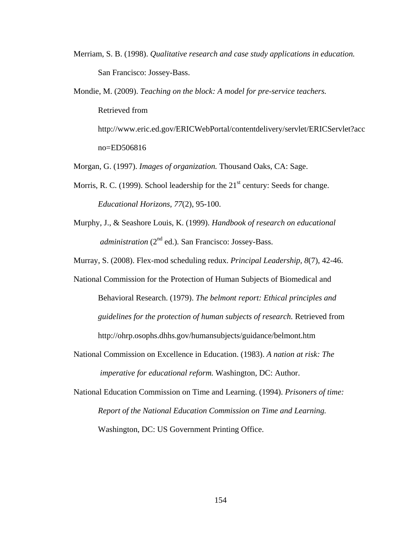- Merriam, S. B. (1998). *Qualitative research and case study applications in education.* San Francisco: Jossey-Bass.
- Mondie, M. (2009). *Teaching on the block: A model for pre-service teachers.* Retrieved from [http://www.eric.ed.gov/ERICWebPortal/contentdelivery/servlet/ERICServlet?acc](http://www.eric.ed.gov/ERICWebPortal/contentdelivery/servlet/ERICServlet?accno=ED506816) [no=ED506816](http://www.eric.ed.gov/ERICWebPortal/contentdelivery/servlet/ERICServlet?accno=ED506816)

Morgan, G. (1997). *Images of organization.* Thousand Oaks, CA: Sage.

- Morris, R. C. (1999). School leadership for the  $21<sup>st</sup>$  century: Seeds for change. *Educational Horizons, 77*(2), 95-100.
- Murphy, J., & Seashore Louis, K. (1999). *Handbook of research on educational administration* (2<sup>nd</sup> ed.). San Francisco: Jossey-Bass.

Murray, S. (2008). Flex-mod scheduling redux. *Principal Leadership, 8*(7), 42-46.

- National Commission for the Protection of Human Subjects of Biomedical and Behavioral Research. (1979). *The belmont report: Ethical principles and guidelines for the protection of human subjects of research.* Retrieved from <http://ohrp.osophs.dhhs.gov/humansubjects/guidance/belmont.htm>
- National Commission on Excellence in Education. (1983). *A nation at risk: The imperative for educational reform.* Washington, DC: Author.
- National Education Commission on Time and Learning. (1994). *Prisoners of time: Report of the National Education Commission on Time and Learning.*  Washington, DC: US Government Printing Office.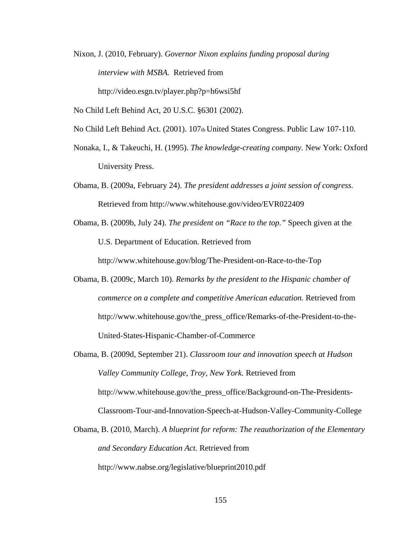Nixon, J. (2010, February). *Governor Nixon explains funding proposal during interview with MSBA.* Retrieved from http://video.esgn.tv/player.php?p=h6wsi5hf

No Child Left Behind Act, 20 U.S.C. §6301 (2002).

No Child Left Behind Act. (2001). 107th United States Congress. Public Law 107-110.

- Nonaka, I., & Takeuchi, H. (1995). *The knowledge-creating company.* New York: Oxford University Press.
- Obama, B. (2009a, February 24). *The president addresses a joint session of congress.*  Retrieved from<http://www.whitehouse.gov/video/EVR022409>
- Obama, B. (2009b, July 24). *The president on "Race to the top."* Speech given at the U.S. Department of Education. Retrieved from

<http://www.whitehouse.gov/blog/The-President-on-Race-to-the-Top>

- Obama, B. (2009c, March 10). *Remarks by the president to the Hispanic chamber of commerce on a complete and competitive American education.* Retrieved from [http://www.whitehouse.gov/the\\_press\\_office/Remarks-of-the-President-to-the-](http://www.whitehouse.gov/the_press_office/Remarks-of-the-President-to-the-United-States-Hispanic-Chamber-of-Commerce)[United-States-Hispanic-Chamber-of-Commerce](http://www.whitehouse.gov/the_press_office/Remarks-of-the-President-to-the-United-States-Hispanic-Chamber-of-Commerce)
- Obama, B. (2009d, September 21). *Classroom tour and innovation speech at Hudson Valley Community College, Troy, New York.* Retrieved from [http://www.whitehouse.gov/the\\_press\\_office/Background-on-The-Presidents-](http://www.whitehouse.gov/the_press_office/Background-on-The-Presidents-Classroom-Tour-and-Innovation-Speech-at-Hudson-Valley-Community-College)[Classroom-Tour-and-Innovation-Speech-at-Hudson-Valley-Community-College](http://www.whitehouse.gov/the_press_office/Background-on-The-Presidents-Classroom-Tour-and-Innovation-Speech-at-Hudson-Valley-Community-College)
- Obama, B. (2010, March). *A blueprint for reform: The reauthorization of the Elementary and Secondary Education Act.* Retrieved from http://www.nabse.org/legislative/blueprint2010.pdf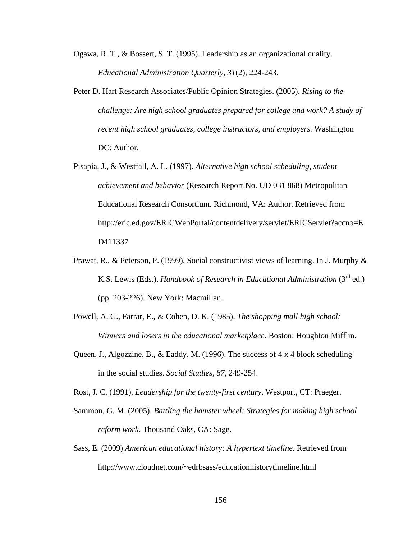- Ogawa, R. T., & Bossert, S. T. (1995). Leadership as an organizational quality. *Educational Administration Quarterly*, *31*(2), 224-243.
- Peter D. Hart Research Associates/Public Opinion Strategies. (2005). *Rising to the challenge: Are high school graduates prepared for college and work? A study of recent high school graduates, college instructors, and employers.* Washington DC: Author.
- Pisapia, J., & Westfall, A. L. (1997). *Alternative high school scheduling, student achievement and behavior* (Research Report No. UD 031 868) Metropolitan Educational Research Consortium*.* Richmond, VA: Author. Retrieved from http://eric.ed.gov/ERICWebPortal/contentdelivery/servlet/ERICServlet?accno=E D411337
- Prawat, R., & Peterson, P. (1999). Social constructivist views of learning. In J. Murphy & K.S. Lewis (Eds.), *Handbook of Research in Educational Administration* (3<sup>rd</sup> ed.) (pp. 203-226). New York: Macmillan.
- Powell, A. G., Farrar, E., & Cohen, D. K. (1985). *The shopping mall high school: Winners and losers in the educational marketplace.* Boston: Houghton Mifflin.
- Queen, J., Algozzine, B., & Eaddy, M. (1996). The success of 4 x 4 block scheduling in the social studies. *Social Studies, 87*, 249-254.

Rost, J. C. (1991). *Leadership for the twenty-first century*. Westport, CT: Praeger.

- Sammon, G. M. (2005). *Battling the hamster wheel: Strategies for making high school reform work.* Thousand Oaks, CA: Sage.
- Sass, E. (2009) *American educational history: A hypertext timeline.* Retrieved from <http://www.cloudnet.com/~edrbsass/educationhistorytimeline.html>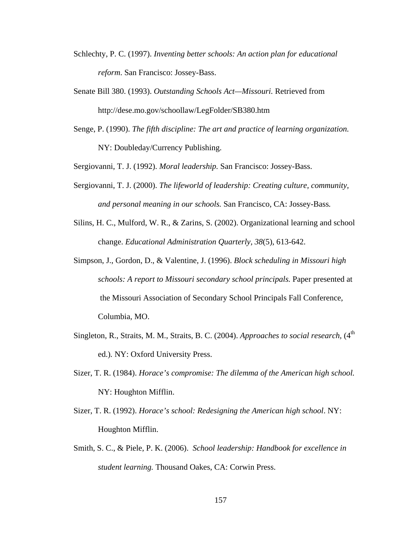- Schlechty, P. C. (1997). *Inventing better schools: An action plan for educational reform*. San Francisco: Jossey-Bass.
- Senate Bill 380. (1993). *Outstanding Schools Act—Missouri.* Retrieved from <http://dese.mo.gov/schoollaw/LegFolder/SB380.htm>
- Senge, P. (1990). *The fifth discipline: The art and practice of learning organization.* NY: Doubleday/Currency Publishing.

Sergiovanni, T. J. (1992). *Moral leadership.* San Francisco: Jossey-Bass.

- Sergiovanni, T. J. (2000). *The lifeworld of leadership: Creating culture, community, and personal meaning in our schools.* San Francisco, CA: Jossey-Bass*.*
- Silins, H. C., Mulford, W. R., & Zarins, S. (2002). Organizational learning and school change. *Educational Administration Quarterly, 38*(5), 613-642.
- Simpson, J., Gordon, D., & Valentine, J. (1996). *Block scheduling in Missouri high schools: A report to Missouri secondary school principals.* Paper presented at the Missouri Association of Secondary School Principals Fall Conference, Columbia, MO.
- Singleton, R., Straits, M. M., Straits, B. C. (2004). *Approaches to social research*, (4<sup>th</sup>) ed.)*.* NY: Oxford University Press.
- Sizer, T. R. (1984). *Horace's compromise: The dilemma of the American high school.* NY: Houghton Mifflin.
- Sizer, T. R. (1992). *Horace's school: Redesigning the American high school*. NY: Houghton Mifflin.
- Smith, S. C., & Piele, P. K. (2006). *School leadership: Handbook for excellence in student learning.* Thousand Oakes, CA: Corwin Press.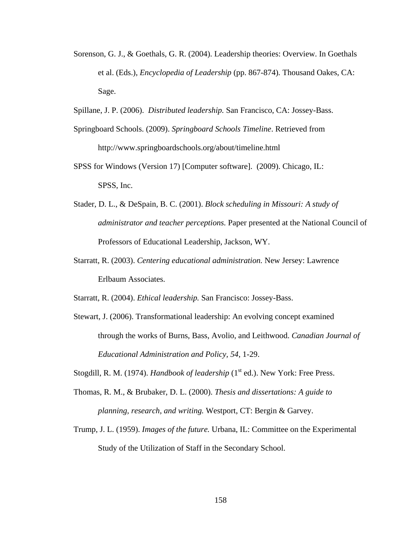- Sorenson, G. J., & Goethals, G. R. (2004). Leadership theories: Overview. In Goethals et al. (Eds.), *Encyclopedia of Leadership* (pp. 867-874)*.* Thousand Oakes, CA: Sage.
- Spillane, J. P. (2006). *Distributed leadership.* San Francisco, CA: Jossey-Bass.
- Springboard Schools. (2009). *Springboard Schools Timeline*. Retrieved from http://www.springboardschools.org/about/timeline.html
- SPSS for Windows (Version 17) [Computer software]. (2009). Chicago, IL: SPSS, Inc.
- Stader, D. L., & DeSpain, B. C. (2001). *Block scheduling in Missouri: A study of administrator and teacher perceptions.* Paper presented at the National Council of Professors of Educational Leadership, Jackson, WY.
- Starratt, R. (2003). *Centering educational administration.* New Jersey: Lawrence Erlbaum Associates.

Starratt, R. (2004). *Ethical leadership.* San Francisco: Jossey-Bass.

Stewart, J. (2006). Transformational leadership: An evolving concept examined through the works of Burns, Bass, Avolio, and Leithwood. *Canadian Journal of Educational Administration and Policy, 54*, 1-29.

Stogdill, R. M. (1974). *Handbook of leadership* (1<sup>st</sup> ed.). New York: Free Press.

- Thomas, R. M., & Brubaker, D. L. (2000). *Thesis and dissertations: A guide to planning, research, and writing.* Westport, CT: Bergin & Garvey.
- Trump, J. L. (1959). *Images of the future.* Urbana, IL: Committee on the Experimental Study of the Utilization of Staff in the Secondary School.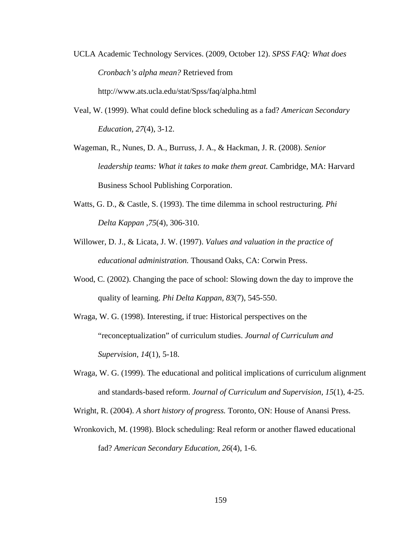- UCLA Academic Technology Services. (2009, October 12). *SPSS FAQ: What does Cronbach's alpha mean?* Retrieved from <http://www.ats.ucla.edu/stat/Spss/faq/alpha.html>
- Veal, W. (1999). What could define block scheduling as a fad? *American Secondary Education, 27*(4), 3-12.
- Wageman, R., Nunes, D. A., Burruss, J. A., & Hackman, J. R. (2008). *Senior leadership teams: What it takes to make them great.* Cambridge, MA: Harvard Business School Publishing Corporation.
- Watts, G. D., & Castle, S. (1993). The time dilemma in school restructuring. *Phi Delta Kappan ,75*(4), 306-310.
- Willower, D. J., & Licata, J. W. (1997). *Values and valuation in the practice of educational administration.* Thousand Oaks, CA: Corwin Press.
- Wood, C. (2002). Changing the pace of school: Slowing down the day to improve the quality of learning. *Phi Delta Kappan, 83*(7), 545-550.
- Wraga, W. G. (1998). Interesting, if true: Historical perspectives on the "reconceptualization" of curriculum studies. *Journal of Curriculum and Supervision, 14*(1), 5-18.
- Wraga, W. G. (1999). The educational and political implications of curriculum alignment and standards-based reform. *Journal of Curriculum and Supervision, 15*(1), 4-25.

Wright, R. (2004). *A short history of progress.* Toronto, ON: House of Anansi Press.

Wronkovich, M. (1998). Block scheduling: Real reform or another flawed educational fad? *American Secondary Education, 26*(4), 1-6.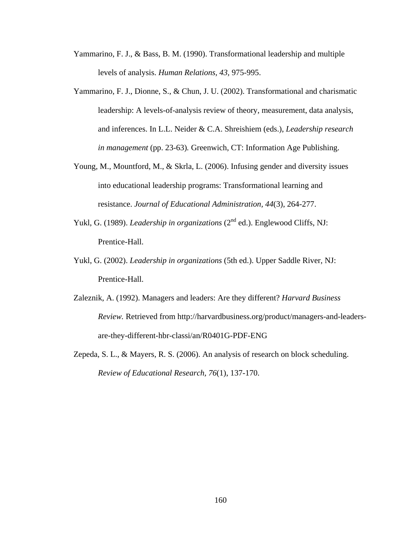- Yammarino, F. J., & Bass, B. M. (1990). Transformational leadership and multiple levels of analysis. *Human Relations, 43,* 975-995.
- Yammarino, F. J., Dionne, S., & Chun, J. U. (2002). Transformational and charismatic leadership: A levels-of-analysis review of theory, measurement, data analysis, and inferences. In L.L. Neider & C.A. Shreishiem (eds.), *Leadership research in management* (pp. 23-63)*.* Greenwich, CT: Information Age Publishing.
- Young, M., Mountford, M., & Skrla, L. (2006). Infusing gender and diversity issues into educational leadership programs: Transformational learning and resistance. *Journal of Educational Administration, 44*(3), 264-277.
- Yukl, G. (1989). *Leadership in organizations* (2<sup>nd</sup> ed.). Englewood Cliffs, NJ: Prentice-Hall.
- Yukl, G. (2002). *Leadership in organizations* (5th ed.). Upper Saddle River, NJ: Prentice-Hall.
- Zaleznik, A. (1992). Managers and leaders: Are they different? *Harvard Business Review.* Retrieved from http://harvardbusiness.org/product/managers-and-leadersare-they-different-hbr-classi/an/R0401G-PDF-ENG
- Zepeda, S. L., & Mayers, R. S. (2006). An analysis of research on block scheduling. *Review of Educational Research, 76*(1), 137-170.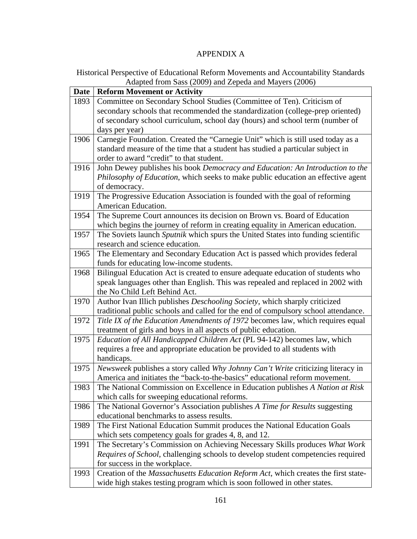# APPENDIX A

Historical Perspective of Educational Reform Movements and Accountability Standards Adapted from Sass (2009) and Zepeda and Mayers (2006)

| <b>Date</b> | <b>Reform Movement or Activity</b>                                                                                                                         |
|-------------|------------------------------------------------------------------------------------------------------------------------------------------------------------|
| 1893        | Committee on Secondary School Studies (Committee of Ten). Criticism of                                                                                     |
|             | secondary schools that recommended the standardization (college-prep oriented)                                                                             |
|             | of secondary school curriculum, school day (hours) and school term (number of                                                                              |
|             | days per year)                                                                                                                                             |
| 1906        | Carnegie Foundation. Created the "Carnegie Unit" which is still used today as a                                                                            |
|             | standard measure of the time that a student has studied a particular subject in                                                                            |
|             | order to award "credit" to that student.                                                                                                                   |
| 1916        | John Dewey publishes his book Democracy and Education: An Introduction to the                                                                              |
|             | Philosophy of Education, which seeks to make public education an effective agent                                                                           |
|             | of democracy.                                                                                                                                              |
| 1919        | The Progressive Education Association is founded with the goal of reforming                                                                                |
| 1954        | American Education.                                                                                                                                        |
|             | The Supreme Court announces its decision on Brown vs. Board of Education<br>which begins the journey of reform in creating equality in American education. |
| 1957        | The Soviets launch Sputnik which spurs the United States into funding scientific                                                                           |
|             | research and science education.                                                                                                                            |
| 1965        | The Elementary and Secondary Education Act is passed which provides federal                                                                                |
|             | funds for educating low-income students.                                                                                                                   |
| 1968        | Bilingual Education Act is created to ensure adequate education of students who                                                                            |
|             | speak languages other than English. This was repealed and replaced in 2002 with                                                                            |
|             | the No Child Left Behind Act.                                                                                                                              |
| 1970        | Author Ivan Illich publishes Deschooling Society, which sharply criticized                                                                                 |
|             | traditional public schools and called for the end of compulsory school attendance.                                                                         |
| 1972        | Title IX of the Education Amendments of 1972 becomes law, which requires equal                                                                             |
|             | treatment of girls and boys in all aspects of public education.                                                                                            |
| 1975        | Education of All Handicapped Children Act (PL 94-142) becomes law, which                                                                                   |
|             | requires a free and appropriate education be provided to all students with                                                                                 |
|             | handicaps.                                                                                                                                                 |
| 1975        | Newsweek publishes a story called Why Johnny Can't Write criticizing literacy in                                                                           |
|             | America and initiates the "back-to-the-basics" educational reform movement.                                                                                |
| 1983        | The National Commission on Excellence in Education publishes A Nation at Risk                                                                              |
|             | which calls for sweeping educational reforms.                                                                                                              |
| 1986        | The National Governor's Association publishes A Time for Results suggesting<br>educational benchmarks to assess results.                                   |
| 1989        | The First National Education Summit produces the National Education Goals                                                                                  |
|             | which sets competency goals for grades 4, 8, and 12.                                                                                                       |
| 1991        | The Secretary's Commission on Achieving Necessary Skills produces What Work                                                                                |
|             | Requires of School, challenging schools to develop student competencies required                                                                           |
|             | for success in the workplace.                                                                                                                              |
| 1993        | Creation of the Massachusetts Education Reform Act, which creates the first state-                                                                         |
|             | wide high stakes testing program which is soon followed in other states.                                                                                   |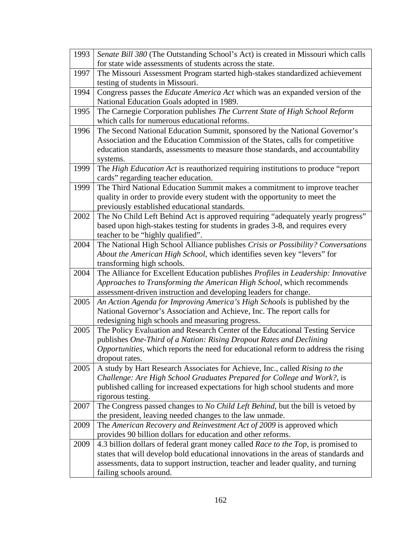| 1993 | Senate Bill 380 (The Outstanding School's Act) is created in Missouri which calls                                                                   |
|------|-----------------------------------------------------------------------------------------------------------------------------------------------------|
|      | for state wide assessments of students across the state.                                                                                            |
| 1997 | The Missouri Assessment Program started high-stakes standardized achievement                                                                        |
|      | testing of students in Missouri.                                                                                                                    |
| 1994 | Congress passes the Educate America Act which was an expanded version of the                                                                        |
|      | National Education Goals adopted in 1989.                                                                                                           |
| 1995 | The Carnegie Corporation publishes The Current State of High School Reform                                                                          |
|      | which calls for numerous educational reforms.                                                                                                       |
| 1996 | The Second National Education Summit, sponsored by the National Governor's                                                                          |
|      | Association and the Education Commission of the States, calls for competitive                                                                       |
|      | education standards, assessments to measure those standards, and accountability                                                                     |
|      | systems.                                                                                                                                            |
| 1999 | The High Education Act is reauthorized requiring institutions to produce "report                                                                    |
|      | cards" regarding teacher education.                                                                                                                 |
| 1999 | The Third National Education Summit makes a commitment to improve teacher                                                                           |
|      | quality in order to provide every student with the opportunity to meet the                                                                          |
|      | previously established educational standards.                                                                                                       |
| 2002 | The No Child Left Behind Act is approved requiring "adequately yearly progress"                                                                     |
|      | based upon high-stakes testing for students in grades 3-8, and requires every                                                                       |
|      | teacher to be "highly qualified".                                                                                                                   |
| 2004 | The National High School Alliance publishes Crisis or Possibility? Conversations                                                                    |
|      | About the American High School, which identifies seven key "levers" for                                                                             |
|      | transforming high schools.                                                                                                                          |
| 2004 | The Alliance for Excellent Education publishes Profiles in Leadership: Innovative                                                                   |
|      | Approaches to Transforming the American High School, which recommends                                                                               |
|      | assessment-driven instruction and developing leaders for change.                                                                                    |
| 2005 | An Action Agenda for Improving America's High Schools is published by the                                                                           |
|      | National Governor's Association and Achieve, Inc. The report calls for                                                                              |
|      | redesigning high schools and measuring progress.                                                                                                    |
| 2005 | The Policy Evaluation and Research Center of the Educational Testing Service<br>publishes One-Third of a Nation: Rising Dropout Rates and Declining |
|      | Opportunities, which reports the need for educational reform to address the rising                                                                  |
|      | dropout rates.                                                                                                                                      |
| 2005 | A study by Hart Research Associates for Achieve, Inc., called Rising to the                                                                         |
|      | Challenge: Are High School Graduates Prepared for College and Work?, is                                                                             |
|      | published calling for increased expectations for high school students and more                                                                      |
|      | rigorous testing.                                                                                                                                   |
| 2007 | The Congress passed changes to No Child Left Behind, but the bill is vetoed by                                                                      |
|      | the president, leaving needed changes to the law unmade.                                                                                            |
| 2009 | The American Recovery and Reinvestment Act of 2009 is approved which                                                                                |
|      | provides 90 billion dollars for education and other reforms.                                                                                        |
| 2009 | 4.3 billion dollars of federal grant money called <i>Race to the Top</i> , is promised to                                                           |
|      | states that will develop bold educational innovations in the areas of standards and                                                                 |
|      | assessments, data to support instruction, teacher and leader quality, and turning                                                                   |
|      | failing schools around.                                                                                                                             |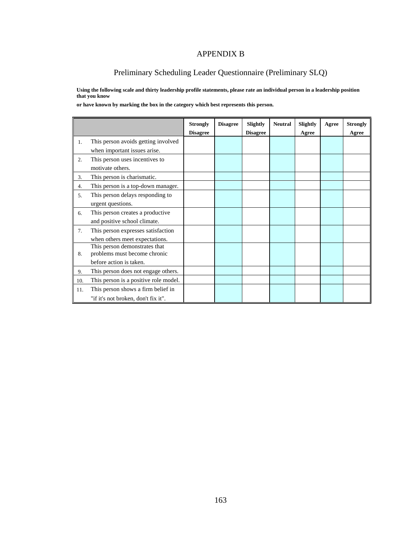## APPENDIX B

## Preliminary Scheduling Leader Questionnaire (Preliminary SLQ)

**Using the following scale and thirty leadership profile statements, please rate an individual person in a leadership position that you know** 

**or have known by marking the box in the category which best represents this person.**

|                  |                                                                                          | <b>Strongly</b><br><b>Disagree</b> | <b>Disagree</b> | <b>Slightly</b><br><b>Disagree</b> | <b>Neutral</b> | <b>Slightly</b><br>Agree | Agree | <b>Strongly</b><br>Agree |
|------------------|------------------------------------------------------------------------------------------|------------------------------------|-----------------|------------------------------------|----------------|--------------------------|-------|--------------------------|
| 1.               | This person avoids getting involved<br>when important issues arise.                      |                                    |                 |                                    |                |                          |       |                          |
| $\overline{2}$ . | This person uses incentives to<br>motivate others.                                       |                                    |                 |                                    |                |                          |       |                          |
| 3.               | This person is charismatic.                                                              |                                    |                 |                                    |                |                          |       |                          |
| 4.               | This person is a top-down manager.                                                       |                                    |                 |                                    |                |                          |       |                          |
| 5.               | This person delays responding to<br>urgent questions.                                    |                                    |                 |                                    |                |                          |       |                          |
| 6.               | This person creates a productive<br>and positive school climate.                         |                                    |                 |                                    |                |                          |       |                          |
| 7.               | This person expresses satisfaction<br>when others meet expectations.                     |                                    |                 |                                    |                |                          |       |                          |
| 8.               | This person demonstrates that<br>problems must become chronic<br>before action is taken. |                                    |                 |                                    |                |                          |       |                          |
| 9.               | This person does not engage others.                                                      |                                    |                 |                                    |                |                          |       |                          |
| 10.              | This person is a positive role model.                                                    |                                    |                 |                                    |                |                          |       |                          |
| 11.              | This person shows a firm belief in<br>"if it's not broken, don't fix it".                |                                    |                 |                                    |                |                          |       |                          |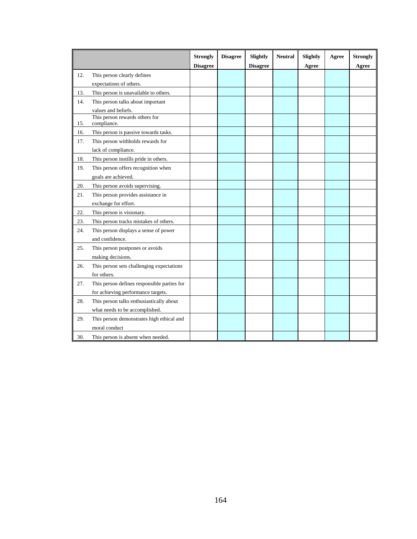|     |                                             | <b>Strongly</b><br><b>Disagree</b> | <b>Disagree</b> | Slightly<br><b>Disagree</b> | <b>Neutral</b> | Slightly<br>Agree | Agree | <b>Strongly</b><br>Agree |
|-----|---------------------------------------------|------------------------------------|-----------------|-----------------------------|----------------|-------------------|-------|--------------------------|
| 12. | This person clearly defines                 |                                    |                 |                             |                |                   |       |                          |
|     | expectations of others.                     |                                    |                 |                             |                |                   |       |                          |
| 13. | This person is unavailable to others.       |                                    |                 |                             |                |                   |       |                          |
| 14. | This person talks about important           |                                    |                 |                             |                |                   |       |                          |
|     | values and beliefs.                         |                                    |                 |                             |                |                   |       |                          |
|     | This person rewards others for              |                                    |                 |                             |                |                   |       |                          |
| 15. | compliance.                                 |                                    |                 |                             |                |                   |       |                          |
| 16. | This person is passive towards tasks.       |                                    |                 |                             |                |                   |       |                          |
| 17. | This person withholds rewards for           |                                    |                 |                             |                |                   |       |                          |
|     | lack of compliance.                         |                                    |                 |                             |                |                   |       |                          |
| 18. | This person instills pride in others.       |                                    |                 |                             |                |                   |       |                          |
| 19. | This person offers recognition when         |                                    |                 |                             |                |                   |       |                          |
|     | goals are achieved.                         |                                    |                 |                             |                |                   |       |                          |
| 20. | This person avoids supervising.             |                                    |                 |                             |                |                   |       |                          |
| 21. | This person provides assistance in          |                                    |                 |                             |                |                   |       |                          |
|     | exchange for effort.                        |                                    |                 |                             |                |                   |       |                          |
| 22. | This person is visionary.                   |                                    |                 |                             |                |                   |       |                          |
| 23. | This person tracks mistakes of others.      |                                    |                 |                             |                |                   |       |                          |
| 24. | This person displays a sense of power       |                                    |                 |                             |                |                   |       |                          |
|     | and confidence.                             |                                    |                 |                             |                |                   |       |                          |
| 25. | This person postpones or avoids             |                                    |                 |                             |                |                   |       |                          |
|     | making decisions.                           |                                    |                 |                             |                |                   |       |                          |
| 26. | This person sets challenging expectations   |                                    |                 |                             |                |                   |       |                          |
|     | for others.                                 |                                    |                 |                             |                |                   |       |                          |
| 27. | This person defines responsible parties for |                                    |                 |                             |                |                   |       |                          |
|     | for achieving performance targets.          |                                    |                 |                             |                |                   |       |                          |
| 28. | This person talks enthusiastically about    |                                    |                 |                             |                |                   |       |                          |
|     | what needs to be accomplished.              |                                    |                 |                             |                |                   |       |                          |
| 29. | This person demonstrates high ethical and   |                                    |                 |                             |                |                   |       |                          |
|     | moral conduct                               |                                    |                 |                             |                |                   |       |                          |
| 30. | This person is absent when needed.          |                                    |                 |                             |                |                   |       |                          |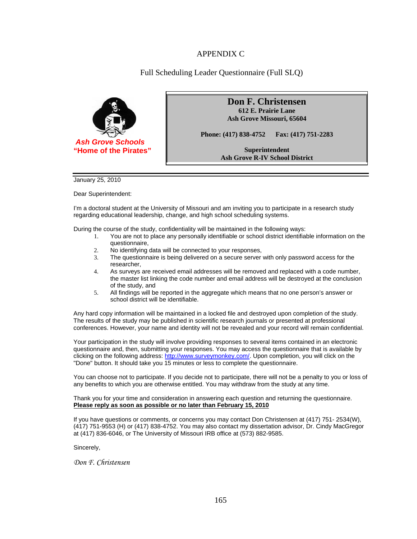## APPENDIX C

Full Scheduling Leader Questionnaire (Full SLQ)



**Don F. Christensen 612 E. Prairie Lane Ash Grove Missouri, 65604**

**Phone: (417) 838-4752 Fax: (417) 751-2283**

**Superintendent Ash Grove R-IV School District**

January 25, 2010

Dear Superintendent:

I'm a doctoral student at the University of Missouri and am inviting you to participate in a research study regarding educational leadership, change, and high school scheduling systems.

During the course of the study, confidentiality will be maintained in the following ways:

- 1. You are not to place any personally identifiable or school district identifiable information on the questionnaire,
- 2. No identifying data will be connected to your responses,<br>3. The questionnaire is being delivered on a secure server
- The questionnaire is being delivered on a secure server with only password access for the researcher,
- 4. As surveys are received email addresses will be removed and replaced with a code number, the master list linking the code number and email address will be destroyed at the conclusion of the study, and
- 5. All findings will be reported in the aggregate which means that no one person's answer or school district will be identifiable.

Any hard copy information will be maintained in a locked file and destroyed upon completion of the study. The results of the study may be published in scientific research journals or presented at professional conferences. However, your name and identity will not be revealed and your record will remain confidential.

Your participation in the study will involve providing responses to several items contained in an electronic questionnaire and, then, submitting your responses. You may access the questionnaire that is available by clicking on the following address: [http://www.surveymonkey.com/.](http://www.surveymonkey.com/) Upon completion, you will click on the "Done" button. It should take you 15 minutes or less to complete the questionnaire.

You can choose not to participate. If you decide not to participate, there will not be a penalty to you or loss of any benefits to which you are otherwise entitled. You may withdraw from the study at any time.

Thank you for your time and consideration in answering each question and returning the questionnaire. **Please reply as soon as possible or no later than February 15, 2010**

If you have questions or comments, or concerns you may contact Don Christensen at (417) 751- 2534(W), (417) 751-9553 (H) or (417) 838-4752. You may also contact my dissertation advisor, Dr. Cindy MacGregor at (417) 836-6046, or The University of Missouri IRB office at (573) 882-9585.

Sincerely,

*Don F. Christensen*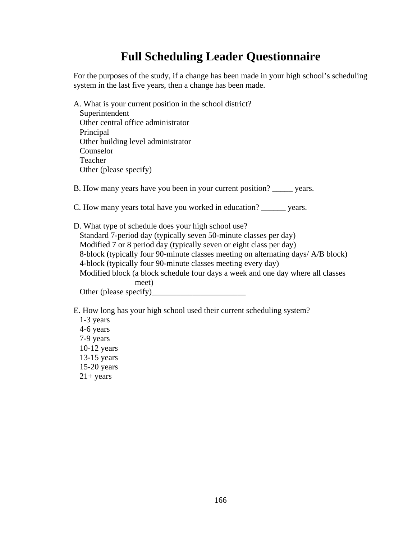# **Full Scheduling Leader Questionnaire**

For the purposes of the study, if a change has been made in your high school's scheduling system in the last five years, then a change has been made.

A. What is your current position in the school district? Superintendent Other central office administrator Principal Other building level administrator Counselor Teacher Other (please specify)

B. How many years have you been in your current position? vears.

C. How many years total have you worked in education? \_\_\_\_\_\_ years.

D. What type of schedule does your high school use? Standard 7-period day (typically seven 50-minute classes per day) Modified 7 or 8 period day (typically seven or eight class per day) 8-block (typically four 90-minute classes meeting on alternating days/ A/B block) 4-block (typically four 90-minute classes meeting every day) Modified block (a block schedule four days a week and one day where all classes meet) Other (please specify)

E. How long has your high school used their current scheduling system?

 1-3 years 4-6 years 7-9 years 10-12 years 13-15 years 15-20 years  $21+$  years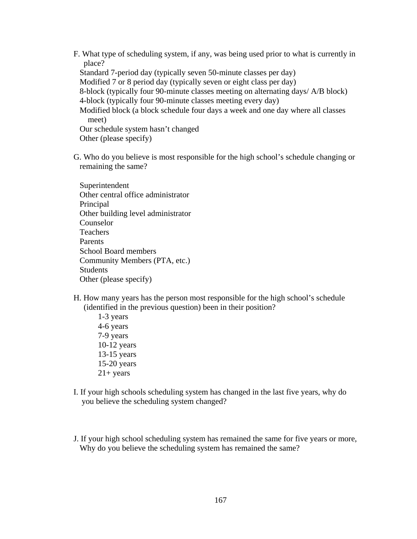- F. What type of scheduling system, if any, was being used prior to what is currently in place? Standard 7-period day (typically seven 50-minute classes per day) Modified 7 or 8 period day (typically seven or eight class per day) 8-block (typically four 90-minute classes meeting on alternating days/ A/B block) 4-block (typically four 90-minute classes meeting every day) Modified block (a block schedule four days a week and one day where all classes meet) Our schedule system hasn't changed Other (please specify)
- G. Who do you believe is most responsible for the high school's schedule changing or remaining the same?

 Superintendent Other central office administrator Principal Other building level administrator Counselor Teachers Parents School Board members Community Members (PTA, etc.) Students Other (please specify)

- H. How many years has the person most responsible for the high school's schedule (identified in the previous question) been in their position?
	- 1-3 years 4-6 years 7-9 years 10-12 years 13-15 years 15-20 years  $21+$  years
- I. If your high schools scheduling system has changed in the last five years, why do you believe the scheduling system changed?
- J. If your high school scheduling system has remained the same for five years or more, Why do you believe the scheduling system has remained the same?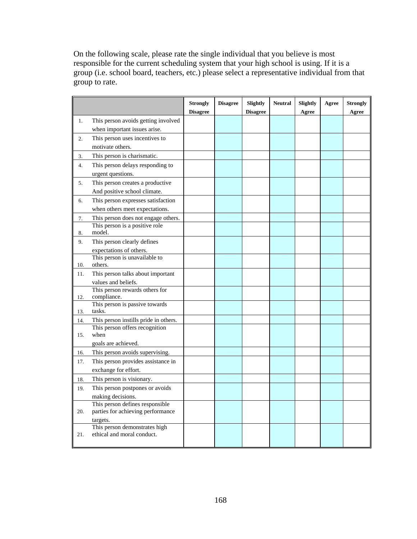On the following scale, please rate the single individual that you believe is most responsible for the current scheduling system that your high school is using. If it is a group (i.e. school board, teachers, etc.) please select a representative individual from that group to rate.

|     |                                                        | <b>Strongly</b><br><b>Disagree</b> | <b>Disagree</b> | Slightly<br><b>Disagree</b> | <b>Neutral</b> | Slightly<br>Agree | Agree | <b>Strongly</b><br>Agree |
|-----|--------------------------------------------------------|------------------------------------|-----------------|-----------------------------|----------------|-------------------|-------|--------------------------|
| 1.  | This person avoids getting involved                    |                                    |                 |                             |                |                   |       |                          |
|     | when important issues arise.                           |                                    |                 |                             |                |                   |       |                          |
| 2.  | This person uses incentives to                         |                                    |                 |                             |                |                   |       |                          |
|     | motivate others.                                       |                                    |                 |                             |                |                   |       |                          |
| 3.  | This person is charismatic.                            |                                    |                 |                             |                |                   |       |                          |
| 4.  | This person delays responding to                       |                                    |                 |                             |                |                   |       |                          |
|     | urgent questions.                                      |                                    |                 |                             |                |                   |       |                          |
| 5.  | This person creates a productive                       |                                    |                 |                             |                |                   |       |                          |
|     | And positive school climate.                           |                                    |                 |                             |                |                   |       |                          |
| 6.  | This person expresses satisfaction                     |                                    |                 |                             |                |                   |       |                          |
|     | when others meet expectations.                         |                                    |                 |                             |                |                   |       |                          |
| 7.  | This person does not engage others.                    |                                    |                 |                             |                |                   |       |                          |
| 8.  | This person is a positive role<br>model.               |                                    |                 |                             |                |                   |       |                          |
| 9.  | This person clearly defines                            |                                    |                 |                             |                |                   |       |                          |
|     | expectations of others.                                |                                    |                 |                             |                |                   |       |                          |
|     | This person is unavailable to                          |                                    |                 |                             |                |                   |       |                          |
| 10. | others.                                                |                                    |                 |                             |                |                   |       |                          |
| 11. | This person talks about important                      |                                    |                 |                             |                |                   |       |                          |
|     | values and beliefs.                                    |                                    |                 |                             |                |                   |       |                          |
| 12. | This person rewards others for<br>compliance.          |                                    |                 |                             |                |                   |       |                          |
|     | This person is passive towards                         |                                    |                 |                             |                |                   |       |                          |
| 13. | tasks.                                                 |                                    |                 |                             |                |                   |       |                          |
| 14. | This person instills pride in others.                  |                                    |                 |                             |                |                   |       |                          |
|     | This person offers recognition                         |                                    |                 |                             |                |                   |       |                          |
| 15. | when                                                   |                                    |                 |                             |                |                   |       |                          |
|     | goals are achieved.<br>This person avoids supervising. |                                    |                 |                             |                |                   |       |                          |
| 16. | This person provides assistance in                     |                                    |                 |                             |                |                   |       |                          |
| 17. | exchange for effort.                                   |                                    |                 |                             |                |                   |       |                          |
|     | This person is visionary.                              |                                    |                 |                             |                |                   |       |                          |
| 18. | This person postpones or avoids                        |                                    |                 |                             |                |                   |       |                          |
| 19. | making decisions.                                      |                                    |                 |                             |                |                   |       |                          |
|     | This person defines responsible                        |                                    |                 |                             |                |                   |       |                          |
| 20. | parties for achieving performance                      |                                    |                 |                             |                |                   |       |                          |
|     | targets.                                               |                                    |                 |                             |                |                   |       |                          |
|     | This person demonstrates high                          |                                    |                 |                             |                |                   |       |                          |
| 21. | ethical and moral conduct.                             |                                    |                 |                             |                |                   |       |                          |
|     |                                                        |                                    |                 |                             |                |                   |       |                          |